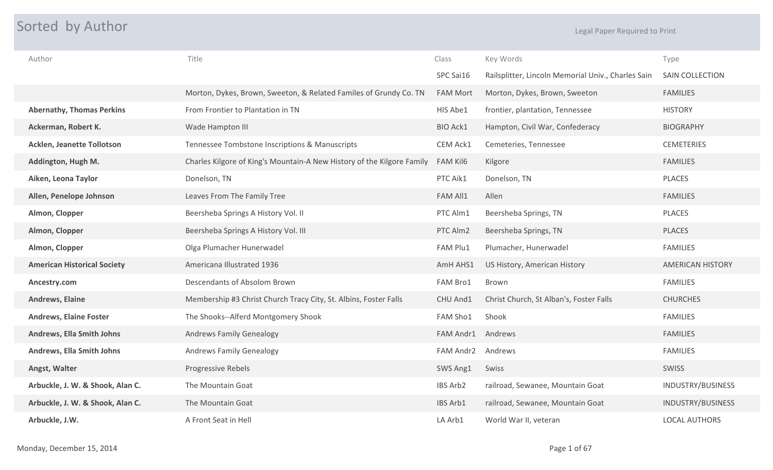## **Sorted by Author** Experiment of the Contract of the Contract of the Contract of the Contract of the Legal Paper Required to Print

| Author                             | Title                                                                  | Class           | Key Words                                          | Type                    |
|------------------------------------|------------------------------------------------------------------------|-----------------|----------------------------------------------------|-------------------------|
|                                    |                                                                        | SPC Sai16       | Railsplitter, Lincoln Memorial Univ., Charles Sain | <b>SAIN COLLECTION</b>  |
|                                    | Morton, Dykes, Brown, Sweeton, & Related Familes of Grundy Co. TN      | <b>FAM Mort</b> | Morton, Dykes, Brown, Sweeton                      | <b>FAMILIES</b>         |
| <b>Abernathy, Thomas Perkins</b>   | From Frontier to Plantation in TN                                      | HIS Abe1        | frontier, plantation, Tennessee                    | <b>HISTORY</b>          |
| Ackerman, Robert K.                | Wade Hampton III                                                       | <b>BIO Ack1</b> | Hampton, Civil War, Confederacy                    | <b>BIOGRAPHY</b>        |
| <b>Acklen, Jeanette Tollotson</b>  | Tennessee Tombstone Inscriptions & Manuscripts                         | CEM Ack1        | Cemeteries, Tennessee                              | <b>CEMETERIES</b>       |
| Addington, Hugh M.                 | Charles Kilgore of King's Mountain-A New History of the Kilgore Family | FAM Kil6        | Kilgore                                            | <b>FAMILIES</b>         |
| Aiken, Leona Taylor                | Donelson, TN                                                           | PTC Aik1        | Donelson, TN                                       | <b>PLACES</b>           |
| Allen, Penelope Johnson            | Leaves From The Family Tree                                            | FAM All1        | Allen                                              | <b>FAMILIES</b>         |
| Almon, Clopper                     | Beersheba Springs A History Vol. II                                    | PTC Alm1        | Beersheba Springs, TN                              | <b>PLACES</b>           |
| Almon, Clopper                     | Beersheba Springs A History Vol. III                                   | PTC Alm2        | Beersheba Springs, TN                              | <b>PLACES</b>           |
| Almon, Clopper                     | Olga Plumacher Hunerwadel                                              | FAM Plu1        | Plumacher, Hunerwadel                              | <b>FAMILIES</b>         |
| <b>American Historical Society</b> | Americana Illustrated 1936                                             | AmH AHS1        | US History, American History                       | <b>AMERICAN HISTORY</b> |
| Ancestry.com                       | Descendants of Absolom Brown                                           | FAM Bro1        | Brown                                              | <b>FAMILIES</b>         |
| <b>Andrews, Elaine</b>             | Membership #3 Christ Church Tracy City, St. Albins, Foster Falls       | CHU And1        | Christ Church, St Alban's, Foster Falls            | <b>CHURCHES</b>         |
| <b>Andrews, Elaine Foster</b>      | The Shooks--Alferd Montgomery Shook                                    | FAM Sho1        | Shook                                              | <b>FAMILIES</b>         |
| <b>Andrews, Ella Smith Johns</b>   | <b>Andrews Family Genealogy</b>                                        | FAM Andr1       | Andrews                                            | <b>FAMILIES</b>         |
| Andrews, Ella Smith Johns          | <b>Andrews Family Genealogy</b>                                        | FAM Andr2       | Andrews                                            | <b>FAMILIES</b>         |
| Angst, Walter                      | <b>Progressive Rebels</b>                                              | SWS Ang1        | Swiss                                              | <b>SWISS</b>            |
| Arbuckle, J. W. & Shook, Alan C.   | The Mountain Goat                                                      | IBS Arb2        | railroad, Sewanee, Mountain Goat                   | INDUSTRY/BUSINESS       |
| Arbuckle, J. W. & Shook, Alan C.   | The Mountain Goat                                                      | IBS Arb1        | railroad, Sewanee, Mountain Goat                   | INDUSTRY/BUSINESS       |
| Arbuckle, J.W.                     | A Front Seat in Hell                                                   | LA Arb1         | World War II, veteran                              | <b>LOCAL AUTHORS</b>    |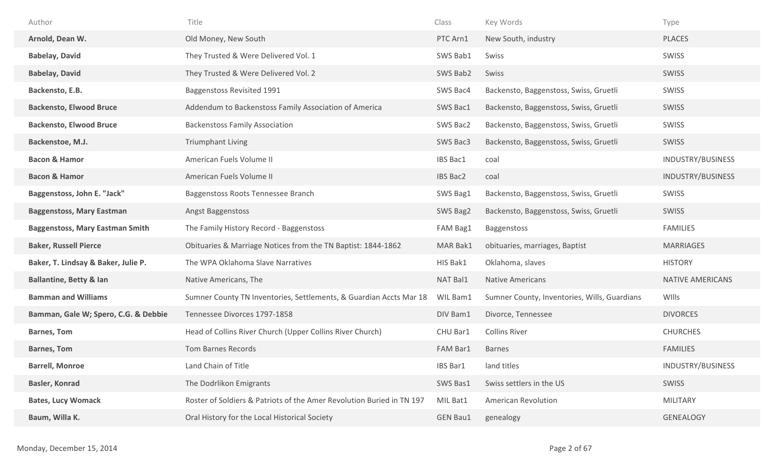| Author                                 | Title                                                                 | Class           | Key Words                                    | Type                     |
|----------------------------------------|-----------------------------------------------------------------------|-----------------|----------------------------------------------|--------------------------|
| Arnold, Dean W.                        | Old Money, New South                                                  | PTC Arn1        | New South, industry                          | <b>PLACES</b>            |
| <b>Babelay, David</b>                  | They Trusted & Were Delivered Vol. 1                                  | SWS Bab1        | Swiss                                        | SWISS                    |
| <b>Babelay, David</b>                  | They Trusted & Were Delivered Vol. 2                                  | SWS Bab2        | Swiss                                        | SWISS                    |
| Backensto, E.B.                        | Baggenstoss Revisited 1991                                            | SWS Bac4        | Backensto, Baggenstoss, Swiss, Gruetli       | SWISS                    |
| <b>Backensto, Elwood Bruce</b>         | Addendum to Backenstoss Family Association of America                 | SWS Bac1        | Backensto, Baggenstoss, Swiss, Gruetli       | SWISS                    |
| <b>Backensto, Elwood Bruce</b>         | <b>Backenstoss Family Association</b>                                 | SWS Bac2        | Backensto, Baggenstoss, Swiss, Gruetli       | SWISS                    |
| Backenstoe, M.J.                       | <b>Triumphant Living</b>                                              | SWS Bac3        | Backensto, Baggenstoss, Swiss, Gruetli       | SWISS                    |
| <b>Bacon &amp; Hamor</b>               | American Fuels Volume II                                              | IBS Bac1        | coal                                         | INDUSTRY/BUSINESS        |
| <b>Bacon &amp; Hamor</b>               | American Fuels Volume II                                              | <b>IBS Bac2</b> | coal                                         | <b>INDUSTRY/BUSINESS</b> |
| Baggenstoss, John E. "Jack"            | Baggenstoss Roots Tennessee Branch                                    | SWS Bag1        | Backensto, Baggenstoss, Swiss, Gruetli       | SWISS                    |
| <b>Baggenstoss, Mary Eastman</b>       | Angst Baggenstoss                                                     | SWS Bag2        | Backensto, Baggenstoss, Swiss, Gruetli       | SWISS                    |
|                                        |                                                                       |                 |                                              |                          |
| <b>Baggenstoss, Mary Eastman Smith</b> | The Family History Record - Baggenstoss                               | FAM Bag1        | Baggenstoss                                  | <b>FAMILIES</b>          |
| <b>Baker, Russell Pierce</b>           | Obituaries & Marriage Notices from the TN Baptist: 1844-1862          | MAR Bak1        | obituaries, marriages, Baptist               | <b>MARRIAGES</b>         |
| Baker, T. Lindsay & Baker, Julie P.    | The WPA Oklahoma Slave Narratives                                     | HIS Bak1        | Oklahoma, slaves                             | <b>HISTORY</b>           |
| <b>Ballantine, Betty &amp; lan</b>     | Native Americans, The                                                 | NAT Bal1        | <b>Native Americans</b>                      | <b>NATIVE AMERICANS</b>  |
| <b>Bamman and Williams</b>             | Sumner County TN Inventories, Settlements, & Guardian Accts Mar 18    | WIL Bam1        | Sumner County, Inventories, Wills, Guardians | WIlls                    |
| Bamman, Gale W; Spero, C.G. & Debbie   | Tennessee Divorces 1797-1858                                          | DIV Bam1        | Divorce, Tennessee                           | <b>DIVORCES</b>          |
| <b>Barnes, Tom</b>                     | Head of Collins River Church (Upper Collins River Church)             | CHU Bar1        | <b>Collins River</b>                         | <b>CHURCHES</b>          |
| <b>Barnes, Tom</b>                     | <b>Tom Barnes Records</b>                                             | FAM Bar1        | <b>Barnes</b>                                | <b>FAMILIES</b>          |
| <b>Barrell, Monroe</b>                 | Land Chain of Title                                                   | IBS Bar1        | land titles                                  | INDUSTRY/BUSINESS        |
| <b>Basler, Konrad</b>                  | The Dodrlikon Emigrants                                               | SWS Bas1        | Swiss settlers in the US                     | SWISS                    |
| <b>Bates, Lucy Womack</b>              | Roster of Soldiers & Patriots of the Amer Revolution Buried in TN 197 | MIL Bat1        | <b>American Revolution</b>                   | <b>MILITARY</b>          |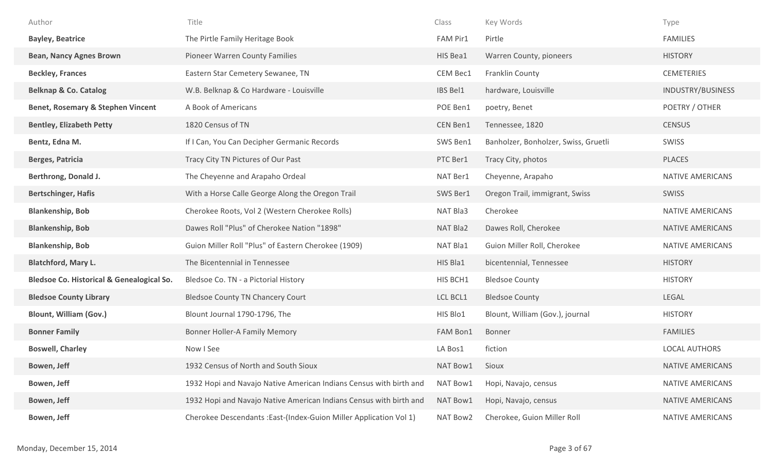| Author                                               | Title                                                              | Class    | Key Words                            | Type                    |
|------------------------------------------------------|--------------------------------------------------------------------|----------|--------------------------------------|-------------------------|
| <b>Bayley, Beatrice</b>                              | The Pirtle Family Heritage Book                                    | FAM Pir1 | Pirtle                               | <b>FAMILIES</b>         |
| <b>Bean, Nancy Agnes Brown</b>                       | Pioneer Warren County Families                                     | HIS Bea1 | Warren County, pioneers              | <b>HISTORY</b>          |
| <b>Beckley, Frances</b>                              | Eastern Star Cemetery Sewanee, TN                                  | CEM Bec1 | Franklin County                      | <b>CEMETERIES</b>       |
| <b>Belknap &amp; Co. Catalog</b>                     | W.B. Belknap & Co Hardware - Louisville                            | IBS Bel1 | hardware, Louisville                 | INDUSTRY/BUSINESS       |
| <b>Benet, Rosemary &amp; Stephen Vincent</b>         | A Book of Americans                                                | POE Ben1 | poetry, Benet                        | POETRY / OTHER          |
| <b>Bentley, Elizabeth Petty</b>                      | 1820 Census of TN                                                  | CEN Ben1 | Tennessee, 1820                      | <b>CENSUS</b>           |
| Bentz, Edna M.                                       | If I Can, You Can Decipher Germanic Records                        | SWS Ben1 | Banholzer, Bonholzer, Swiss, Gruetli | SWISS                   |
| <b>Berges, Patricia</b>                              | Tracy City TN Pictures of Our Past                                 | PTC Ber1 | Tracy City, photos                   | <b>PLACES</b>           |
| Berthrong, Donald J.                                 | The Cheyenne and Arapaho Ordeal                                    | NAT Ber1 | Cheyenne, Arapaho                    | <b>NATIVE AMERICANS</b> |
| <b>Bertschinger, Hafis</b>                           | With a Horse Calle George Along the Oregon Trail                   | SWS Ber1 | Oregon Trail, immigrant, Swiss       | SWISS                   |
| <b>Blankenship, Bob</b>                              | Cherokee Roots, Vol 2 (Western Cherokee Rolls)                     | NAT Bla3 | Cherokee                             | NATIVE AMERICANS        |
| <b>Blankenship, Bob</b>                              | Dawes Roll "Plus" of Cherokee Nation "1898"                        | NAT Bla2 | Dawes Roll, Cherokee                 | <b>NATIVE AMERICANS</b> |
| <b>Blankenship, Bob</b>                              | Guion Miller Roll "Plus" of Eastern Cherokee (1909)                | NAT Bla1 | Guion Miller Roll, Cherokee          | <b>NATIVE AMERICANS</b> |
| <b>Blatchford, Mary L.</b>                           | The Bicentennial in Tennessee                                      | HIS Bla1 | bicentennial, Tennessee              | <b>HISTORY</b>          |
| <b>Bledsoe Co. Historical &amp; Genealogical So.</b> | Bledsoe Co. TN - a Pictorial History                               | HIS BCH1 | <b>Bledsoe County</b>                | <b>HISTORY</b>          |
| <b>Bledsoe County Library</b>                        | <b>Bledsoe County TN Chancery Court</b>                            | LCL BCL1 | <b>Bledsoe County</b>                | LEGAL                   |
| <b>Blount, William (Gov.)</b>                        | Blount Journal 1790-1796, The                                      | HIS Blo1 | Blount, William (Gov.), journal      | <b>HISTORY</b>          |
| <b>Bonner Family</b>                                 | Bonner Holler-A Family Memory                                      | FAM Bon1 | Bonner                               | <b>FAMILIES</b>         |
| <b>Boswell, Charley</b>                              | Now I See                                                          | LA Bos1  | fiction                              | <b>LOCAL AUTHORS</b>    |
| Bowen, Jeff                                          | 1932 Census of North and South Sioux                               | NAT Bow1 | Sioux                                | <b>NATIVE AMERICANS</b> |
| Bowen, Jeff                                          | 1932 Hopi and Navajo Native American Indians Census with birth and | NAT Bow1 | Hopi, Navajo, census                 | <b>NATIVE AMERICANS</b> |
| Bowen, Jeff                                          | 1932 Hopi and Navajo Native American Indians Census with birth and | NAT Bow1 | Hopi, Navajo, census                 | <b>NATIVE AMERICANS</b> |
| Bowen, Jeff                                          | Cherokee Descendants : East-(Index-Guion Miller Application Vol 1) | NAT Bow2 | Cherokee, Guion Miller Roll          | <b>NATIVE AMERICANS</b> |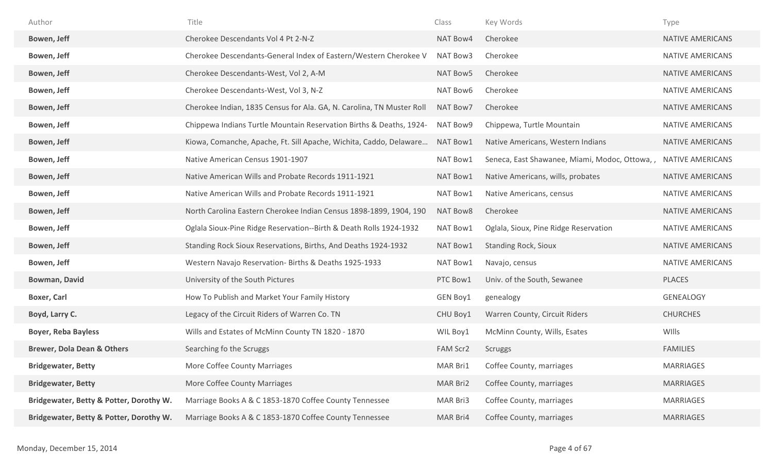| Author                                  | Title                                                                 | Class    | Key Words                                     | Type                    |
|-----------------------------------------|-----------------------------------------------------------------------|----------|-----------------------------------------------|-------------------------|
| Bowen, Jeff                             | Cherokee Descendants Vol 4 Pt 2-N-Z                                   | NAT Bow4 | Cherokee                                      | <b>NATIVE AMERICANS</b> |
| Bowen, Jeff                             | Cherokee Descendants-General Index of Eastern/Western Cherokee V      | NAT Bow3 | Cherokee                                      | NATIVE AMERICANS        |
| Bowen, Jeff                             | Cherokee Descendants-West, Vol 2, A-M                                 | NAT Bow5 | Cherokee                                      | <b>NATIVE AMERICANS</b> |
| Bowen, Jeff                             | Cherokee Descendants-West, Vol 3, N-Z                                 | NAT Bow6 | Cherokee                                      | <b>NATIVE AMERICANS</b> |
| Bowen, Jeff                             | Cherokee Indian, 1835 Census for Ala. GA, N. Carolina, TN Muster Roll | NAT Bow7 | Cherokee                                      | <b>NATIVE AMERICANS</b> |
| Bowen, Jeff                             | Chippewa Indians Turtle Mountain Reservation Births & Deaths, 1924-   | NAT Bow9 | Chippewa, Turtle Mountain                     | <b>NATIVE AMERICANS</b> |
| Bowen, Jeff                             | Kiowa, Comanche, Apache, Ft. Sill Apache, Wichita, Caddo, Delaware    | NAT Bow1 | Native Americans, Western Indians             | <b>NATIVE AMERICANS</b> |
| Bowen, Jeff                             | Native American Census 1901-1907                                      | NAT Bow1 | Seneca, East Shawanee, Miami, Modoc, Ottowa,, | <b>NATIVE AMERICANS</b> |
| Bowen, Jeff                             | Native American Wills and Probate Records 1911-1921                   | NAT Bow1 | Native Americans, wills, probates             | <b>NATIVE AMERICANS</b> |
| Bowen, Jeff                             | Native American Wills and Probate Records 1911-1921                   | NAT Bow1 | Native Americans, census                      | <b>NATIVE AMERICANS</b> |
| Bowen, Jeff                             | North Carolina Eastern Cherokee Indian Census 1898-1899, 1904, 190    | NAT Bow8 | Cherokee                                      | <b>NATIVE AMERICANS</b> |
| Bowen, Jeff                             | Oglala Sioux-Pine Ridge Reservation--Birth & Death Rolls 1924-1932    | NAT Bow1 | Oglala, Sioux, Pine Ridge Reservation         | <b>NATIVE AMERICANS</b> |
| Bowen, Jeff                             | Standing Rock Sioux Reservations, Births, And Deaths 1924-1932        | NAT Bow1 | <b>Standing Rock, Sioux</b>                   | <b>NATIVE AMERICANS</b> |
| Bowen, Jeff                             | Western Navajo Reservation- Births & Deaths 1925-1933                 | NAT Bow1 | Navajo, census                                | <b>NATIVE AMERICANS</b> |
| <b>Bowman, David</b>                    | University of the South Pictures                                      | PTC Bow1 | Univ. of the South, Sewanee                   | <b>PLACES</b>           |
| <b>Boxer, Carl</b>                      | How To Publish and Market Your Family History                         | GEN Boy1 | genealogy                                     | <b>GENEALOGY</b>        |
| Boyd, Larry C.                          | Legacy of the Circuit Riders of Warren Co. TN                         | CHU Boy1 | Warren County, Circuit Riders                 | <b>CHURCHES</b>         |
| <b>Boyer, Reba Bayless</b>              | Wills and Estates of McMinn County TN 1820 - 1870                     | WIL Boy1 | McMinn County, Wills, Esates                  | WIlls                   |
| <b>Brewer, Dola Dean &amp; Others</b>   | Searching fo the Scruggs                                              | FAM Scr2 | <b>Scruggs</b>                                | <b>FAMILIES</b>         |
| <b>Bridgewater, Betty</b>               | More Coffee County Marriages                                          | MAR Bri1 | Coffee County, marriages                      | <b>MARRIAGES</b>        |
| <b>Bridgewater, Betty</b>               | More Coffee County Marriages                                          | MAR Bri2 | Coffee County, marriages                      | <b>MARRIAGES</b>        |
| Bridgewater, Betty & Potter, Dorothy W. | Marriage Books A & C 1853-1870 Coffee County Tennessee                | MAR Bri3 | Coffee County, marriages                      | <b>MARRIAGES</b>        |
| Bridgewater, Betty & Potter, Dorothy W. | Marriage Books A & C 1853-1870 Coffee County Tennessee                | MAR Bri4 | Coffee County, marriages                      | <b>MARRIAGES</b>        |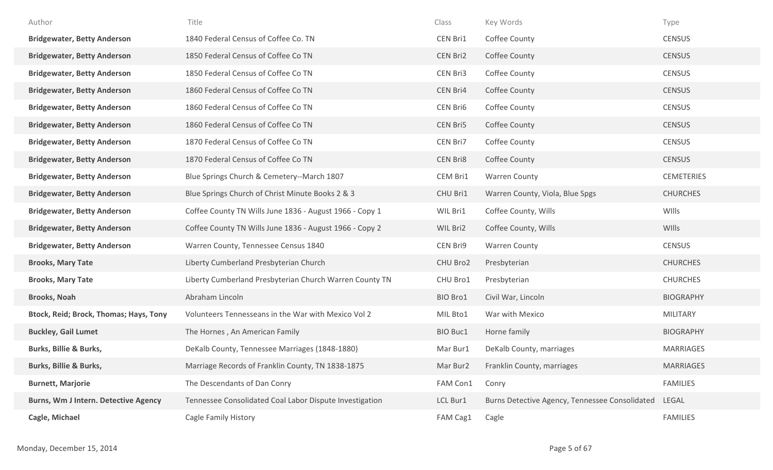| Author                                 | Title                                                   | Class    | Key Words                                      | Type              |
|----------------------------------------|---------------------------------------------------------|----------|------------------------------------------------|-------------------|
| <b>Bridgewater, Betty Anderson</b>     | 1840 Federal Census of Coffee Co. TN                    | CEN Bri1 | Coffee County                                  | <b>CENSUS</b>     |
| <b>Bridgewater, Betty Anderson</b>     | 1850 Federal Census of Coffee Co TN                     | CEN Bri2 | Coffee County                                  | <b>CENSUS</b>     |
| <b>Bridgewater, Betty Anderson</b>     | 1850 Federal Census of Coffee Co TN                     | CEN Bri3 | Coffee County                                  | <b>CENSUS</b>     |
| <b>Bridgewater, Betty Anderson</b>     | 1860 Federal Census of Coffee Co TN                     | CEN Bri4 | Coffee County                                  | <b>CENSUS</b>     |
| <b>Bridgewater, Betty Anderson</b>     | 1860 Federal Census of Coffee Co TN                     | CEN Bri6 | Coffee County                                  | <b>CENSUS</b>     |
| <b>Bridgewater, Betty Anderson</b>     | 1860 Federal Census of Coffee Co TN                     | CEN Bri5 | Coffee County                                  | <b>CENSUS</b>     |
| <b>Bridgewater, Betty Anderson</b>     | 1870 Federal Census of Coffee Co TN                     | CEN Bri7 | Coffee County                                  | <b>CENSUS</b>     |
| <b>Bridgewater, Betty Anderson</b>     | 1870 Federal Census of Coffee Co TN                     | CEN Bri8 | Coffee County                                  | <b>CENSUS</b>     |
| <b>Bridgewater, Betty Anderson</b>     | Blue Springs Church & Cemetery--March 1807              | CEM Bri1 | <b>Warren County</b>                           | <b>CEMETERIES</b> |
| <b>Bridgewater, Betty Anderson</b>     | Blue Springs Church of Christ Minute Books 2 & 3        | CHU Bri1 | Warren County, Viola, Blue Spgs                | <b>CHURCHES</b>   |
| <b>Bridgewater, Betty Anderson</b>     | Coffee County TN Wills June 1836 - August 1966 - Copy 1 | WIL Bri1 | Coffee County, Wills                           | WIlls             |
| <b>Bridgewater, Betty Anderson</b>     | Coffee County TN Wills June 1836 - August 1966 - Copy 2 | WIL Bri2 | Coffee County, Wills                           | WIlls             |
| <b>Bridgewater, Betty Anderson</b>     | Warren County, Tennessee Census 1840                    | CEN Bri9 | <b>Warren County</b>                           | <b>CENSUS</b>     |
| <b>Brooks, Mary Tate</b>               | Liberty Cumberland Presbyterian Church                  | CHU Bro2 | Presbyterian                                   | <b>CHURCHES</b>   |
| <b>Brooks, Mary Tate</b>               | Liberty Cumberland Presbyterian Church Warren County TN | CHU Bro1 | Presbyterian                                   | <b>CHURCHES</b>   |
| <b>Brooks, Noah</b>                    | Abraham Lincoln                                         | BIO Bro1 | Civil War, Lincoln                             | <b>BIOGRAPHY</b>  |
| Btock, Reid; Brock, Thomas; Hays, Tony | Volunteers Tennesseans in the War with Mexico Vol 2     | MIL Bto1 | War with Mexico                                | <b>MILITARY</b>   |
| <b>Buckley, Gail Lumet</b>             | The Hornes, An American Family                          | BIO Buc1 | Horne family                                   | <b>BIOGRAPHY</b>  |
| <b>Burks, Billie &amp; Burks,</b>      | DeKalb County, Tennessee Marriages (1848-1880)          | Mar Bur1 | DeKalb County, marriages                       | <b>MARRIAGES</b>  |
| <b>Burks, Billie &amp; Burks,</b>      | Marriage Records of Franklin County, TN 1838-1875       | Mar Bur2 | Franklin County, marriages                     | <b>MARRIAGES</b>  |
| <b>Burnett, Marjorie</b>               | The Descendants of Dan Conry                            | FAM Con1 | Conry                                          | <b>FAMILIES</b>   |
| Burns, Wm J Intern. Detective Agency   | Tennessee Consolidated Coal Labor Dispute Investigation | LCL Bur1 | Burns Detective Agency, Tennessee Consolidated | LEGAL             |
| Cagle, Michael                         | Cagle Family History                                    | FAM Cag1 | Cagle                                          | <b>FAMILIES</b>   |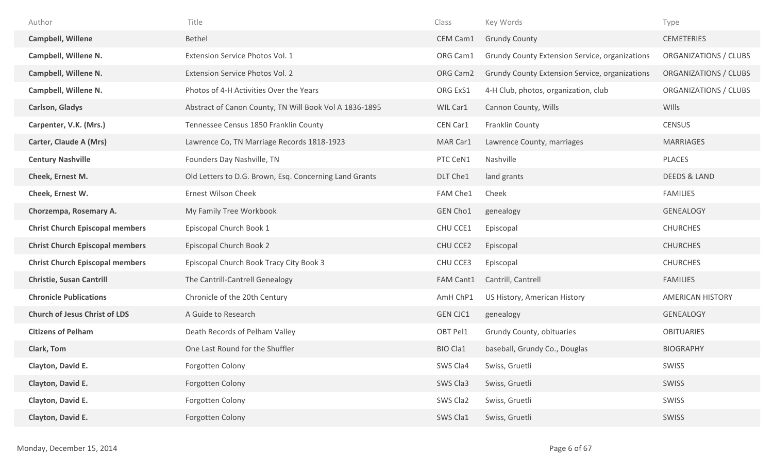| Author                                 | Title                                                  | Class           | Key Words                                      | Type                    |
|----------------------------------------|--------------------------------------------------------|-----------------|------------------------------------------------|-------------------------|
| <b>Campbell, Willene</b>               | Bethel                                                 | CEM Cam1        | <b>Grundy County</b>                           | <b>CEMETERIES</b>       |
| Campbell, Willene N.                   | Extension Service Photos Vol. 1                        | ORG Cam1        | Grundy County Extension Service, organizations | ORGANIZATIONS / CLUBS   |
| Campbell, Willene N.                   | <b>Extension Service Photos Vol. 2</b>                 | ORG Cam2        | Grundy County Extension Service, organizations | ORGANIZATIONS / CLUBS   |
| Campbell, Willene N.                   | Photos of 4-H Activities Over the Years                | ORG ExS1        | 4-H Club, photos, organization, club           | ORGANIZATIONS / CLUBS   |
| <b>Carlson, Gladys</b>                 | Abstract of Canon County, TN Will Book Vol A 1836-1895 | WIL Car1        | Cannon County, Wills                           | WIlls                   |
| Carpenter, V.K. (Mrs.)                 | Tennessee Census 1850 Franklin County                  | CEN Car1        | Franklin County                                | <b>CENSUS</b>           |
| <b>Carter, Claude A (Mrs)</b>          | Lawrence Co, TN Marriage Records 1818-1923             | MAR Car1        | Lawrence County, marriages                     | <b>MARRIAGES</b>        |
| <b>Century Nashville</b>               | Founders Day Nashville, TN                             | PTC CeN1        | Nashville                                      | PLACES                  |
| Cheek, Ernest M.                       | Old Letters to D.G. Brown, Esq. Concerning Land Grants | DLT Che1        | land grants                                    | <b>DEEDS &amp; LAND</b> |
| Cheek, Ernest W.                       | <b>Ernest Wilson Cheek</b>                             | FAM Che1        | Cheek                                          | <b>FAMILIES</b>         |
| Chorzempa, Rosemary A.                 | My Family Tree Workbook                                | <b>GEN Cho1</b> | genealogy                                      | <b>GENEALOGY</b>        |
| <b>Christ Church Episcopal members</b> | Episcopal Church Book 1                                | CHU CCE1        | Episcopal                                      | <b>CHURCHES</b>         |
| <b>Christ Church Episcopal members</b> | Episcopal Church Book 2                                | CHU CCE2        | Episcopal                                      | <b>CHURCHES</b>         |
| <b>Christ Church Episcopal members</b> | Episcopal Church Book Tracy City Book 3                | CHU CCE3        | Episcopal                                      | <b>CHURCHES</b>         |
| <b>Christie, Susan Cantrill</b>        | The Cantrill-Cantrell Genealogy                        | FAM Cant1       | Cantrill, Cantrell                             | <b>FAMILIES</b>         |
| <b>Chronicle Publications</b>          | Chronicle of the 20th Century                          | AmH ChP1        | US History, American History                   | <b>AMERICAN HISTORY</b> |
| <b>Church of Jesus Christ of LDS</b>   | A Guide to Research                                    | <b>GEN CJC1</b> | genealogy                                      | <b>GENEALOGY</b>        |
| <b>Citizens of Pelham</b>              | Death Records of Pelham Valley                         | OBT Pel1        | Grundy County, obituaries                      | <b>OBITUARIES</b>       |
| Clark, Tom                             | One Last Round for the Shuffler                        | <b>BIO Cla1</b> | baseball, Grundy Co., Douglas                  | <b>BIOGRAPHY</b>        |
| Clayton, David E.                      | Forgotten Colony                                       | SWS Cla4        | Swiss, Gruetli                                 | SWISS                   |
| Clayton, David E.                      | Forgotten Colony                                       | SWS Cla3        | Swiss, Gruetli                                 | SWISS                   |
| Clayton, David E.                      | Forgotten Colony                                       | SWS Cla2        | Swiss, Gruetli                                 | SWISS                   |
| Clayton, David E.                      | Forgotten Colony                                       | SWS Cla1        | Swiss, Gruetli                                 | SWISS                   |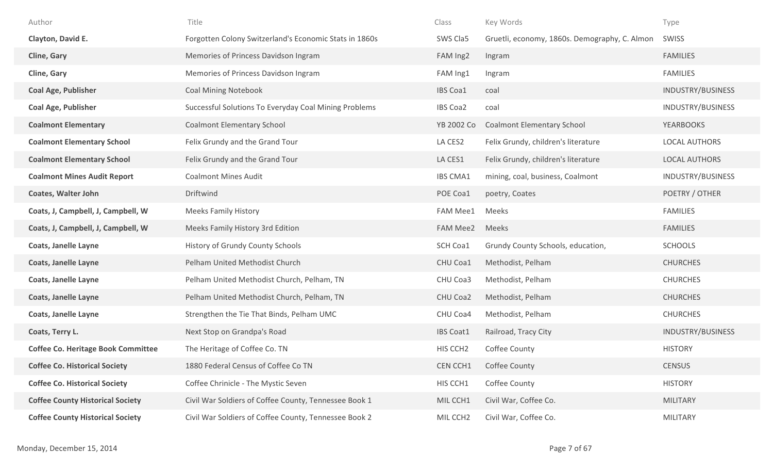| Author                                    | Title                                                  | Class                | Key Words                                     | Type                     |
|-------------------------------------------|--------------------------------------------------------|----------------------|-----------------------------------------------|--------------------------|
| Clayton, David E.                         | Forgotten Colony Switzerland's Economic Stats in 1860s | SWS Cla5             | Gruetli, economy, 1860s. Demography, C. Almon | SWISS                    |
| <b>Cline, Gary</b>                        | Memories of Princess Davidson Ingram                   | FAM Ing2             | Ingram                                        | <b>FAMILIES</b>          |
| Cline, Gary                               | Memories of Princess Davidson Ingram                   | FAM Ing1             | Ingram                                        | <b>FAMILIES</b>          |
| <b>Coal Age, Publisher</b>                | <b>Coal Mining Notebook</b>                            | <b>IBS Coa1</b>      | coal                                          | INDUSTRY/BUSINESS        |
| <b>Coal Age, Publisher</b>                | Successful Solutions To Everyday Coal Mining Problems  | <b>IBS Coa2</b>      | coal                                          | INDUSTRY/BUSINESS        |
| <b>Coalmont Elementary</b>                | <b>Coalmont Elementary School</b>                      | YB 2002 Co           | <b>Coalmont Elementary School</b>             | <b>YEARBOOKS</b>         |
| <b>Coalmont Elementary School</b>         | Felix Grundy and the Grand Tour                        | LA CES2              | Felix Grundy, children's literature           | <b>LOCAL AUTHORS</b>     |
| <b>Coalmont Elementary School</b>         | Felix Grundy and the Grand Tour                        | LA CES1              | Felix Grundy, children's literature           | LOCAL AUTHORS            |
| <b>Coalmont Mines Audit Report</b>        | <b>Coalmont Mines Audit</b>                            | <b>IBS CMA1</b>      | mining, coal, business, Coalmont              | INDUSTRY/BUSINESS        |
| <b>Coates, Walter John</b>                | Driftwind                                              | POE Coa1             | poetry, Coates                                | POETRY / OTHER           |
| Coats, J, Campbell, J, Campbell, W        | <b>Meeks Family History</b>                            | <b>FAM Mee1</b>      | Meeks                                         | <b>FAMILIES</b>          |
| Coats, J, Campbell, J, Campbell, W        | Meeks Family History 3rd Edition                       | <b>FAM Mee2</b>      | Meeks                                         | <b>FAMILIES</b>          |
| <b>Coats, Janelle Layne</b>               | History of Grundy County Schools                       | SCH Coa1             | Grundy County Schools, education,             | <b>SCHOOLS</b>           |
| <b>Coats, Janelle Layne</b>               | Pelham United Methodist Church                         | CHU Coa1             | Methodist, Pelham                             | <b>CHURCHES</b>          |
| <b>Coats, Janelle Layne</b>               | Pelham United Methodist Church, Pelham, TN             | CHU Coa3             | Methodist, Pelham                             | <b>CHURCHES</b>          |
| <b>Coats, Janelle Layne</b>               | Pelham United Methodist Church, Pelham, TN             | CHU Coa2             | Methodist, Pelham                             | <b>CHURCHES</b>          |
| <b>Coats, Janelle Layne</b>               | Strengthen the Tie That Binds, Pelham UMC              | CHU Coa4             | Methodist, Pelham                             | <b>CHURCHES</b>          |
| Coats, Terry L.                           | Next Stop on Grandpa's Road                            | <b>IBS Coat1</b>     | Railroad, Tracy City                          | <b>INDUSTRY/BUSINESS</b> |
| <b>Coffee Co. Heritage Book Committee</b> | The Heritage of Coffee Co. TN                          | HIS CCH <sub>2</sub> | Coffee County                                 | <b>HISTORY</b>           |
| <b>Coffee Co. Historical Society</b>      | 1880 Federal Census of Coffee Co TN                    | CEN CCH1             | Coffee County                                 | <b>CENSUS</b>            |
| <b>Coffee Co. Historical Society</b>      | Coffee Chrinicle - The Mystic Seven                    | HIS CCH1             | Coffee County                                 | <b>HISTORY</b>           |
| <b>Coffee County Historical Society</b>   | Civil War Soldiers of Coffee County, Tennessee Book 1  | MIL CCH1             | Civil War, Coffee Co.                         | <b>MILITARY</b>          |
| <b>Coffee County Historical Society</b>   | Civil War Soldiers of Coffee County, Tennessee Book 2  | MIL CCH <sub>2</sub> | Civil War, Coffee Co.                         | <b>MILITARY</b>          |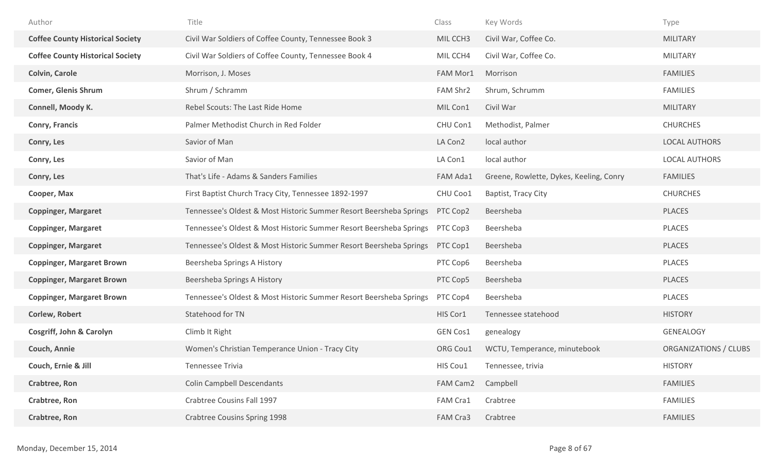| Author                                  | Title                                                              | Class    | Key Words                               | Type                  |
|-----------------------------------------|--------------------------------------------------------------------|----------|-----------------------------------------|-----------------------|
| <b>Coffee County Historical Society</b> | Civil War Soldiers of Coffee County, Tennessee Book 3              | MIL CCH3 | Civil War, Coffee Co.                   | <b>MILITARY</b>       |
| <b>Coffee County Historical Society</b> | Civil War Soldiers of Coffee County, Tennessee Book 4              | MIL CCH4 | Civil War, Coffee Co.                   | <b>MILITARY</b>       |
| <b>Colvin, Carole</b>                   | Morrison, J. Moses                                                 | FAM Mor1 | Morrison                                | <b>FAMILIES</b>       |
| <b>Comer, Glenis Shrum</b>              | Shrum / Schramm                                                    | FAM Shr2 | Shrum, Schrumm                          | <b>FAMILIES</b>       |
| Connell, Moody K.                       | Rebel Scouts: The Last Ride Home                                   | MIL Con1 | Civil War                               | <b>MILITARY</b>       |
| <b>Conry, Francis</b>                   | Palmer Methodist Church in Red Folder                              | CHU Con1 | Methodist, Palmer                       | <b>CHURCHES</b>       |
| Conry, Les                              | Savior of Man                                                      | LA Con2  | local author                            | <b>LOCAL AUTHORS</b>  |
| Conry, Les                              | Savior of Man                                                      | LA Con1  | local author                            | <b>LOCAL AUTHORS</b>  |
| Conry, Les                              | That's Life - Adams & Sanders Families                             | FAM Ada1 | Greene, Rowlette, Dykes, Keeling, Conry | <b>FAMILIES</b>       |
| Cooper, Max                             | First Baptist Church Tracy City, Tennessee 1892-1997               | CHU Coo1 | Baptist, Tracy City                     | <b>CHURCHES</b>       |
| <b>Coppinger, Margaret</b>              | Tennessee's Oldest & Most Historic Summer Resort Beersheba Springs | PTC Cop2 | Beersheba                               | PLACES                |
| <b>Coppinger, Margaret</b>              | Tennessee's Oldest & Most Historic Summer Resort Beersheba Springs | PTC Cop3 | Beersheba                               | PLACES                |
| <b>Coppinger, Margaret</b>              | Tennessee's Oldest & Most Historic Summer Resort Beersheba Springs | PTC Cop1 | Beersheba                               | PLACES                |
| <b>Coppinger, Margaret Brown</b>        | Beersheba Springs A History                                        | PTC Cop6 | Beersheba                               | PLACES                |
| <b>Coppinger, Margaret Brown</b>        | Beersheba Springs A History                                        | PTC Cop5 | Beersheba                               | <b>PLACES</b>         |
| <b>Coppinger, Margaret Brown</b>        | Tennessee's Oldest & Most Historic Summer Resort Beersheba Springs | PTC Cop4 | Beersheba                               | PLACES                |
| Corlew, Robert                          | Statehood for TN                                                   | HIS Cor1 | Tennessee statehood                     | <b>HISTORY</b>        |
| <b>Cosgriff, John &amp; Carolyn</b>     | Climb It Right                                                     | GEN Cos1 | genealogy                               | <b>GENEALOGY</b>      |
| Couch, Annie                            | Women's Christian Temperance Union - Tracy City                    | ORG Cou1 | WCTU, Temperance, minutebook            | ORGANIZATIONS / CLUBS |
| Couch, Ernie & Jill                     | Tennessee Trivia                                                   | HIS Cou1 | Tennessee, trivia                       | <b>HISTORY</b>        |
| Crabtree, Ron                           | <b>Colin Campbell Descendants</b>                                  | FAM Cam2 | Campbell                                | <b>FAMILIES</b>       |
| Crabtree, Ron                           | Crabtree Cousins Fall 1997                                         | FAM Cra1 | Crabtree                                | <b>FAMILIES</b>       |
| Crabtree, Ron                           | Crabtree Cousins Spring 1998                                       | FAM Cra3 | Crabtree                                | <b>FAMILIES</b>       |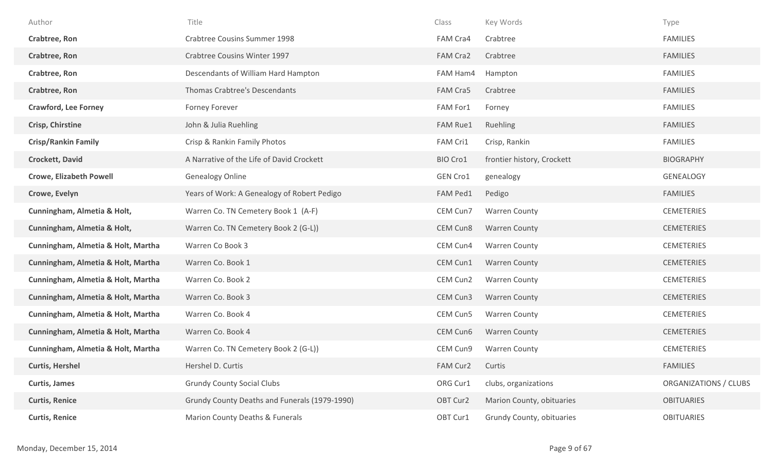| Author                             | Title                                         | Class           | Key Words                  | Type                  |
|------------------------------------|-----------------------------------------------|-----------------|----------------------------|-----------------------|
| Crabtree, Ron                      | <b>Crabtree Cousins Summer 1998</b>           | FAM Cra4        | Crabtree                   | <b>FAMILIES</b>       |
| Crabtree, Ron                      | Crabtree Cousins Winter 1997                  | FAM Cra2        | Crabtree                   | <b>FAMILIES</b>       |
| Crabtree, Ron                      | Descendants of William Hard Hampton           | FAM Ham4        | Hampton                    | <b>FAMILIES</b>       |
| Crabtree, Ron                      | Thomas Crabtree's Descendants                 | FAM Cra5        | Crabtree                   | <b>FAMILIES</b>       |
| <b>Crawford, Lee Forney</b>        | Forney Forever                                | FAM For1        | Forney                     | <b>FAMILIES</b>       |
| <b>Crisp, Chirstine</b>            | John & Julia Ruehling                         | <b>FAM Rue1</b> | Ruehling                   | <b>FAMILIES</b>       |
| <b>Crisp/Rankin Family</b>         | Crisp & Rankin Family Photos                  | FAM Cri1        | Crisp, Rankin              | <b>FAMILIES</b>       |
| <b>Crockett, David</b>             | A Narrative of the Life of David Crockett     | BIO Cro1        | frontier history, Crockett | <b>BIOGRAPHY</b>      |
| <b>Crowe, Elizabeth Powell</b>     | <b>Genealogy Online</b>                       | GEN Cro1        | genealogy                  | <b>GENEALOGY</b>      |
| Crowe, Evelyn                      | Years of Work: A Genealogy of Robert Pedigo   | FAM Ped1        | Pedigo                     | <b>FAMILIES</b>       |
| Cunningham, Almetia & Holt,        | Warren Co. TN Cemetery Book 1 (A-F)           | CEM Cun7        | <b>Warren County</b>       | <b>CEMETERIES</b>     |
| Cunningham, Almetia & Holt,        | Warren Co. TN Cemetery Book 2 (G-L))          | CEM Cun8        | <b>Warren County</b>       | <b>CEMETERIES</b>     |
| Cunningham, Almetia & Holt, Martha | Warren Co Book 3                              | CEM Cun4        | <b>Warren County</b>       | <b>CEMETERIES</b>     |
| Cunningham, Almetia & Holt, Martha | Warren Co. Book 1                             | CEM Cun1        | <b>Warren County</b>       | <b>CEMETERIES</b>     |
| Cunningham, Almetia & Holt, Martha | Warren Co. Book 2                             | CEM Cun2        | <b>Warren County</b>       | <b>CEMETERIES</b>     |
| Cunningham, Almetia & Holt, Martha | Warren Co. Book 3                             | CEM Cun3        | <b>Warren County</b>       | <b>CEMETERIES</b>     |
| Cunningham, Almetia & Holt, Martha | Warren Co. Book 4                             | CEM Cun5        | <b>Warren County</b>       | <b>CEMETERIES</b>     |
| Cunningham, Almetia & Holt, Martha | Warren Co. Book 4                             | CEM Cun6        | <b>Warren County</b>       | <b>CEMETERIES</b>     |
| Cunningham, Almetia & Holt, Martha | Warren Co. TN Cemetery Book 2 (G-L))          | CEM Cun9        | <b>Warren County</b>       | <b>CEMETERIES</b>     |
| <b>Curtis, Hershel</b>             | Hershel D. Curtis                             | FAM Cur2        | Curtis                     | <b>FAMILIES</b>       |
| <b>Curtis, James</b>               | <b>Grundy County Social Clubs</b>             | ORG Cur1        | clubs, organizations       | ORGANIZATIONS / CLUBS |
| <b>Curtis, Renice</b>              | Grundy County Deaths and Funerals (1979-1990) | OBT Cur2        | Marion County, obituaries  | <b>OBITUARIES</b>     |
| <b>Curtis, Renice</b>              | Marion County Deaths & Funerals               | OBT Cur1        | Grundy County, obituaries  | <b>OBITUARIES</b>     |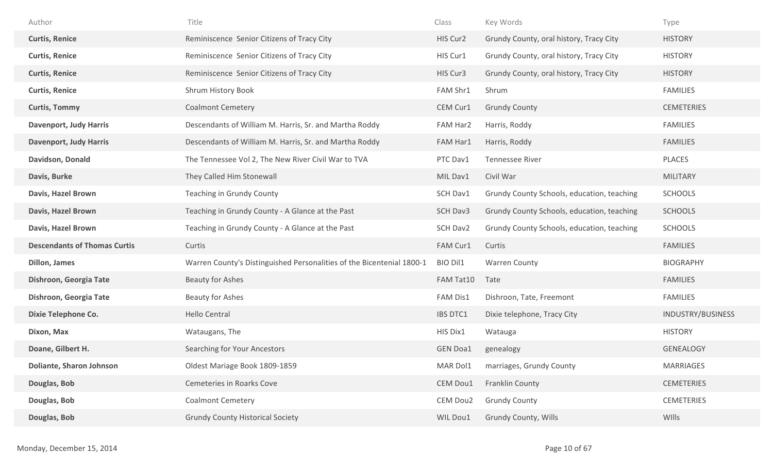| Author                              | Title                                                                 | Class           | Key Words                                  | Type              |
|-------------------------------------|-----------------------------------------------------------------------|-----------------|--------------------------------------------|-------------------|
| <b>Curtis, Renice</b>               | Reminiscence Senior Citizens of Tracy City                            | HIS Cur2        | Grundy County, oral history, Tracy City    | <b>HISTORY</b>    |
| <b>Curtis, Renice</b>               | Reminiscence Senior Citizens of Tracy City                            | HIS Cur1        | Grundy County, oral history, Tracy City    | <b>HISTORY</b>    |
| <b>Curtis, Renice</b>               | Reminiscence Senior Citizens of Tracy City                            | HIS Cur3        | Grundy County, oral history, Tracy City    | <b>HISTORY</b>    |
| <b>Curtis, Renice</b>               | Shrum History Book                                                    | FAM Shr1        | Shrum                                      | <b>FAMILIES</b>   |
| <b>Curtis, Tommy</b>                | <b>Coalmont Cemetery</b>                                              | CEM Cur1        | <b>Grundy County</b>                       | <b>CEMETERIES</b> |
| <b>Davenport, Judy Harris</b>       | Descendants of William M. Harris, Sr. and Martha Roddy                | FAM Har2        | Harris, Roddy                              | <b>FAMILIES</b>   |
| <b>Davenport, Judy Harris</b>       | Descendants of William M. Harris, Sr. and Martha Roddy                | FAM Har1        | Harris, Roddy                              | <b>FAMILIES</b>   |
| Davidson, Donald                    | The Tennessee Vol 2, The New River Civil War to TVA                   | PTC Dav1        | <b>Tennessee River</b>                     | PLACES            |
| Davis, Burke                        | They Called Him Stonewall                                             | MIL Dav1        | Civil War                                  | <b>MILITARY</b>   |
| Davis, Hazel Brown                  | Teaching in Grundy County                                             | SCH Dav1        | Grundy County Schools, education, teaching | <b>SCHOOLS</b>    |
| Davis, Hazel Brown                  | Teaching in Grundy County - A Glance at the Past                      | SCH Dav3        | Grundy County Schools, education, teaching | <b>SCHOOLS</b>    |
| Davis, Hazel Brown                  | Teaching in Grundy County - A Glance at the Past                      | SCH Dav2        | Grundy County Schools, education, teaching | <b>SCHOOLS</b>    |
| <b>Descendants of Thomas Curtis</b> | Curtis                                                                | FAM Cur1        | Curtis                                     | <b>FAMILIES</b>   |
| Dillon, James                       | Warren County's Distinguished Personalities of the Bicentenial 1800-1 | <b>BIO Dil1</b> | <b>Warren County</b>                       | <b>BIOGRAPHY</b>  |
| Dishroon, Georgia Tate              | <b>Beauty for Ashes</b>                                               |                 |                                            |                   |
|                                     |                                                                       | FAM Tat10       | Tate                                       | <b>FAMILIES</b>   |
| Dishroon, Georgia Tate              | <b>Beauty for Ashes</b>                                               | FAM Dis1        | Dishroon, Tate, Freemont                   | <b>FAMILIES</b>   |
| <b>Dixie Telephone Co.</b>          | <b>Hello Central</b>                                                  | <b>IBS DTC1</b> | Dixie telephone, Tracy City                | INDUSTRY/BUSINESS |
| Dixon, Max                          | Wataugans, The                                                        | HIS Dix1        | Watauga                                    | <b>HISTORY</b>    |
| Doane, Gilbert H.                   | Searching for Your Ancestors                                          | <b>GEN Doa1</b> | genealogy                                  | <b>GENEALOGY</b>  |
| <b>Doliante, Sharon Johnson</b>     | Oldest Mariage Book 1809-1859                                         | MAR Dol1        | marriages, Grundy County                   | MARRIAGES         |
| Douglas, Bob                        | Cemeteries in Roarks Cove                                             | CEM Dou1        | Franklin County                            | <b>CEMETERIES</b> |
| Douglas, Bob                        | <b>Coalmont Cemetery</b>                                              | CEM Dou2        | <b>Grundy County</b>                       | <b>CEMETERIES</b> |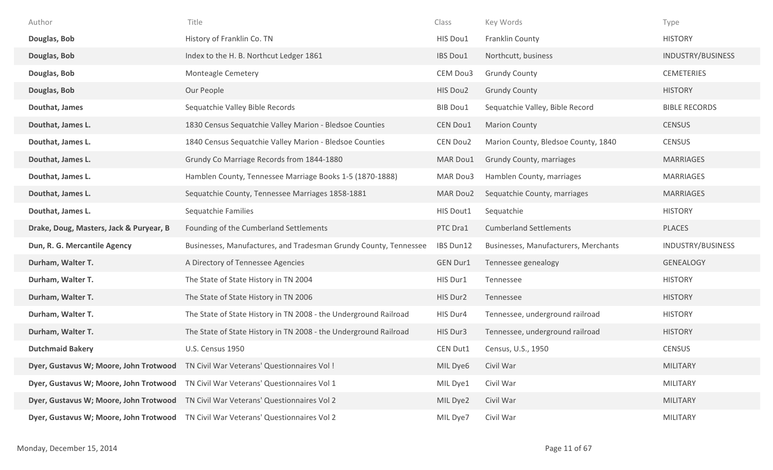| Author                                  | Title                                                                               | Class           | Key Words                            | Type                 |
|-----------------------------------------|-------------------------------------------------------------------------------------|-----------------|--------------------------------------|----------------------|
| Douglas, Bob                            | History of Franklin Co. TN                                                          | HIS Dou1        | Franklin County                      | <b>HISTORY</b>       |
| Douglas, Bob                            | Index to the H. B. Northcut Ledger 1861                                             | IBS Dou1        | Northcutt, business                  | INDUSTRY/BUSINESS    |
| Douglas, Bob                            | Monteagle Cemetery                                                                  | CEM Dou3        | <b>Grundy County</b>                 | <b>CEMETERIES</b>    |
| Douglas, Bob                            | Our People                                                                          | HIS Dou2        | <b>Grundy County</b>                 | <b>HISTORY</b>       |
| Douthat, James                          | Sequatchie Valley Bible Records                                                     | <b>BIB Dou1</b> | Sequatchie Valley, Bible Record      | <b>BIBLE RECORDS</b> |
| Douthat, James L.                       | 1830 Census Sequatchie Valley Marion - Bledsoe Counties                             | CEN Dou1        | <b>Marion County</b>                 | <b>CENSUS</b>        |
| Douthat, James L.                       | 1840 Census Sequatchie Valley Marion - Bledsoe Counties                             | CEN Dou2        | Marion County, Bledsoe County, 1840  | <b>CENSUS</b>        |
| Douthat, James L.                       | Grundy Co Marriage Records from 1844-1880                                           | MAR Dou1        | Grundy County, marriages             | <b>MARRIAGES</b>     |
| Douthat, James L.                       | Hamblen County, Tennessee Marriage Books 1-5 (1870-1888)                            | MAR Dou3        | Hamblen County, marriages            | <b>MARRIAGES</b>     |
| Douthat, James L.                       | Sequatchie County, Tennessee Marriages 1858-1881                                    | MAR Dou2        | Sequatchie County, marriages         | <b>MARRIAGES</b>     |
| Douthat, James L.                       | Sequatchie Families                                                                 | HIS Dout1       | Sequatchie                           | <b>HISTORY</b>       |
| Drake, Doug, Masters, Jack & Puryear, B | Founding of the Cumberland Settlements                                              | PTC Dra1        | <b>Cumberland Settlements</b>        | <b>PLACES</b>        |
| Dun, R. G. Mercantile Agency            | Businesses, Manufactures, and Tradesman Grundy County, Tennessee                    | IBS Dun12       | Businesses, Manufacturers, Merchants | INDUSTRY/BUSINESS    |
| Durham, Walter T.                       | A Directory of Tennessee Agencies                                                   | <b>GEN Dur1</b> | Tennessee genealogy                  | <b>GENEALOGY</b>     |
| Durham, Walter T.                       | The State of State History in TN 2004                                               | HIS Dur1        | Tennessee                            | <b>HISTORY</b>       |
| Durham, Walter T.                       | The State of State History in TN 2006                                               | HIS Dur2        | Tennessee                            | <b>HISTORY</b>       |
| Durham, Walter T.                       | The State of State History in TN 2008 - the Underground Railroad                    | HIS Dur4        | Tennessee, underground railroad      | <b>HISTORY</b>       |
| Durham, Walter T.                       | The State of State History in TN 2008 - the Underground Railroad                    | HIS Dur3        | Tennessee, underground railroad      | <b>HISTORY</b>       |
| <b>Dutchmaid Bakery</b>                 | U.S. Census 1950                                                                    | CEN Dut1        | Census, U.S., 1950                   | <b>CENSUS</b>        |
|                                         | Dyer, Gustavus W; Moore, John Trotwood TN Civil War Veterans' Questionnaires Vol !  | MIL Dye6        | Civil War                            | <b>MILITARY</b>      |
|                                         | Dyer, Gustavus W; Moore, John Trotwood TN Civil War Veterans' Questionnaires Vol 1  | MIL Dye1        | Civil War                            | <b>MILITARY</b>      |
|                                         | Dyer, Gustavus W; Moore, John Trotwood  TN Civil War Veterans' Questionnaires Vol 2 | MIL Dye2        | Civil War                            | <b>MILITARY</b>      |
|                                         | Dyer, Gustavus W; Moore, John Trotwood TN Civil War Veterans' Questionnaires Vol 2  | MIL Dye7        | Civil War                            | <b>MILITARY</b>      |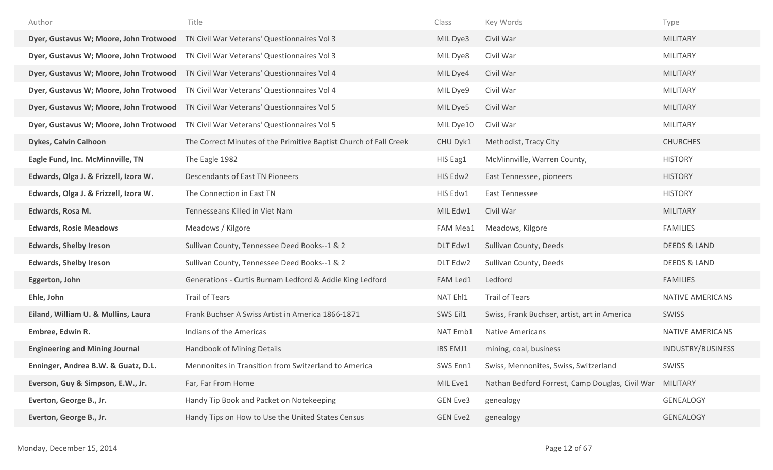| Author                                 | Title                                                             | Class           | Key Words                                       | Type                    |
|----------------------------------------|-------------------------------------------------------------------|-----------------|-------------------------------------------------|-------------------------|
| Dyer, Gustavus W; Moore, John Trotwood | TN Civil War Veterans' Questionnaires Vol 3                       | MIL Dye3        | Civil War                                       | <b>MILITARY</b>         |
| Dyer, Gustavus W; Moore, John Trotwood | TN Civil War Veterans' Questionnaires Vol 3                       | MIL Dye8        | Civil War                                       | <b>MILITARY</b>         |
| Dyer, Gustavus W; Moore, John Trotwood | TN Civil War Veterans' Questionnaires Vol 4                       | MIL Dye4        | Civil War                                       | <b>MILITARY</b>         |
| Dyer, Gustavus W; Moore, John Trotwood | TN Civil War Veterans' Questionnaires Vol 4                       | MIL Dye9        | Civil War                                       | <b>MILITARY</b>         |
| Dyer, Gustavus W; Moore, John Trotwood | TN Civil War Veterans' Questionnaires Vol 5                       | MIL Dye5        | Civil War                                       | <b>MILITARY</b>         |
| Dyer, Gustavus W; Moore, John Trotwood | TN Civil War Veterans' Questionnaires Vol 5                       | MIL Dye10       | Civil War                                       | <b>MILITARY</b>         |
| <b>Dykes, Calvin Calhoon</b>           | The Correct Minutes of the Primitive Baptist Church of Fall Creek | CHU Dyk1        | Methodist, Tracy City                           | <b>CHURCHES</b>         |
| Eagle Fund, Inc. McMinnville, TN       | The Eagle 1982                                                    | HIS Eag1        | McMinnville, Warren County,                     | <b>HISTORY</b>          |
| Edwards, Olga J. & Frizzell, Izora W.  | <b>Descendants of East TN Pioneers</b>                            | HIS Edw2        | East Tennessee, pioneers                        | <b>HISTORY</b>          |
| Edwards, Olga J. & Frizzell, Izora W.  | The Connection in East TN                                         | HIS Edw1        | <b>East Tennessee</b>                           | <b>HISTORY</b>          |
| Edwards, Rosa M.                       | Tennesseans Killed in Viet Nam                                    | MIL Edw1        | Civil War                                       | <b>MILITARY</b>         |
| <b>Edwards, Rosie Meadows</b>          | Meadows / Kilgore                                                 | <b>FAM Mea1</b> | Meadows, Kilgore                                | <b>FAMILIES</b>         |
| <b>Edwards, Shelby Ireson</b>          | Sullivan County, Tennessee Deed Books--1 & 2                      | DLT Edw1        | Sullivan County, Deeds                          | <b>DEEDS &amp; LAND</b> |
| <b>Edwards, Shelby Ireson</b>          | Sullivan County, Tennessee Deed Books--1 & 2                      | DLT Edw2        | Sullivan County, Deeds                          | <b>DEEDS &amp; LAND</b> |
| Eggerton, John                         | Generations - Curtis Burnam Ledford & Addie King Ledford          | FAM Led1        | Ledford                                         | <b>FAMILIES</b>         |
| Ehle, John                             | <b>Trail of Tears</b>                                             | NAT Ehl1        | <b>Trail of Tears</b>                           | <b>NATIVE AMERICANS</b> |
| Eiland, William U. & Mullins, Laura    | Frank Buchser A Swiss Artist in America 1866-1871                 | SWS Eil1        | Swiss, Frank Buchser, artist, art in America    | <b>SWISS</b>            |
| Embree, Edwin R.                       | Indians of the Americas                                           | NAT Emb1        | <b>Native Americans</b>                         | NATIVE AMERICANS        |
| <b>Engineering and Mining Journal</b>  | Handbook of Mining Details                                        | <b>IBS EMJ1</b> | mining, coal, business                          | INDUSTRY/BUSINESS       |
| Enninger, Andrea B.W. & Guatz, D.L.    | Mennonites in Transition from Switzerland to America              | SWS Enn1        | Swiss, Mennonites, Swiss, Switzerland           | SWISS                   |
| Everson, Guy & Simpson, E.W., Jr.      | Far, Far From Home                                                | MIL Eve1        | Nathan Bedford Forrest, Camp Douglas, Civil War | MILITARY                |
| Everton, George B., Jr.                | Handy Tip Book and Packet on Notekeeping                          | <b>GEN Eve3</b> | genealogy                                       | <b>GENEALOGY</b>        |
| Everton, George B., Jr.                |                                                                   |                 |                                                 |                         |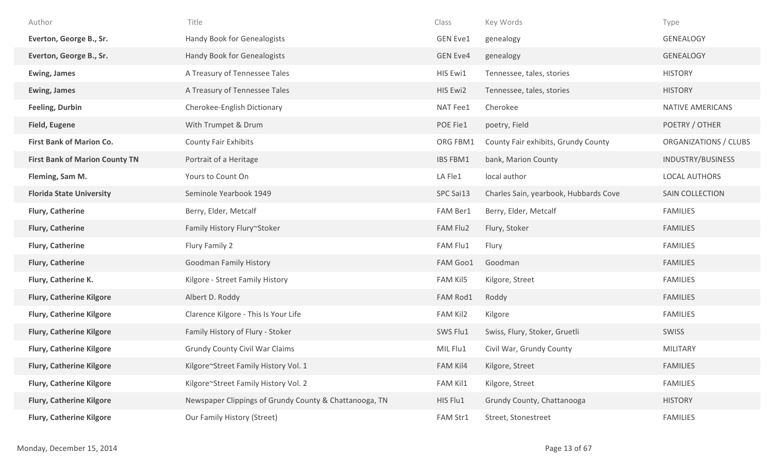| Author                                | Title                                                  | Class           | Key Words                             | Type                    |
|---------------------------------------|--------------------------------------------------------|-----------------|---------------------------------------|-------------------------|
| Everton, George B., Sr.               | Handy Book for Genealogists                            | <b>GEN Eve1</b> | genealogy                             | GENEALOGY               |
| Everton, George B., Sr.               | Handy Book for Genealogists                            | <b>GEN Eve4</b> | genealogy                             | <b>GENEALOGY</b>        |
| <b>Ewing, James</b>                   | A Treasury of Tennessee Tales                          | HIS Ewi1        | Tennessee, tales, stories             | <b>HISTORY</b>          |
| <b>Ewing, James</b>                   | A Treasury of Tennessee Tales                          | HIS Ewi2        | Tennessee, tales, stories             | <b>HISTORY</b>          |
| <b>Feeling, Durbin</b>                | Cherokee-English Dictionary                            | NAT Fee1        | Cherokee                              | <b>NATIVE AMERICANS</b> |
| <b>Field, Eugene</b>                  | With Trumpet & Drum                                    | POE Fie1        | poetry, Field                         | POETRY / OTHER          |
| <b>First Bank of Marion Co.</b>       | <b>County Fair Exhibits</b>                            | ORG FBM1        | County Fair exhibits, Grundy County   | ORGANIZATIONS / CLUBS   |
| <b>First Bank of Marion County TN</b> | Portrait of a Heritage                                 | <b>IBS FBM1</b> | bank, Marion County                   | INDUSTRY/BUSINESS       |
| Fleming, Sam M.                       | Yours to Count On                                      | LA Fle1         | local author                          | <b>LOCAL AUTHORS</b>    |
| <b>Florida State University</b>       | Seminole Yearbook 1949                                 | SPC Sai13       | Charles Sain, yearbook, Hubbards Cove | SAIN COLLECTION         |
| <b>Flury, Catherine</b>               | Berry, Elder, Metcalf                                  | FAM Ber1        | Berry, Elder, Metcalf                 | <b>FAMILIES</b>         |
| <b>Flury, Catherine</b>               | Family History Flury~Stoker                            | FAM Flu2        | Flury, Stoker                         | <b>FAMILIES</b>         |
| Flury, Catherine                      | Flury Family 2                                         | FAM Flu1        | Flury                                 | <b>FAMILIES</b>         |
| <b>Flury, Catherine</b>               | <b>Goodman Family History</b>                          | FAM Goo1        | Goodman                               | <b>FAMILIES</b>         |
| Flury, Catherine K.                   | Kilgore - Street Family History                        | FAM Kil5        | Kilgore, Street                       | <b>FAMILIES</b>         |
| <b>Flury, Catherine Kilgore</b>       | Albert D. Roddy                                        | FAM Rod1        | Roddy                                 | <b>FAMILIES</b>         |
| <b>Flury, Catherine Kilgore</b>       | Clarence Kilgore - This Is Your Life                   | FAM Kil2        | Kilgore                               | <b>FAMILIES</b>         |
| <b>Flury, Catherine Kilgore</b>       | Family History of Flury - Stoker                       | SWS Flu1        | Swiss, Flury, Stoker, Gruetli         | <b>SWISS</b>            |
| <b>Flury, Catherine Kilgore</b>       | <b>Grundy County Civil War Claims</b>                  | MIL Flu1        | Civil War, Grundy County              | <b>MILITARY</b>         |
| <b>Flury, Catherine Kilgore</b>       | Kilgore~Street Family History Vol. 1                   | FAM Kil4        | Kilgore, Street                       | <b>FAMILIES</b>         |
| <b>Flury, Catherine Kilgore</b>       | Kilgore~Street Family History Vol. 2                   | FAM Kil1        | Kilgore, Street                       | <b>FAMILIES</b>         |
| <b>Flury, Catherine Kilgore</b>       | Newspaper Clippings of Grundy County & Chattanooga, TN | HIS Flu1        | Grundy County, Chattanooga            | <b>HISTORY</b>          |
| <b>Flury, Catherine Kilgore</b>       | Our Family History (Street)                            | FAM Str1        | Street, Stonestreet                   | <b>FAMILIES</b>         |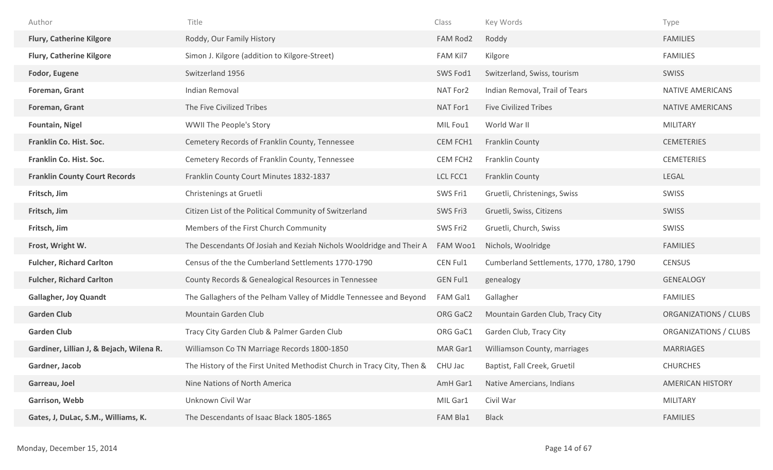| Author                                   | Title                                                                  | Class           | Key Words                                | Type                    |
|------------------------------------------|------------------------------------------------------------------------|-----------------|------------------------------------------|-------------------------|
| <b>Flury, Catherine Kilgore</b>          | Roddy, Our Family History                                              | FAM Rod2        | Roddy                                    | <b>FAMILIES</b>         |
| <b>Flury, Catherine Kilgore</b>          | Simon J. Kilgore (addition to Kilgore-Street)                          | FAM Kil7        | Kilgore                                  | <b>FAMILIES</b>         |
| Fodor, Eugene                            | Switzerland 1956                                                       | SWS Fod1        | Switzerland, Swiss, tourism              | <b>SWISS</b>            |
| Foreman, Grant                           | Indian Removal                                                         | NAT For2        | Indian Removal, Trail of Tears           | NATIVE AMERICANS        |
| Foreman, Grant                           | The Five Civilized Tribes                                              | NAT For1        | <b>Five Civilized Tribes</b>             | NATIVE AMERICANS        |
| <b>Fountain, Nigel</b>                   | WWII The People's Story                                                | MIL Fou1        | World War II                             | <b>MILITARY</b>         |
| Franklin Co. Hist. Soc.                  | Cemetery Records of Franklin County, Tennessee                         | CEM FCH1        | <b>Franklin County</b>                   | <b>CEMETERIES</b>       |
| Franklin Co. Hist. Soc.                  | Cemetery Records of Franklin County, Tennessee                         | CEM FCH2        | <b>Franklin County</b>                   | <b>CEMETERIES</b>       |
| <b>Franklin County Court Records</b>     | Franklin County Court Minutes 1832-1837                                | LCL FCC1        | <b>Franklin County</b>                   | <b>LEGAL</b>            |
| Fritsch, Jim                             | Christenings at Gruetli                                                | SWS Fri1        | Gruetli, Christenings, Swiss             | SWISS                   |
| Fritsch, Jim                             | Citizen List of the Political Community of Switzerland                 | SWS Fri3        | Gruetli, Swiss, Citizens                 | <b>SWISS</b>            |
| Fritsch, Jim                             | Members of the First Church Community                                  | SWS Fri2        | Gruetli, Church, Swiss                   | SWISS                   |
| Frost, Wright W.                         | The Descendants Of Josiah and Keziah Nichols Wooldridge and Their A    |                 | Nichols, Woolridge                       | <b>FAMILIES</b>         |
|                                          |                                                                        | FAM Woo1        |                                          |                         |
| <b>Fulcher, Richard Carlton</b>          | Census of the the Cumberland Settlements 1770-1790                     | CEN Ful1        | Cumberland Settlements, 1770, 1780, 1790 | <b>CENSUS</b>           |
| <b>Fulcher, Richard Carlton</b>          | County Records & Genealogical Resources in Tennessee                   | <b>GEN Ful1</b> | genealogy                                | <b>GENEALOGY</b>        |
| <b>Gallagher, Joy Quandt</b>             | The Gallaghers of the Pelham Valley of Middle Tennessee and Beyond     | FAM Gal1        | Gallagher                                | <b>FAMILIES</b>         |
| <b>Garden Club</b>                       | Mountain Garden Club                                                   | ORG GaC2        | Mountain Garden Club, Tracy City         | ORGANIZATIONS / CLUBS   |
| <b>Garden Club</b>                       | Tracy City Garden Club & Palmer Garden Club                            | ORG GaC1        | Garden Club, Tracy City                  | ORGANIZATIONS / CLUBS   |
| Gardiner, Lillian J, & Bejach, Wilena R. | Williamson Co TN Marriage Records 1800-1850                            | MAR Gar1        | Williamson County, marriages             | <b>MARRIAGES</b>        |
| Gardner, Jacob                           | The History of the First United Methodist Church in Tracy City, Then & | CHU Jac         | Baptist, Fall Creek, Gruetil             | <b>CHURCHES</b>         |
| Garreau, Joel                            | Nine Nations of North America                                          | AmH Gar1        | Native Amercians, Indians                | <b>AMERICAN HISTORY</b> |
| <b>Garrison, Webb</b>                    | Unknown Civil War                                                      | MIL Gar1        | Civil War                                | <b>MILITARY</b>         |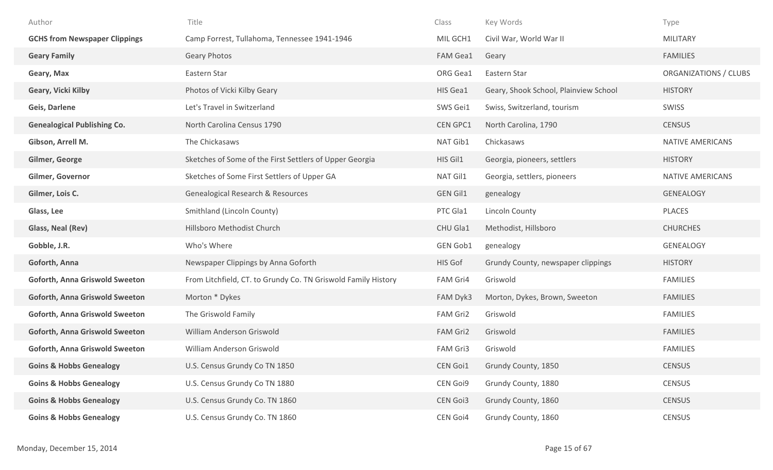| Author                                | Title                                                         | Class           | Key Words                             | Type                    |
|---------------------------------------|---------------------------------------------------------------|-----------------|---------------------------------------|-------------------------|
| <b>GCHS from Newspaper Clippings</b>  | Camp Forrest, Tullahoma, Tennessee 1941-1946                  | MIL GCH1        | Civil War, World War II               | <b>MILITARY</b>         |
| <b>Geary Family</b>                   | <b>Geary Photos</b>                                           | FAM Gea1        | Geary                                 | <b>FAMILIES</b>         |
| Geary, Max                            | Eastern Star                                                  | ORG Gea1        | Eastern Star                          | ORGANIZATIONS / CLUBS   |
| Geary, Vicki Kilby                    | Photos of Vicki Kilby Geary                                   | HIS Gea1        | Geary, Shook School, Plainview School | <b>HISTORY</b>          |
| Geis, Darlene                         | Let's Travel in Switzerland                                   | SWS Gei1        | Swiss, Switzerland, tourism           | SWISS                   |
| <b>Genealogical Publishing Co.</b>    | North Carolina Census 1790                                    | <b>CEN GPC1</b> | North Carolina, 1790                  | <b>CENSUS</b>           |
| Gibson, Arrell M.                     | The Chickasaws                                                | NAT Gib1        | Chickasaws                            | <b>NATIVE AMERICANS</b> |
| Gilmer, George                        | Sketches of Some of the First Settlers of Upper Georgia       | HIS Gil1        | Georgia, pioneers, settlers           | <b>HISTORY</b>          |
| Gilmer, Governor                      | Sketches of Some First Settlers of Upper GA                   | NAT Gil1        | Georgia, settlers, pioneers           | NATIVE AMERICANS        |
| Gilmer, Lois C.                       | Genealogical Research & Resources                             | <b>GEN Gil1</b> | genealogy                             | <b>GENEALOGY</b>        |
| Glass, Lee                            | Smithland (Lincoln County)                                    | PTC Gla1        | Lincoln County                        | PLACES                  |
| Glass, Neal (Rev)                     | Hillsboro Methodist Church                                    | CHU Gla1        | Methodist, Hillsboro                  | <b>CHURCHES</b>         |
| Gobble, J.R.                          | Who's Where                                                   | GEN Gob1        | genealogy                             | <b>GENEALOGY</b>        |
| Goforth, Anna                         | Newspaper Clippings by Anna Goforth                           | HIS Gof         | Grundy County, newspaper clippings    | <b>HISTORY</b>          |
| <b>Goforth, Anna Griswold Sweeton</b> | From Litchfield, CT. to Grundy Co. TN Griswold Family History | FAM Gri4        | Griswold                              | <b>FAMILIES</b>         |
| <b>Goforth, Anna Griswold Sweeton</b> | Morton * Dykes                                                | FAM Dyk3        | Morton, Dykes, Brown, Sweeton         | <b>FAMILIES</b>         |
| <b>Goforth, Anna Griswold Sweeton</b> | The Griswold Family                                           | FAM Gri2        | Griswold                              | <b>FAMILIES</b>         |
| <b>Goforth, Anna Griswold Sweeton</b> | William Anderson Griswold                                     | FAM Gri2        | Griswold                              | <b>FAMILIES</b>         |
| Goforth, Anna Griswold Sweeton        | William Anderson Griswold                                     | FAM Gri3        | Griswold                              | <b>FAMILIES</b>         |
| <b>Goins &amp; Hobbs Genealogy</b>    | U.S. Census Grundy Co TN 1850                                 | CEN Goi1        | Grundy County, 1850                   | <b>CENSUS</b>           |
| <b>Goins &amp; Hobbs Genealogy</b>    | U.S. Census Grundy Co TN 1880                                 | CEN Goi9        | Grundy County, 1880                   | <b>CENSUS</b>           |
| <b>Goins &amp; Hobbs Genealogy</b>    | U.S. Census Grundy Co. TN 1860                                | CEN Goi3        | Grundy County, 1860                   | <b>CENSUS</b>           |
| <b>Goins &amp; Hobbs Genealogy</b>    | U.S. Census Grundy Co. TN 1860                                | CEN Goi4        | Grundy County, 1860                   | CENSUS                  |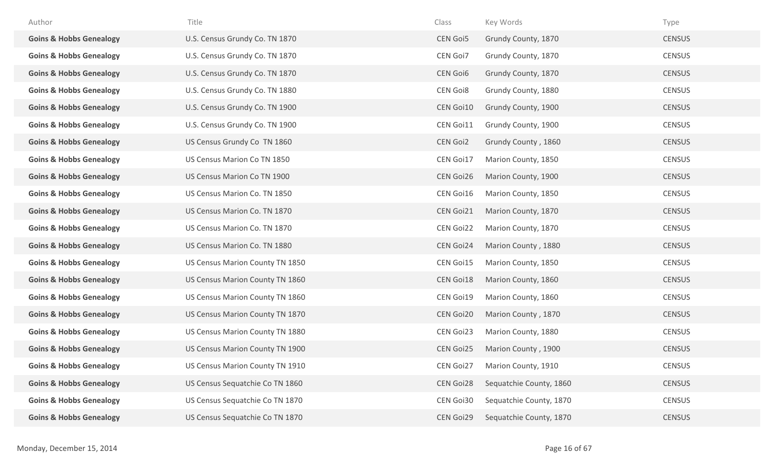| Author                             | Title                           | Class            | Key Words               | Type          |
|------------------------------------|---------------------------------|------------------|-------------------------|---------------|
| <b>Goins &amp; Hobbs Genealogy</b> | U.S. Census Grundy Co. TN 1870  | <b>CEN Goi5</b>  | Grundy County, 1870     | <b>CENSUS</b> |
| <b>Goins &amp; Hobbs Genealogy</b> | U.S. Census Grundy Co. TN 1870  | CEN Goi7         | Grundy County, 1870     | <b>CENSUS</b> |
| <b>Goins &amp; Hobbs Genealogy</b> | U.S. Census Grundy Co. TN 1870  | <b>CEN Goi6</b>  | Grundy County, 1870     | <b>CENSUS</b> |
| <b>Goins &amp; Hobbs Genealogy</b> | U.S. Census Grundy Co. TN 1880  | <b>CEN Goi8</b>  | Grundy County, 1880     | <b>CENSUS</b> |
| <b>Goins &amp; Hobbs Genealogy</b> | U.S. Census Grundy Co. TN 1900  | CEN Goi10        | Grundy County, 1900     | <b>CENSUS</b> |
| <b>Goins &amp; Hobbs Genealogy</b> | U.S. Census Grundy Co. TN 1900  | CEN Goi11        | Grundy County, 1900     | <b>CENSUS</b> |
| <b>Goins &amp; Hobbs Genealogy</b> | US Census Grundy Co TN 1860     | <b>CEN Goi2</b>  | Grundy County, 1860     | <b>CENSUS</b> |
| <b>Goins &amp; Hobbs Genealogy</b> | US Census Marion Co TN 1850     | CEN Goi17        | Marion County, 1850     | <b>CENSUS</b> |
| <b>Goins &amp; Hobbs Genealogy</b> | US Census Marion Co TN 1900     | CEN Goi26        | Marion County, 1900     | <b>CENSUS</b> |
| <b>Goins &amp; Hobbs Genealogy</b> | US Census Marion Co. TN 1850    | CEN Goi16        | Marion County, 1850     | <b>CENSUS</b> |
| <b>Goins &amp; Hobbs Genealogy</b> | US Census Marion Co. TN 1870    | CEN Goi21        | Marion County, 1870     | <b>CENSUS</b> |
| <b>Goins &amp; Hobbs Genealogy</b> | US Census Marion Co. TN 1870    | <b>CEN Goi22</b> | Marion County, 1870     | <b>CENSUS</b> |
| <b>Goins &amp; Hobbs Genealogy</b> | US Census Marion Co. TN 1880    | CEN Goi24        | Marion County, 1880     | <b>CENSUS</b> |
| <b>Goins &amp; Hobbs Genealogy</b> | US Census Marion County TN 1850 | CEN Goi15        | Marion County, 1850     | <b>CENSUS</b> |
| <b>Goins &amp; Hobbs Genealogy</b> | US Census Marion County TN 1860 | CEN Goi18        | Marion County, 1860     | <b>CENSUS</b> |
| <b>Goins &amp; Hobbs Genealogy</b> | US Census Marion County TN 1860 | CEN Goi19        | Marion County, 1860     | <b>CENSUS</b> |
| <b>Goins &amp; Hobbs Genealogy</b> | US Census Marion County TN 1870 | <b>CEN Goi20</b> | Marion County, 1870     | <b>CENSUS</b> |
| <b>Goins &amp; Hobbs Genealogy</b> | US Census Marion County TN 1880 | CEN Goi23        | Marion County, 1880     | <b>CENSUS</b> |
| <b>Goins &amp; Hobbs Genealogy</b> | US Census Marion County TN 1900 | <b>CEN Goi25</b> | Marion County, 1900     | <b>CENSUS</b> |
| <b>Goins &amp; Hobbs Genealogy</b> | US Census Marion County TN 1910 | CEN Goi27        | Marion County, 1910     | <b>CENSUS</b> |
| <b>Goins &amp; Hobbs Genealogy</b> | US Census Sequatchie Co TN 1860 | <b>CEN Goi28</b> | Sequatchie County, 1860 | <b>CENSUS</b> |
| <b>Goins &amp; Hobbs Genealogy</b> | US Census Sequatchie Co TN 1870 | CEN Goi30        | Sequatchie County, 1870 | <b>CENSUS</b> |
| <b>Goins &amp; Hobbs Genealogy</b> | US Census Sequatchie Co TN 1870 | CEN Goi29        | Sequatchie County, 1870 | <b>CENSUS</b> |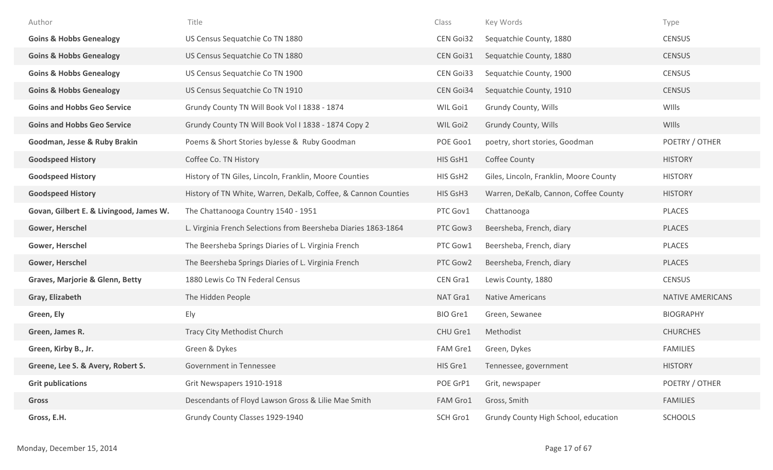| Author                                  | Title                                                          | Class     | Key Words                              | Type                    |
|-----------------------------------------|----------------------------------------------------------------|-----------|----------------------------------------|-------------------------|
| <b>Goins &amp; Hobbs Genealogy</b>      | US Census Sequatchie Co TN 1880                                | CEN Goi32 | Sequatchie County, 1880                | <b>CENSUS</b>           |
| <b>Goins &amp; Hobbs Genealogy</b>      | US Census Sequatchie Co TN 1880                                | CEN Goi31 | Sequatchie County, 1880                | <b>CENSUS</b>           |
| <b>Goins &amp; Hobbs Genealogy</b>      | US Census Sequatchie Co TN 1900                                | CEN Goi33 | Sequatchie County, 1900                | <b>CENSUS</b>           |
| <b>Goins &amp; Hobbs Genealogy</b>      | US Census Sequatchie Co TN 1910                                | CEN Goi34 | Sequatchie County, 1910                | <b>CENSUS</b>           |
| <b>Goins and Hobbs Geo Service</b>      | Grundy County TN Will Book Vol I 1838 - 1874                   | WIL Goi1  | Grundy County, Wills                   | WIlls                   |
| <b>Goins and Hobbs Geo Service</b>      | Grundy County TN Will Book Vol I 1838 - 1874 Copy 2            | WIL Goi2  | Grundy County, Wills                   | WIlls                   |
| Goodman, Jesse & Ruby Brakin            | Poems & Short Stories byJesse & Ruby Goodman                   | POE Goo1  | poetry, short stories, Goodman         | POETRY / OTHER          |
| <b>Goodspeed History</b>                | Coffee Co. TN History                                          | HIS GsH1  | Coffee County                          | <b>HISTORY</b>          |
| <b>Goodspeed History</b>                | History of TN Giles, Lincoln, Franklin, Moore Counties         | HIS GsH2  | Giles, Lincoln, Franklin, Moore County | <b>HISTORY</b>          |
| <b>Goodspeed History</b>                | History of TN White, Warren, DeKalb, Coffee, & Cannon Counties | HIS GsH3  | Warren, DeKalb, Cannon, Coffee County  | <b>HISTORY</b>          |
| Govan, Gilbert E. & Livingood, James W. | The Chattanooga Country 1540 - 1951                            | PTC Gov1  | Chattanooga                            | PLACES                  |
| Gower, Herschel                         | L. Virginia French Selections from Beersheba Diaries 1863-1864 | PTC Gow3  | Beersheba, French, diary               | <b>PLACES</b>           |
| Gower, Herschel                         | The Beersheba Springs Diaries of L. Virginia French            | PTC Gow1  | Beersheba, French, diary               | PLACES                  |
| Gower, Herschel                         | The Beersheba Springs Diaries of L. Virginia French            | PTC Gow2  | Beersheba, French, diary               | <b>PLACES</b>           |
| Graves, Marjorie & Glenn, Betty         | 1880 Lewis Co TN Federal Census                                | CEN Gra1  | Lewis County, 1880                     | <b>CENSUS</b>           |
| Gray, Elizabeth                         | The Hidden People                                              | NAT Gra1  | Native Americans                       | <b>NATIVE AMERICANS</b> |
| Green, Ely                              | Ely                                                            | BIO Gre1  | Green, Sewanee                         | <b>BIOGRAPHY</b>        |
| Green, James R.                         | Tracy City Methodist Church                                    | CHU Gre1  | Methodist                              | <b>CHURCHES</b>         |
| Green, Kirby B., Jr.                    | Green & Dykes                                                  | FAM Gre1  | Green, Dykes                           | <b>FAMILIES</b>         |
| Greene, Lee S. & Avery, Robert S.       | Government in Tennessee                                        | HIS Gre1  | Tennessee, government                  | <b>HISTORY</b>          |
| <b>Grit publications</b>                | Grit Newspapers 1910-1918                                      | POE GrP1  | Grit, newspaper                        | POETRY / OTHER          |
| Gross                                   | Descendants of Floyd Lawson Gross & Lilie Mae Smith            | FAM Gro1  | Gross, Smith                           | <b>FAMILIES</b>         |
| Gross, E.H.                             | Grundy County Classes 1929-1940                                | SCH Gro1  | Grundy County High School, education   | <b>SCHOOLS</b>          |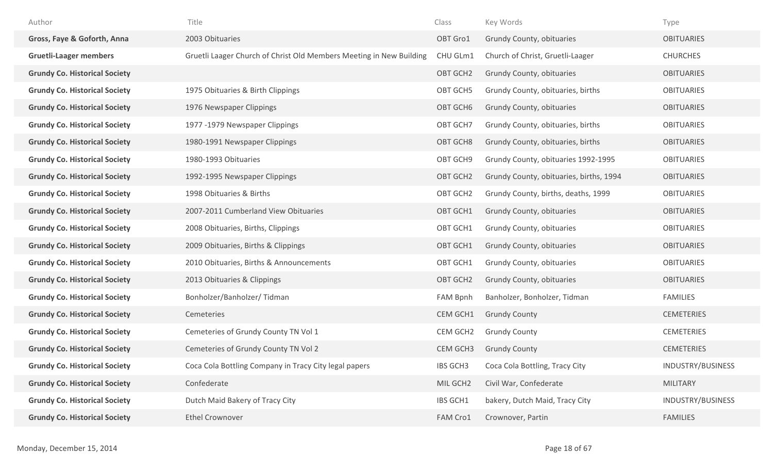| Author                               | Title                                                               | Class           | Key Words                               | Type              |
|--------------------------------------|---------------------------------------------------------------------|-----------------|-----------------------------------------|-------------------|
| Gross, Faye & Goforth, Anna          | 2003 Obituaries                                                     | OBT Gro1        | Grundy County, obituaries               | <b>OBITUARIES</b> |
| <b>Gruetli-Laager members</b>        | Gruetli Laager Church of Christ Old Members Meeting in New Building | CHU GLm1        | Church of Christ, Gruetli-Laager        | <b>CHURCHES</b>   |
| <b>Grundy Co. Historical Society</b> |                                                                     | OBT GCH2        | Grundy County, obituaries               | <b>OBITUARIES</b> |
| <b>Grundy Co. Historical Society</b> | 1975 Obituaries & Birth Clippings                                   | OBT GCH5        | Grundy County, obituaries, births       | <b>OBITUARIES</b> |
| <b>Grundy Co. Historical Society</b> | 1976 Newspaper Clippings                                            | OBT GCH6        | Grundy County, obituaries               | <b>OBITUARIES</b> |
| <b>Grundy Co. Historical Society</b> | 1977 -1979 Newspaper Clippings                                      | OBT GCH7        | Grundy County, obituaries, births       | <b>OBITUARIES</b> |
| <b>Grundy Co. Historical Society</b> | 1980-1991 Newspaper Clippings                                       | OBT GCH8        | Grundy County, obituaries, births       | <b>OBITUARIES</b> |
| <b>Grundy Co. Historical Society</b> | 1980-1993 Obituaries                                                | OBT GCH9        | Grundy County, obituaries 1992-1995     | <b>OBITUARIES</b> |
| <b>Grundy Co. Historical Society</b> | 1992-1995 Newspaper Clippings                                       | OBT GCH2        | Grundy County, obituaries, births, 1994 | <b>OBITUARIES</b> |
| <b>Grundy Co. Historical Society</b> | 1998 Obituaries & Births                                            | OBT GCH2        | Grundy County, births, deaths, 1999     | <b>OBITUARIES</b> |
| <b>Grundy Co. Historical Society</b> | 2007-2011 Cumberland View Obituaries                                | OBT GCH1        | Grundy County, obituaries               | <b>OBITUARIES</b> |
| <b>Grundy Co. Historical Society</b> | 2008 Obituaries, Births, Clippings                                  | OBT GCH1        | Grundy County, obituaries               | <b>OBITUARIES</b> |
| <b>Grundy Co. Historical Society</b> | 2009 Obituaries, Births & Clippings                                 | OBT GCH1        | Grundy County, obituaries               | <b>OBITUARIES</b> |
| <b>Grundy Co. Historical Society</b> | 2010 Obituaries, Births & Announcements                             | OBT GCH1        | Grundy County, obituaries               | <b>OBITUARIES</b> |
| <b>Grundy Co. Historical Society</b> | 2013 Obituaries & Clippings                                         | OBT GCH2        | Grundy County, obituaries               | <b>OBITUARIES</b> |
| <b>Grundy Co. Historical Society</b> | Bonholzer/Banholzer/Tidman                                          | FAM Bpnh        | Banholzer, Bonholzer, Tidman            | <b>FAMILIES</b>   |
| <b>Grundy Co. Historical Society</b> | Cemeteries                                                          | CEM GCH1        | <b>Grundy County</b>                    | <b>CEMETERIES</b> |
| <b>Grundy Co. Historical Society</b> | Cemeteries of Grundy County TN Vol 1                                | CEM GCH2        | <b>Grundy County</b>                    | <b>CEMETERIES</b> |
| <b>Grundy Co. Historical Society</b> | Cemeteries of Grundy County TN Vol 2                                | CEM GCH3        | <b>Grundy County</b>                    | <b>CEMETERIES</b> |
| <b>Grundy Co. Historical Society</b> | Coca Cola Bottling Company in Tracy City legal papers               | <b>IBS GCH3</b> | Coca Cola Bottling, Tracy City          | INDUSTRY/BUSINESS |
| <b>Grundy Co. Historical Society</b> | Confederate                                                         | MIL GCH2        | Civil War, Confederate                  | MILITARY          |
| <b>Grundy Co. Historical Society</b> | Dutch Maid Bakery of Tracy City                                     | IBS GCH1        | bakery, Dutch Maid, Tracy City          | INDUSTRY/BUSINESS |
| <b>Grundy Co. Historical Society</b> | <b>Ethel Crownover</b>                                              | FAM Cro1        | Crownover, Partin                       | <b>FAMILIES</b>   |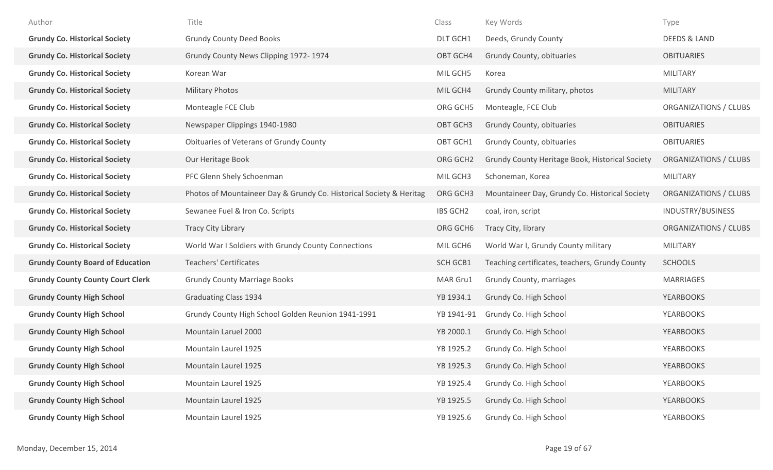| Author                                  | Title                                                               | Class           | Key Words                                       | Type                         |
|-----------------------------------------|---------------------------------------------------------------------|-----------------|-------------------------------------------------|------------------------------|
| <b>Grundy Co. Historical Society</b>    | <b>Grundy County Deed Books</b>                                     | DLT GCH1        | Deeds, Grundy County                            | <b>DEEDS &amp; LAND</b>      |
| <b>Grundy Co. Historical Society</b>    | Grundy County News Clipping 1972-1974                               | OBT GCH4        | Grundy County, obituaries                       | <b>OBITUARIES</b>            |
| <b>Grundy Co. Historical Society</b>    | Korean War                                                          | MIL GCH5        | Korea                                           | <b>MILITARY</b>              |
| <b>Grundy Co. Historical Society</b>    | <b>Military Photos</b>                                              | MIL GCH4        | Grundy County military, photos                  | <b>MILITARY</b>              |
| <b>Grundy Co. Historical Society</b>    | Monteagle FCE Club                                                  | ORG GCH5        | Monteagle, FCE Club                             | <b>ORGANIZATIONS / CLUBS</b> |
| <b>Grundy Co. Historical Society</b>    | Newspaper Clippings 1940-1980                                       | OBT GCH3        | Grundy County, obituaries                       | <b>OBITUARIES</b>            |
| <b>Grundy Co. Historical Society</b>    | Obituaries of Veterans of Grundy County                             | OBT GCH1        | Grundy County, obituaries                       | <b>OBITUARIES</b>            |
| <b>Grundy Co. Historical Society</b>    | Our Heritage Book                                                   | ORG GCH2        | Grundy County Heritage Book, Historical Society | ORGANIZATIONS / CLUBS        |
| <b>Grundy Co. Historical Society</b>    | PFC Glenn Shely Schoenman                                           | MIL GCH3        | Schoneman, Korea                                | <b>MILITARY</b>              |
| <b>Grundy Co. Historical Society</b>    | Photos of Mountaineer Day & Grundy Co. Historical Society & Heritag | ORG GCH3        | Mountaineer Day, Grundy Co. Historical Society  | ORGANIZATIONS / CLUBS        |
| <b>Grundy Co. Historical Society</b>    | Sewanee Fuel & Iron Co. Scripts                                     | <b>IBS GCH2</b> | coal, iron, script                              | INDUSTRY/BUSINESS            |
| <b>Grundy Co. Historical Society</b>    | <b>Tracy City Library</b>                                           | ORG GCH6        | Tracy City, library                             | ORGANIZATIONS / CLUBS        |
| <b>Grundy Co. Historical Society</b>    | World War I Soldiers with Grundy County Connections                 | MIL GCH6        | World War I, Grundy County military             | <b>MILITARY</b>              |
| <b>Grundy County Board of Education</b> | <b>Teachers' Certificates</b>                                       | <b>SCH GCB1</b> | Teaching certificates, teachers, Grundy County  | <b>SCHOOLS</b>               |
| <b>Grundy County County Court Clerk</b> | <b>Grundy County Marriage Books</b>                                 | MAR Gru1        | Grundy County, marriages                        | <b>MARRIAGES</b>             |
| <b>Grundy County High School</b>        | <b>Graduating Class 1934</b>                                        | YB 1934.1       | Grundy Co. High School                          | <b>YEARBOOKS</b>             |
| <b>Grundy County High School</b>        | Grundy County High School Golden Reunion 1941-1991                  | YB 1941-91      | Grundy Co. High School                          | YEARBOOKS                    |
| <b>Grundy County High School</b>        | Mountain Laruel 2000                                                | YB 2000.1       | Grundy Co. High School                          | <b>YEARBOOKS</b>             |
| <b>Grundy County High School</b>        | Mountain Laurel 1925                                                | YB 1925.2       | Grundy Co. High School                          | <b>YEARBOOKS</b>             |
| <b>Grundy County High School</b>        | Mountain Laurel 1925                                                | YB 1925.3       | Grundy Co. High School                          | <b>YEARBOOKS</b>             |
| <b>Grundy County High School</b>        | Mountain Laurel 1925                                                | YB 1925.4       | Grundy Co. High School                          | <b>YEARBOOKS</b>             |
| <b>Grundy County High School</b>        | Mountain Laurel 1925                                                | YB 1925.5       | Grundy Co. High School                          | <b>YEARBOOKS</b>             |
| <b>Grundy County High School</b>        | Mountain Laurel 1925                                                | YB 1925.6       | Grundy Co. High School                          | YEARBOOKS                    |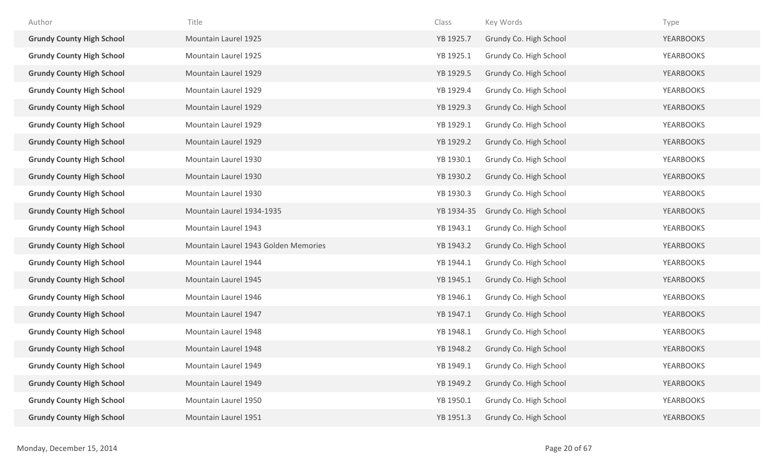| Author                           | Title                                | Class      | Key Words              | Type             |
|----------------------------------|--------------------------------------|------------|------------------------|------------------|
| <b>Grundy County High School</b> | Mountain Laurel 1925                 | YB 1925.7  | Grundy Co. High School | <b>YEARBOOKS</b> |
| <b>Grundy County High School</b> | Mountain Laurel 1925                 | YB 1925.1  | Grundy Co. High School | <b>YEARBOOKS</b> |
| <b>Grundy County High School</b> | Mountain Laurel 1929                 | YB 1929.5  | Grundy Co. High School | <b>YEARBOOKS</b> |
| <b>Grundy County High School</b> | Mountain Laurel 1929                 | YB 1929.4  | Grundy Co. High School | <b>YEARBOOKS</b> |
| <b>Grundy County High School</b> | Mountain Laurel 1929                 | YB 1929.3  | Grundy Co. High School | <b>YEARBOOKS</b> |
| <b>Grundy County High School</b> | Mountain Laurel 1929                 | YB 1929.1  | Grundy Co. High School | <b>YEARBOOKS</b> |
| <b>Grundy County High School</b> | Mountain Laurel 1929                 | YB 1929.2  | Grundy Co. High School | <b>YEARBOOKS</b> |
| <b>Grundy County High School</b> | Mountain Laurel 1930                 | YB 1930.1  | Grundy Co. High School | YEARBOOKS        |
| <b>Grundy County High School</b> | Mountain Laurel 1930                 | YB 1930.2  | Grundy Co. High School | <b>YEARBOOKS</b> |
| <b>Grundy County High School</b> | Mountain Laurel 1930                 | YB 1930.3  | Grundy Co. High School | <b>YEARBOOKS</b> |
| <b>Grundy County High School</b> | Mountain Laurel 1934-1935            | YB 1934-35 | Grundy Co. High School | <b>YEARBOOKS</b> |
| <b>Grundy County High School</b> | Mountain Laurel 1943                 | YB 1943.1  | Grundy Co. High School | <b>YEARBOOKS</b> |
| <b>Grundy County High School</b> | Mountain Laurel 1943 Golden Memories | YB 1943.2  | Grundy Co. High School | <b>YEARBOOKS</b> |
| <b>Grundy County High School</b> | Mountain Laurel 1944                 | YB 1944.1  | Grundy Co. High School | <b>YEARBOOKS</b> |
| <b>Grundy County High School</b> | Mountain Laurel 1945                 | YB 1945.1  | Grundy Co. High School | <b>YEARBOOKS</b> |
| <b>Grundy County High School</b> | Mountain Laurel 1946                 | YB 1946.1  | Grundy Co. High School | YEARBOOKS        |
| <b>Grundy County High School</b> | Mountain Laurel 1947                 | YB 1947.1  | Grundy Co. High School | <b>YEARBOOKS</b> |
| <b>Grundy County High School</b> | Mountain Laurel 1948                 | YB 1948.1  | Grundy Co. High School | <b>YEARBOOKS</b> |
| <b>Grundy County High School</b> | Mountain Laurel 1948                 | YB 1948.2  | Grundy Co. High School | <b>YEARBOOKS</b> |
| <b>Grundy County High School</b> | Mountain Laurel 1949                 | YB 1949.1  | Grundy Co. High School | <b>YEARBOOKS</b> |
| <b>Grundy County High School</b> | Mountain Laurel 1949                 | YB 1949.2  | Grundy Co. High School | <b>YEARBOOKS</b> |
| <b>Grundy County High School</b> | Mountain Laurel 1950                 | YB 1950.1  | Grundy Co. High School | <b>YEARBOOKS</b> |
| <b>Grundy County High School</b> | Mountain Laurel 1951                 | YB 1951.3  | Grundy Co. High School | <b>YEARBOOKS</b> |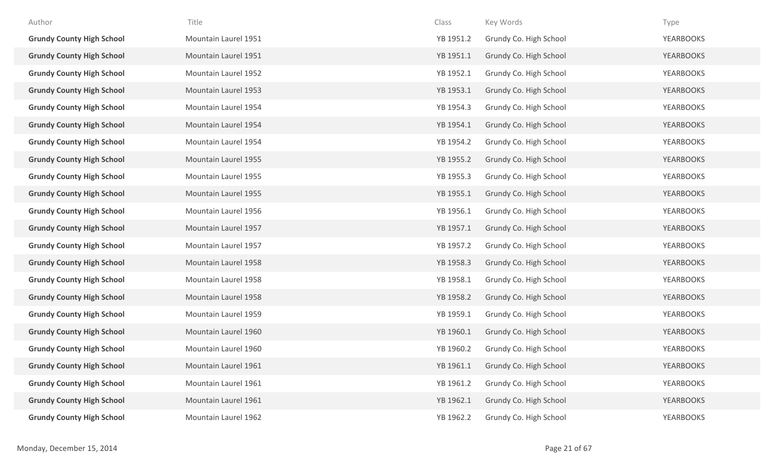| Author                           | Title                | Class     | Key Words              | Type             |
|----------------------------------|----------------------|-----------|------------------------|------------------|
| <b>Grundy County High School</b> | Mountain Laurel 1951 | YB 1951.2 | Grundy Co. High School | <b>YEARBOOKS</b> |
| <b>Grundy County High School</b> | Mountain Laurel 1951 | YB 1951.1 | Grundy Co. High School | <b>YEARBOOKS</b> |
| <b>Grundy County High School</b> | Mountain Laurel 1952 | YB 1952.1 | Grundy Co. High School | <b>YEARBOOKS</b> |
| <b>Grundy County High School</b> | Mountain Laurel 1953 | YB 1953.1 | Grundy Co. High School | <b>YEARBOOKS</b> |
| <b>Grundy County High School</b> | Mountain Laurel 1954 | YB 1954.3 | Grundy Co. High School | <b>YEARBOOKS</b> |
| <b>Grundy County High School</b> | Mountain Laurel 1954 | YB 1954.1 | Grundy Co. High School | <b>YEARBOOKS</b> |
| <b>Grundy County High School</b> | Mountain Laurel 1954 | YB 1954.2 | Grundy Co. High School | <b>YEARBOOKS</b> |
| <b>Grundy County High School</b> | Mountain Laurel 1955 | YB 1955.2 | Grundy Co. High School | <b>YEARBOOKS</b> |
| <b>Grundy County High School</b> | Mountain Laurel 1955 | YB 1955.3 | Grundy Co. High School | <b>YEARBOOKS</b> |
| <b>Grundy County High School</b> | Mountain Laurel 1955 | YB 1955.1 | Grundy Co. High School | <b>YEARBOOKS</b> |
| <b>Grundy County High School</b> | Mountain Laurel 1956 | YB 1956.1 | Grundy Co. High School | <b>YEARBOOKS</b> |
| <b>Grundy County High School</b> | Mountain Laurel 1957 | YB 1957.1 | Grundy Co. High School | <b>YEARBOOKS</b> |
| <b>Grundy County High School</b> | Mountain Laurel 1957 | YB 1957.2 | Grundy Co. High School | <b>YEARBOOKS</b> |
| <b>Grundy County High School</b> | Mountain Laurel 1958 | YB 1958.3 | Grundy Co. High School | <b>YEARBOOKS</b> |
| <b>Grundy County High School</b> | Mountain Laurel 1958 | YB 1958.1 | Grundy Co. High School | YEARBOOKS        |
| <b>Grundy County High School</b> | Mountain Laurel 1958 | YB 1958.2 | Grundy Co. High School | <b>YEARBOOKS</b> |
| <b>Grundy County High School</b> | Mountain Laurel 1959 | YB 1959.1 | Grundy Co. High School | <b>YEARBOOKS</b> |
| <b>Grundy County High School</b> | Mountain Laurel 1960 | YB 1960.1 | Grundy Co. High School | <b>YEARBOOKS</b> |
| <b>Grundy County High School</b> | Mountain Laurel 1960 | YB 1960.2 | Grundy Co. High School | <b>YEARBOOKS</b> |
| <b>Grundy County High School</b> | Mountain Laurel 1961 | YB 1961.1 | Grundy Co. High School | <b>YEARBOOKS</b> |
| <b>Grundy County High School</b> | Mountain Laurel 1961 | YB 1961.2 | Grundy Co. High School | <b>YEARBOOKS</b> |
| <b>Grundy County High School</b> | Mountain Laurel 1961 | YB 1962.1 | Grundy Co. High School | <b>YEARBOOKS</b> |
| <b>Grundy County High School</b> | Mountain Laurel 1962 | YB 1962.2 | Grundy Co. High School | <b>YEARBOOKS</b> |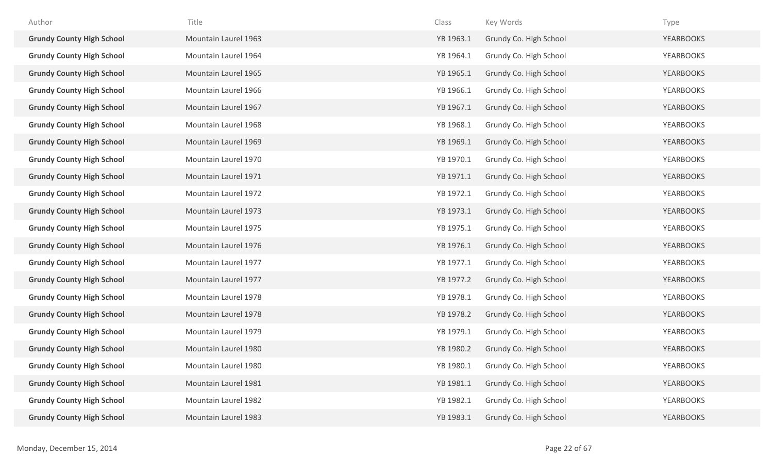| Author                           | Title                | Class     | Key Words              | Type             |
|----------------------------------|----------------------|-----------|------------------------|------------------|
| <b>Grundy County High School</b> | Mountain Laurel 1963 | YB 1963.1 | Grundy Co. High School | <b>YEARBOOKS</b> |
| <b>Grundy County High School</b> | Mountain Laurel 1964 | YB 1964.1 | Grundy Co. High School | <b>YEARBOOKS</b> |
| <b>Grundy County High School</b> | Mountain Laurel 1965 | YB 1965.1 | Grundy Co. High School | <b>YEARBOOKS</b> |
| <b>Grundy County High School</b> | Mountain Laurel 1966 | YB 1966.1 | Grundy Co. High School | <b>YEARBOOKS</b> |
| <b>Grundy County High School</b> | Mountain Laurel 1967 | YB 1967.1 | Grundy Co. High School | <b>YEARBOOKS</b> |
| <b>Grundy County High School</b> | Mountain Laurel 1968 | YB 1968.1 | Grundy Co. High School | <b>YEARBOOKS</b> |
| <b>Grundy County High School</b> | Mountain Laurel 1969 | YB 1969.1 | Grundy Co. High School | <b>YEARBOOKS</b> |
| <b>Grundy County High School</b> | Mountain Laurel 1970 | YB 1970.1 | Grundy Co. High School | YEARBOOKS        |
| <b>Grundy County High School</b> | Mountain Laurel 1971 | YB 1971.1 | Grundy Co. High School | <b>YEARBOOKS</b> |
| <b>Grundy County High School</b> | Mountain Laurel 1972 | YB 1972.1 | Grundy Co. High School | <b>YEARBOOKS</b> |
| <b>Grundy County High School</b> | Mountain Laurel 1973 | YB 1973.1 | Grundy Co. High School | <b>YEARBOOKS</b> |
| <b>Grundy County High School</b> | Mountain Laurel 1975 | YB 1975.1 | Grundy Co. High School | <b>YEARBOOKS</b> |
| <b>Grundy County High School</b> | Mountain Laurel 1976 | YB 1976.1 | Grundy Co. High School | <b>YEARBOOKS</b> |
| <b>Grundy County High School</b> | Mountain Laurel 1977 | YB 1977.1 | Grundy Co. High School | <b>YEARBOOKS</b> |
| <b>Grundy County High School</b> | Mountain Laurel 1977 | YB 1977.2 | Grundy Co. High School | <b>YEARBOOKS</b> |
| <b>Grundy County High School</b> | Mountain Laurel 1978 | YB 1978.1 | Grundy Co. High School | YEARBOOKS        |
| <b>Grundy County High School</b> | Mountain Laurel 1978 | YB 1978.2 | Grundy Co. High School | <b>YEARBOOKS</b> |
| <b>Grundy County High School</b> | Mountain Laurel 1979 | YB 1979.1 | Grundy Co. High School | <b>YEARBOOKS</b> |
| <b>Grundy County High School</b> | Mountain Laurel 1980 | YB 1980.2 | Grundy Co. High School | <b>YEARBOOKS</b> |
| <b>Grundy County High School</b> | Mountain Laurel 1980 | YB 1980.1 | Grundy Co. High School | <b>YEARBOOKS</b> |
| <b>Grundy County High School</b> | Mountain Laurel 1981 | YB 1981.1 | Grundy Co. High School | <b>YEARBOOKS</b> |
| <b>Grundy County High School</b> | Mountain Laurel 1982 | YB 1982.1 | Grundy Co. High School | <b>YEARBOOKS</b> |
| <b>Grundy County High School</b> | Mountain Laurel 1983 | YB 1983.1 | Grundy Co. High School | <b>YEARBOOKS</b> |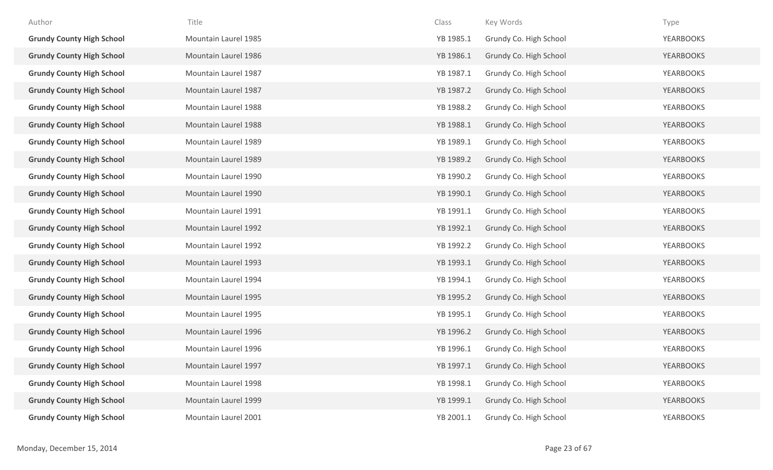| Author                           | Title                | Class     | Key Words              | Type             |
|----------------------------------|----------------------|-----------|------------------------|------------------|
| <b>Grundy County High School</b> | Mountain Laurel 1985 | YB 1985.1 | Grundy Co. High School | <b>YEARBOOKS</b> |
| <b>Grundy County High School</b> | Mountain Laurel 1986 | YB 1986.1 | Grundy Co. High School | <b>YEARBOOKS</b> |
| <b>Grundy County High School</b> | Mountain Laurel 1987 | YB 1987.1 | Grundy Co. High School | <b>YEARBOOKS</b> |
| <b>Grundy County High School</b> | Mountain Laurel 1987 | YB 1987.2 | Grundy Co. High School | <b>YEARBOOKS</b> |
| <b>Grundy County High School</b> | Mountain Laurel 1988 | YB 1988.2 | Grundy Co. High School | <b>YEARBOOKS</b> |
| <b>Grundy County High School</b> | Mountain Laurel 1988 | YB 1988.1 | Grundy Co. High School | <b>YEARBOOKS</b> |
| <b>Grundy County High School</b> | Mountain Laurel 1989 | YB 1989.1 | Grundy Co. High School | YEARBOOKS        |
| <b>Grundy County High School</b> | Mountain Laurel 1989 | YB 1989.2 | Grundy Co. High School | <b>YEARBOOKS</b> |
| <b>Grundy County High School</b> | Mountain Laurel 1990 | YB 1990.2 | Grundy Co. High School | <b>YEARBOOKS</b> |
| <b>Grundy County High School</b> | Mountain Laurel 1990 | YB 1990.1 | Grundy Co. High School | <b>YEARBOOKS</b> |
| <b>Grundy County High School</b> | Mountain Laurel 1991 | YB 1991.1 | Grundy Co. High School | <b>YEARBOOKS</b> |
| <b>Grundy County High School</b> | Mountain Laurel 1992 | YB 1992.1 | Grundy Co. High School | <b>YEARBOOKS</b> |
| <b>Grundy County High School</b> | Mountain Laurel 1992 | YB 1992.2 | Grundy Co. High School | <b>YEARBOOKS</b> |
| <b>Grundy County High School</b> | Mountain Laurel 1993 | YB 1993.1 | Grundy Co. High School | <b>YEARBOOKS</b> |
| <b>Grundy County High School</b> | Mountain Laurel 1994 | YB 1994.1 | Grundy Co. High School | <b>YEARBOOKS</b> |
| <b>Grundy County High School</b> | Mountain Laurel 1995 | YB 1995.2 | Grundy Co. High School | <b>YEARBOOKS</b> |
| <b>Grundy County High School</b> | Mountain Laurel 1995 | YB 1995.1 | Grundy Co. High School | <b>YEARBOOKS</b> |
| <b>Grundy County High School</b> | Mountain Laurel 1996 | YB 1996.2 | Grundy Co. High School | <b>YEARBOOKS</b> |
| <b>Grundy County High School</b> | Mountain Laurel 1996 | YB 1996.1 | Grundy Co. High School | <b>YEARBOOKS</b> |
| <b>Grundy County High School</b> | Mountain Laurel 1997 | YB 1997.1 | Grundy Co. High School | <b>YEARBOOKS</b> |
| <b>Grundy County High School</b> | Mountain Laurel 1998 | YB 1998.1 | Grundy Co. High School | <b>YEARBOOKS</b> |
| <b>Grundy County High School</b> | Mountain Laurel 1999 | YB 1999.1 | Grundy Co. High School | <b>YEARBOOKS</b> |
| <b>Grundy County High School</b> | Mountain Laurel 2001 | YB 2001.1 | Grundy Co. High School | <b>YEARBOOKS</b> |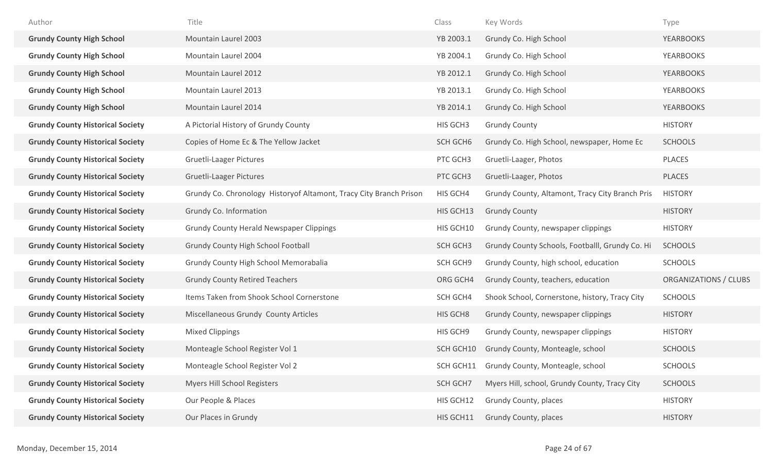| Author                                  | Title                                                              | Class     | Key Words                                       | Type                  |
|-----------------------------------------|--------------------------------------------------------------------|-----------|-------------------------------------------------|-----------------------|
| <b>Grundy County High School</b>        | Mountain Laurel 2003                                               | YB 2003.1 | Grundy Co. High School                          | <b>YEARBOOKS</b>      |
| <b>Grundy County High School</b>        | Mountain Laurel 2004                                               | YB 2004.1 | Grundy Co. High School                          | <b>YEARBOOKS</b>      |
| <b>Grundy County High School</b>        | Mountain Laurel 2012                                               | YB 2012.1 | Grundy Co. High School                          | <b>YEARBOOKS</b>      |
| <b>Grundy County High School</b>        | Mountain Laurel 2013                                               | YB 2013.1 | Grundy Co. High School                          | <b>YEARBOOKS</b>      |
| <b>Grundy County High School</b>        | Mountain Laurel 2014                                               | YB 2014.1 | Grundy Co. High School                          | <b>YEARBOOKS</b>      |
| <b>Grundy County Historical Society</b> | A Pictorial History of Grundy County                               | HIS GCH3  | <b>Grundy County</b>                            | <b>HISTORY</b>        |
| <b>Grundy County Historical Society</b> | Copies of Home Ec & The Yellow Jacket                              | SCH GCH6  | Grundy Co. High School, newspaper, Home Ec      | <b>SCHOOLS</b>        |
| <b>Grundy County Historical Society</b> | <b>Gruetli-Laager Pictures</b>                                     | PTC GCH3  | Gruetli-Laager, Photos                          | PLACES                |
| <b>Grundy County Historical Society</b> | <b>Gruetli-Laager Pictures</b>                                     | PTC GCH3  | Gruetli-Laager, Photos                          | PLACES                |
| <b>Grundy County Historical Society</b> | Grundy Co. Chronology Historyof Altamont, Tracy City Branch Prison | HIS GCH4  | Grundy County, Altamont, Tracy City Branch Pris | <b>HISTORY</b>        |
| <b>Grundy County Historical Society</b> | Grundy Co. Information                                             | HIS GCH13 | <b>Grundy County</b>                            | <b>HISTORY</b>        |
| <b>Grundy County Historical Society</b> | <b>Grundy County Herald Newspaper Clippings</b>                    | HIS GCH10 | Grundy County, newspaper clippings              | <b>HISTORY</b>        |
| <b>Grundy County Historical Society</b> | Grundy County High School Football                                 | SCH GCH3  | Grundy County Schools, Footballl, Grundy Co. Hi | <b>SCHOOLS</b>        |
| <b>Grundy County Historical Society</b> | Grundy County High School Memorabalia                              | SCH GCH9  | Grundy County, high school, education           | <b>SCHOOLS</b>        |
| <b>Grundy County Historical Society</b> | <b>Grundy County Retired Teachers</b>                              | ORG GCH4  | Grundy County, teachers, education              | ORGANIZATIONS / CLUBS |
| <b>Grundy County Historical Society</b> | Items Taken from Shook School Cornerstone                          | SCH GCH4  | Shook School, Cornerstone, history, Tracy City  | <b>SCHOOLS</b>        |
| <b>Grundy County Historical Society</b> | Miscellaneous Grundy County Articles                               | HIS GCH8  | Grundy County, newspaper clippings              | <b>HISTORY</b>        |
| <b>Grundy County Historical Society</b> | <b>Mixed Clippings</b>                                             | HIS GCH9  | Grundy County, newspaper clippings              | <b>HISTORY</b>        |
| <b>Grundy County Historical Society</b> | Monteagle School Register Vol 1                                    | SCH GCH10 | Grundy County, Monteagle, school                | <b>SCHOOLS</b>        |
| <b>Grundy County Historical Society</b> | Monteagle School Register Vol 2                                    | SCH GCH11 | Grundy County, Monteagle, school                | <b>SCHOOLS</b>        |
| <b>Grundy County Historical Society</b> | Myers Hill School Registers                                        | SCH GCH7  | Myers Hill, school, Grundy County, Tracy City   | <b>SCHOOLS</b>        |
| <b>Grundy County Historical Society</b> | Our People & Places                                                | HIS GCH12 | Grundy County, places                           | <b>HISTORY</b>        |
| <b>Grundy County Historical Society</b> | Our Places in Grundy                                               | HIS GCH11 | Grundy County, places                           | <b>HISTORY</b>        |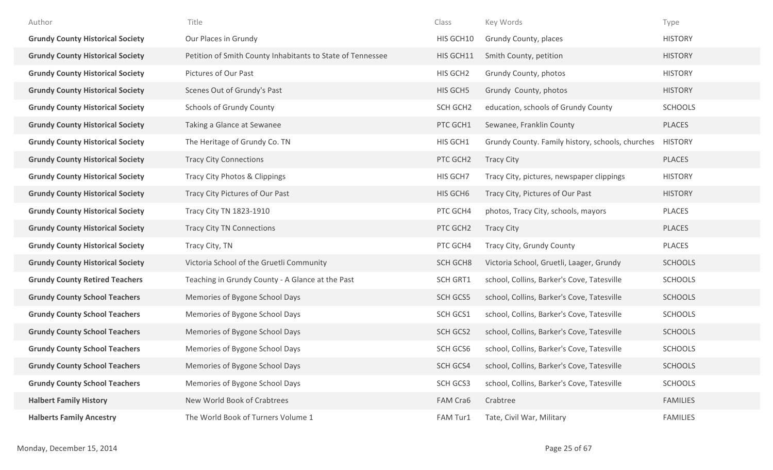| Author                                  | Title                                                      | Class     | Key Words                                        | Type            |
|-----------------------------------------|------------------------------------------------------------|-----------|--------------------------------------------------|-----------------|
| <b>Grundy County Historical Society</b> | Our Places in Grundy                                       | HIS GCH10 | Grundy County, places                            | <b>HISTORY</b>  |
| <b>Grundy County Historical Society</b> | Petition of Smith County Inhabitants to State of Tennessee | HIS GCH11 | Smith County, petition                           | <b>HISTORY</b>  |
| <b>Grundy County Historical Society</b> | Pictures of Our Past                                       | HIS GCH2  | Grundy County, photos                            | <b>HISTORY</b>  |
| <b>Grundy County Historical Society</b> | Scenes Out of Grundy's Past                                | HIS GCH5  | Grundy County, photos                            | <b>HISTORY</b>  |
| <b>Grundy County Historical Society</b> | <b>Schools of Grundy County</b>                            | SCH GCH2  | education, schools of Grundy County              | <b>SCHOOLS</b>  |
| <b>Grundy County Historical Society</b> | Taking a Glance at Sewanee                                 | PTC GCH1  | Sewanee, Franklin County                         | PLACES          |
| <b>Grundy County Historical Society</b> | The Heritage of Grundy Co. TN                              | HIS GCH1  | Grundy County. Family history, schools, churches | <b>HISTORY</b>  |
| <b>Grundy County Historical Society</b> | <b>Tracy City Connections</b>                              | PTC GCH2  | <b>Tracy City</b>                                | PLACES          |
| <b>Grundy County Historical Society</b> | Tracy City Photos & Clippings                              | HIS GCH7  | Tracy City, pictures, newspaper clippings        | <b>HISTORY</b>  |
| <b>Grundy County Historical Society</b> | Tracy City Pictures of Our Past                            | HIS GCH6  | Tracy City, Pictures of Our Past                 | <b>HISTORY</b>  |
| <b>Grundy County Historical Society</b> | Tracy City TN 1823-1910                                    | PTC GCH4  | photos, Tracy City, schools, mayors              | PLACES          |
| <b>Grundy County Historical Society</b> | <b>Tracy City TN Connections</b>                           | PTC GCH2  | <b>Tracy City</b>                                | PLACES          |
| <b>Grundy County Historical Society</b> | Tracy City, TN                                             | PTC GCH4  | Tracy City, Grundy County                        | <b>PLACES</b>   |
| <b>Grundy County Historical Society</b> | Victoria School of the Gruetli Community                   | SCH GCH8  | Victoria School, Gruetli, Laager, Grundy         | <b>SCHOOLS</b>  |
| <b>Grundy County Retired Teachers</b>   | Teaching in Grundy County - A Glance at the Past           | SCH GRT1  | school, Collins, Barker's Cove, Tatesville       | <b>SCHOOLS</b>  |
| <b>Grundy County School Teachers</b>    | Memories of Bygone School Days                             | SCH GCS5  | school, Collins, Barker's Cove, Tatesville       | <b>SCHOOLS</b>  |
| <b>Grundy County School Teachers</b>    | Memories of Bygone School Days                             | SCH GCS1  | school, Collins, Barker's Cove, Tatesville       | <b>SCHOOLS</b>  |
| <b>Grundy County School Teachers</b>    | Memories of Bygone School Days                             | SCH GCS2  | school, Collins, Barker's Cove, Tatesville       | <b>SCHOOLS</b>  |
| <b>Grundy County School Teachers</b>    | Memories of Bygone School Days                             | SCH GCS6  | school, Collins, Barker's Cove, Tatesville       | <b>SCHOOLS</b>  |
| <b>Grundy County School Teachers</b>    | Memories of Bygone School Days                             | SCH GCS4  | school, Collins, Barker's Cove, Tatesville       | <b>SCHOOLS</b>  |
| <b>Grundy County School Teachers</b>    | Memories of Bygone School Days                             | SCH GCS3  | school, Collins, Barker's Cove, Tatesville       | <b>SCHOOLS</b>  |
| <b>Halbert Family History</b>           | New World Book of Crabtrees                                | FAM Cra6  | Crabtree                                         | <b>FAMILIES</b> |
| <b>Halberts Family Ancestry</b>         | The World Book of Turners Volume 1                         | FAM Tur1  | Tate, Civil War, Military                        | <b>FAMILIES</b> |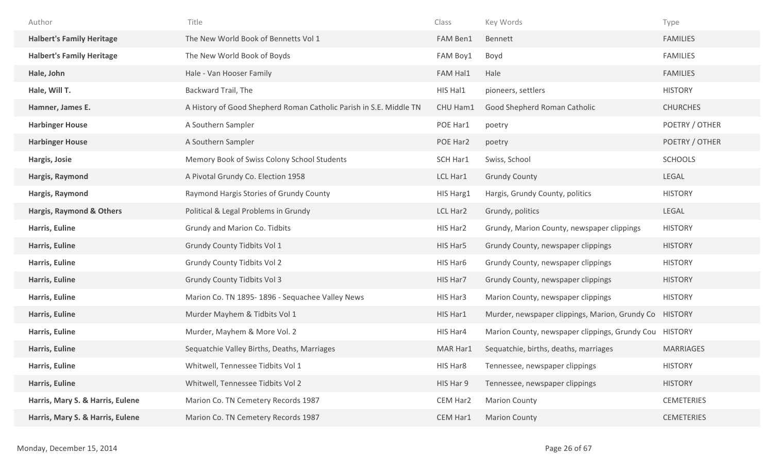| Author                              | Title                                                              | Class     | Key Words                                              | Type              |
|-------------------------------------|--------------------------------------------------------------------|-----------|--------------------------------------------------------|-------------------|
| <b>Halbert's Family Heritage</b>    | The New World Book of Bennetts Vol 1                               | FAM Ben1  | Bennett                                                | <b>FAMILIES</b>   |
| <b>Halbert's Family Heritage</b>    | The New World Book of Boyds                                        | FAM Boy1  | Boyd                                                   | <b>FAMILIES</b>   |
| Hale, John                          | Hale - Van Hooser Family                                           | FAM Hal1  | Hale                                                   | <b>FAMILIES</b>   |
| Hale, Will T.                       | Backward Trail, The                                                | HIS Hal1  | pioneers, settlers                                     | <b>HISTORY</b>    |
| Hamner, James E.                    | A History of Good Shepherd Roman Catholic Parish in S.E. Middle TN | CHU Ham1  | Good Shepherd Roman Catholic                           | <b>CHURCHES</b>   |
| <b>Harbinger House</b>              | A Southern Sampler                                                 | POE Har1  | poetry                                                 | POETRY / OTHER    |
| <b>Harbinger House</b>              | A Southern Sampler                                                 | POE Har2  | poetry                                                 | POETRY / OTHER    |
| Hargis, Josie                       | Memory Book of Swiss Colony School Students                        | SCH Har1  | Swiss, School                                          | <b>SCHOOLS</b>    |
| Hargis, Raymond                     | A Pivotal Grundy Co. Election 1958                                 | LCL Har1  | <b>Grundy County</b>                                   | LEGAL             |
| Hargis, Raymond                     | Raymond Hargis Stories of Grundy County                            | HIS Harg1 | Hargis, Grundy County, politics                        | <b>HISTORY</b>    |
| <b>Hargis, Raymond &amp; Others</b> | Political & Legal Problems in Grundy                               | LCL Har2  | Grundy, politics                                       | LEGAL             |
| Harris, Euline                      | Grundy and Marion Co. Tidbits                                      | HIS Har2  | Grundy, Marion County, newspaper clippings             | <b>HISTORY</b>    |
| Harris, Euline                      | Grundy County Tidbits Vol 1                                        | HIS Har5  | Grundy County, newspaper clippings                     | <b>HISTORY</b>    |
| Harris, Euline                      | <b>Grundy County Tidbits Vol 2</b>                                 | HIS Har6  | Grundy County, newspaper clippings                     | <b>HISTORY</b>    |
| Harris, Euline                      | <b>Grundy County Tidbits Vol 3</b>                                 | HIS Har7  | Grundy County, newspaper clippings                     | <b>HISTORY</b>    |
| Harris, Euline                      | Marion Co. TN 1895-1896 - Sequachee Valley News                    | HIS Har3  | Marion County, newspaper clippings                     | <b>HISTORY</b>    |
| Harris, Euline                      | Murder Mayhem & Tidbits Vol 1                                      | HIS Har1  | Murder, newspaper clippings, Marion, Grundy Co HISTORY |                   |
| Harris, Euline                      | Murder, Mayhem & More Vol. 2                                       | HIS Har4  | Marion County, newspaper clippings, Grundy Cou HISTORY |                   |
| Harris, Euline                      | Sequatchie Valley Births, Deaths, Marriages                        | MAR Har1  | Sequatchie, births, deaths, marriages                  | <b>MARRIAGES</b>  |
| Harris, Euline                      | Whitwell, Tennessee Tidbits Vol 1                                  | HIS Har8  | Tennessee, newspaper clippings                         | <b>HISTORY</b>    |
| Harris, Euline                      | Whitwell, Tennessee Tidbits Vol 2                                  | HIS Har 9 | Tennessee, newspaper clippings                         | <b>HISTORY</b>    |
| Harris, Mary S. & Harris, Eulene    | Marion Co. TN Cemetery Records 1987                                | CEM Har2  | <b>Marion County</b>                                   | <b>CEMETERIES</b> |
| Harris, Mary S. & Harris, Eulene    | Marion Co. TN Cemetery Records 1987                                | CEM Har1  | <b>Marion County</b>                                   | <b>CEMETERIES</b> |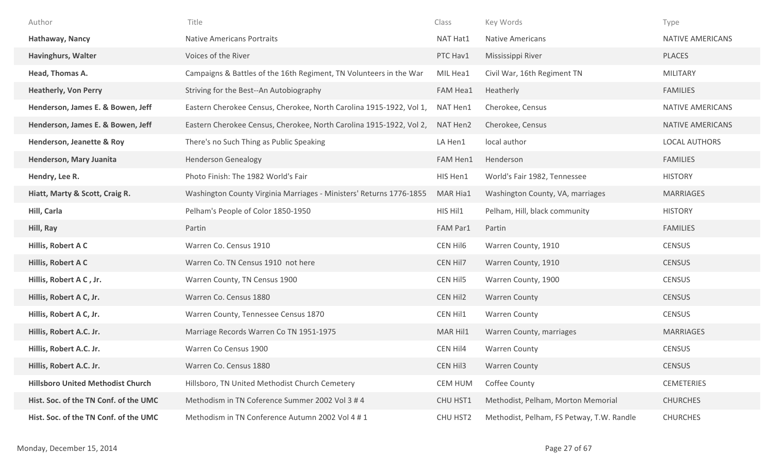| Author                                   | Title                                                               | Class           | Key Words                                 | Type                    |
|------------------------------------------|---------------------------------------------------------------------|-----------------|-------------------------------------------|-------------------------|
| Hathaway, Nancy                          | <b>Native Americans Portraits</b>                                   | NAT Hat1        | <b>Native Americans</b>                   | <b>NATIVE AMERICANS</b> |
| <b>Havinghurs, Walter</b>                | Voices of the River                                                 | PTC Hav1        | Mississippi River                         | <b>PLACES</b>           |
| Head, Thomas A.                          | Campaigns & Battles of the 16th Regiment, TN Volunteers in the War  | MIL Hea1        | Civil War, 16th Regiment TN               | <b>MILITARY</b>         |
| <b>Heatherly, Von Perry</b>              | Striving for the Best--An Autobiography                             | <b>FAM Hea1</b> | Heatherly                                 | <b>FAMILIES</b>         |
| Henderson, James E. & Bowen, Jeff        | Eastern Cherokee Census, Cherokee, North Carolina 1915-1922, Vol 1, | NAT Hen1        | Cherokee, Census                          | <b>NATIVE AMERICANS</b> |
| Henderson, James E. & Bowen, Jeff        | Eastern Cherokee Census, Cherokee, North Carolina 1915-1922, Vol 2, | NAT Hen2        | Cherokee, Census                          | <b>NATIVE AMERICANS</b> |
| Henderson, Jeanette & Roy                | There's no Such Thing as Public Speaking                            | LA Hen1         | local author                              | LOCAL AUTHORS           |
| Henderson, Mary Juanita                  | <b>Henderson Genealogy</b>                                          | FAM Hen1        | Henderson                                 | <b>FAMILIES</b>         |
| Hendry, Lee R.                           | Photo Finish: The 1982 World's Fair                                 | HIS Hen1        | World's Fair 1982, Tennessee              | <b>HISTORY</b>          |
| Hiatt, Marty & Scott, Craig R.           | Washington County Virginia Marriages - Ministers' Returns 1776-1855 | MAR Hia1        | Washington County, VA, marriages          | <b>MARRIAGES</b>        |
| Hill, Carla                              | Pelham's People of Color 1850-1950                                  | HIS Hil1        | Pelham, Hill, black community             | <b>HISTORY</b>          |
| Hill, Ray                                | Partin                                                              | FAM Par1        | Partin                                    | <b>FAMILIES</b>         |
| Hillis, Robert A C                       | Warren Co. Census 1910                                              | CEN Hil6        | Warren County, 1910                       | <b>CENSUS</b>           |
| Hillis, Robert A C                       | Warren Co. TN Census 1910 not here                                  | CEN Hil7        | Warren County, 1910                       | <b>CENSUS</b>           |
| Hillis, Robert A C, Jr.                  | Warren County, TN Census 1900                                       | CEN Hil5        | Warren County, 1900                       | <b>CENSUS</b>           |
| Hillis, Robert A C, Jr.                  | Warren Co. Census 1880                                              | CEN Hil2        | <b>Warren County</b>                      | <b>CENSUS</b>           |
| Hillis, Robert A C, Jr.                  | Warren County, Tennessee Census 1870                                | CEN Hil1        | <b>Warren County</b>                      | <b>CENSUS</b>           |
| Hillis, Robert A.C. Jr.                  | Marriage Records Warren Co TN 1951-1975                             | MAR Hil1        | Warren County, marriages                  | <b>MARRIAGES</b>        |
| Hillis, Robert A.C. Jr.                  | Warren Co Census 1900                                               | CEN Hil4        | <b>Warren County</b>                      | <b>CENSUS</b>           |
| Hillis, Robert A.C. Jr.                  | Warren Co. Census 1880                                              | CEN Hil3        | <b>Warren County</b>                      | <b>CENSUS</b>           |
| <b>Hillsboro United Methodist Church</b> | Hillsboro, TN United Methodist Church Cemetery                      | <b>CEM HUM</b>  | Coffee County                             | <b>CEMETERIES</b>       |
| Hist. Soc. of the TN Conf. of the UMC    | Methodism in TN Coference Summer 2002 Vol 3 # 4                     | CHU HST1        | Methodist, Pelham, Morton Memorial        | <b>CHURCHES</b>         |
| Hist. Soc. of the TN Conf. of the UMC    | Methodism in TN Conference Autumn 2002 Vol 4 # 1                    | CHU HST2        | Methodist, Pelham, FS Petway, T.W. Randle | <b>CHURCHES</b>         |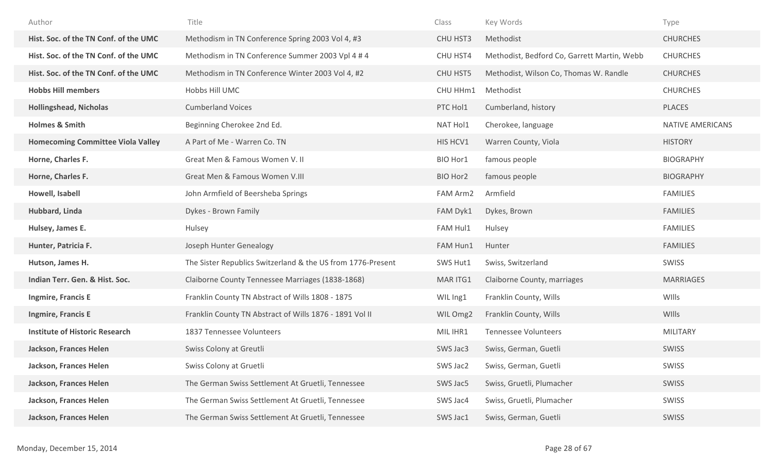| Author                                   | Title                                                       | Class    | Key Words                                   | Type             |
|------------------------------------------|-------------------------------------------------------------|----------|---------------------------------------------|------------------|
| Hist. Soc. of the TN Conf. of the UMC    | Methodism in TN Conference Spring 2003 Vol 4, #3            | CHU HST3 | Methodist                                   | <b>CHURCHES</b>  |
| Hist. Soc. of the TN Conf. of the UMC    | Methodism in TN Conference Summer 2003 Vpl 4 # 4            | CHU HST4 | Methodist, Bedford Co, Garrett Martin, Webb | <b>CHURCHES</b>  |
| Hist. Soc. of the TN Conf. of the UMC    | Methodism in TN Conference Winter 2003 Vol 4, #2            | CHU HST5 | Methodist, Wilson Co, Thomas W. Randle      | <b>CHURCHES</b>  |
| <b>Hobbs Hill members</b>                | Hobbs Hill UMC                                              | CHU HHm1 | Methodist                                   | <b>CHURCHES</b>  |
| <b>Hollingshead, Nicholas</b>            | <b>Cumberland Voices</b>                                    | PTC Hol1 | Cumberland, history                         | <b>PLACES</b>    |
| <b>Holmes &amp; Smith</b>                | Beginning Cherokee 2nd Ed.                                  | NAT Hol1 | Cherokee, language                          | NATIVE AMERICANS |
| <b>Homecoming Committee Viola Valley</b> | A Part of Me - Warren Co. TN                                | HIS HCV1 | Warren County, Viola                        | <b>HISTORY</b>   |
| Horne, Charles F.                        | Great Men & Famous Women V. II                              | BIO Hor1 | famous people                               | <b>BIOGRAPHY</b> |
| Horne, Charles F.                        | Great Men & Famous Women V.III                              | BIO Hor2 | famous people                               | <b>BIOGRAPHY</b> |
| Howell, Isabell                          | John Armfield of Beersheba Springs                          | FAM Arm2 | Armfield                                    | <b>FAMILIES</b>  |
| Hubbard, Linda                           | Dykes - Brown Family                                        | FAM Dyk1 | Dykes, Brown                                | <b>FAMILIES</b>  |
| Hulsey, James E.                         | Hulsey                                                      | FAM Hul1 | Hulsey                                      | <b>FAMILIES</b>  |
| Hunter, Patricia F.                      | Joseph Hunter Genealogy                                     | FAM Hun1 | Hunter                                      | <b>FAMILIES</b>  |
| Hutson, James H.                         | The Sister Republics Switzerland & the US from 1776-Present | SWS Hut1 | Swiss, Switzerland                          | SWISS            |
| Indian Terr. Gen. & Hist. Soc.           | Claiborne County Tennessee Marriages (1838-1868)            | MAR ITG1 | Claiborne County, marriages                 | <b>MARRIAGES</b> |
| <b>Ingmire, Francis E</b>                | Franklin County TN Abstract of Wills 1808 - 1875            | WIL Ing1 | Franklin County, Wills                      | WIlls            |
| <b>Ingmire, Francis E</b>                | Franklin County TN Abstract of Wills 1876 - 1891 Vol II     | WIL Omg2 | Franklin County, Wills                      | WIlls            |
| <b>Institute of Historic Research</b>    | 1837 Tennessee Volunteers                                   | MIL IHR1 | <b>Tennessee Volunteers</b>                 | <b>MILITARY</b>  |
| Jackson, Frances Helen                   | Swiss Colony at Greutli                                     | SWS Jac3 | Swiss, German, Guetli                       | <b>SWISS</b>     |
| Jackson, Frances Helen                   | Swiss Colony at Gruetli                                     | SWS Jac2 | Swiss, German, Guetli                       | SWISS            |
| Jackson, Frances Helen                   | The German Swiss Settlement At Gruetli, Tennessee           | SWS Jac5 | Swiss, Gruetli, Plumacher                   | <b>SWISS</b>     |
| Jackson, Frances Helen                   | The German Swiss Settlement At Gruetli, Tennessee           | SWS Jac4 | Swiss, Gruetli, Plumacher                   | SWISS            |
| Jackson, Frances Helen                   | The German Swiss Settlement At Gruetli, Tennessee           | SWS Jac1 | Swiss, German, Guetli                       | <b>SWISS</b>     |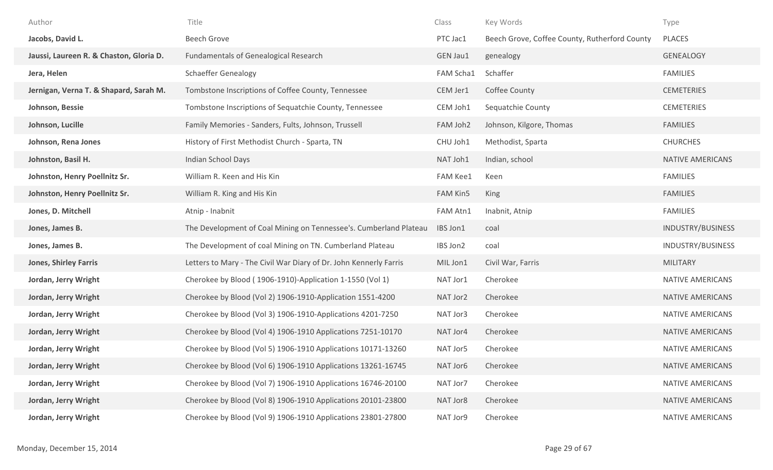| Author                                  | Title                                                             | Class           | Key Words                                     | Type                    |
|-----------------------------------------|-------------------------------------------------------------------|-----------------|-----------------------------------------------|-------------------------|
| Jacobs, David L.                        | <b>Beech Grove</b>                                                | PTC Jac1        | Beech Grove, Coffee County, Rutherford County | PLACES                  |
| Jaussi, Laureen R. & Chaston, Gloria D. | <b>Fundamentals of Genealogical Research</b>                      | GEN Jau1        | genealogy                                     | <b>GENEALOGY</b>        |
| Jera, Helen                             | <b>Schaeffer Genealogy</b>                                        | FAM Scha1       | Schaffer                                      | <b>FAMILIES</b>         |
| Jernigan, Verna T. & Shapard, Sarah M.  | Tombstone Inscriptions of Coffee County, Tennessee                | CEM Jer1        | Coffee County                                 | <b>CEMETERIES</b>       |
| Johnson, Bessie                         | Tombstone Inscriptions of Sequatchie County, Tennessee            | CEM Joh1        | Sequatchie County                             | <b>CEMETERIES</b>       |
| Johnson, Lucille                        | Family Memories - Sanders, Fults, Johnson, Trussell               | FAM Joh2        | Johnson, Kilgore, Thomas                      | <b>FAMILIES</b>         |
| Johnson, Rena Jones                     | History of First Methodist Church - Sparta, TN                    | CHU Joh1        | Methodist, Sparta                             | <b>CHURCHES</b>         |
| Johnston, Basil H.                      | Indian School Days                                                | NAT Joh1        | Indian, school                                | <b>NATIVE AMERICANS</b> |
| Johnston, Henry Poellnitz Sr.           | William R. Keen and His Kin                                       | <b>FAM Kee1</b> | Keen                                          | <b>FAMILIES</b>         |
| Johnston, Henry Poellnitz Sr.           | William R. King and His Kin                                       | <b>FAM Kin5</b> | King                                          | <b>FAMILIES</b>         |
| Jones, D. Mitchell                      | Atnip - Inabnit                                                   | FAM Atn1        | Inabnit, Atnip                                | <b>FAMILIES</b>         |
| Jones, James B.                         | The Development of Coal Mining on Tennessee's. Cumberland Plateau | IBS Jon1        | coal                                          | INDUSTRY/BUSINESS       |
| Jones, James B.                         | The Development of coal Mining on TN. Cumberland Plateau          | IBS Jon2        | coal                                          | INDUSTRY/BUSINESS       |
| <b>Jones, Shirley Farris</b>            | Letters to Mary - The Civil War Diary of Dr. John Kennerly Farris | MIL Jon1        | Civil War, Farris                             | <b>MILITARY</b>         |
| Jordan, Jerry Wright                    | Cherokee by Blood (1906-1910)-Application 1-1550 (Vol 1)          | NAT Jor1        | Cherokee                                      | NATIVE AMERICANS        |
| Jordan, Jerry Wright                    | Cherokee by Blood (Vol 2) 1906-1910-Application 1551-4200         | NAT Jor2        | Cherokee                                      | NATIVE AMERICANS        |
| Jordan, Jerry Wright                    | Cherokee by Blood (Vol 3) 1906-1910-Applications 4201-7250        | NAT Jor3        | Cherokee                                      | NATIVE AMERICANS        |
| Jordan, Jerry Wright                    | Cherokee by Blood (Vol 4) 1906-1910 Applications 7251-10170       | NAT Jor4        | Cherokee                                      | NATIVE AMERICANS        |
| Jordan, Jerry Wright                    | Cherokee by Blood (Vol 5) 1906-1910 Applications 10171-13260      | NAT Jor5        | Cherokee                                      | <b>NATIVE AMERICANS</b> |
| Jordan, Jerry Wright                    | Cherokee by Blood (Vol 6) 1906-1910 Applications 13261-16745      | NAT Jor6        | Cherokee                                      | <b>NATIVE AMERICANS</b> |
| Jordan, Jerry Wright                    | Cherokee by Blood (Vol 7) 1906-1910 Applications 16746-20100      | NAT Jor7        | Cherokee                                      | NATIVE AMERICANS        |
| Jordan, Jerry Wright                    | Cherokee by Blood (Vol 8) 1906-1910 Applications 20101-23800      | NAT Jor8        | Cherokee                                      | <b>NATIVE AMERICANS</b> |
| Jordan, Jerry Wright                    | Cherokee by Blood (Vol 9) 1906-1910 Applications 23801-27800      | NAT Jor9        | Cherokee                                      | NATIVE AMERICANS        |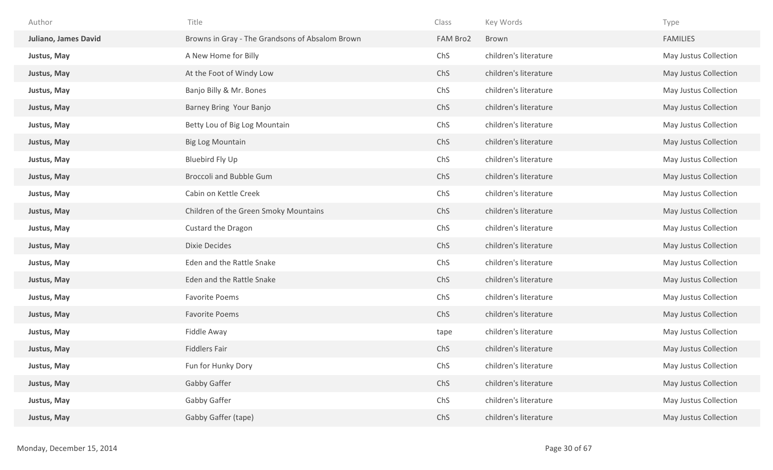| Author                      | Title                                           | Class    | Key Words             | Type                  |
|-----------------------------|-------------------------------------------------|----------|-----------------------|-----------------------|
| <b>Juliano, James David</b> | Browns in Gray - The Grandsons of Absalom Brown | FAM Bro2 | Brown                 | <b>FAMILIES</b>       |
| Justus, May                 | A New Home for Billy                            | ChS      | children's literature | May Justus Collection |
| Justus, May                 | At the Foot of Windy Low                        | ChS      | children's literature | May Justus Collection |
| Justus, May                 | Banjo Billy & Mr. Bones                         | ChS      | children's literature | May Justus Collection |
| Justus, May                 | Barney Bring Your Banjo                         | ChS      | children's literature | May Justus Collection |
| Justus, May                 | Betty Lou of Big Log Mountain                   | ChS      | children's literature | May Justus Collection |
| Justus, May                 | <b>Big Log Mountain</b>                         | ChS      | children's literature | May Justus Collection |
| Justus, May                 | Bluebird Fly Up                                 | ChS      | children's literature | May Justus Collection |
| Justus, May                 | <b>Broccoli and Bubble Gum</b>                  | ChS      | children's literature | May Justus Collection |
| Justus, May                 | Cabin on Kettle Creek                           | ChS      | children's literature | May Justus Collection |
| Justus, May                 | Children of the Green Smoky Mountains           | ChS      | children's literature | May Justus Collection |
| Justus, May                 | Custard the Dragon                              | ChS      | children's literature | May Justus Collection |
| Justus, May                 | <b>Dixie Decides</b>                            | ChS      | children's literature | May Justus Collection |
| Justus, May                 | Eden and the Rattle Snake                       | ChS      | children's literature | May Justus Collection |
| Justus, May                 | Eden and the Rattle Snake                       | ChS      | children's literature | May Justus Collection |
| Justus, May                 | <b>Favorite Poems</b>                           | ChS      | children's literature | May Justus Collection |
| Justus, May                 | <b>Favorite Poems</b>                           | ChS      | children's literature | May Justus Collection |
| Justus, May                 | Fiddle Away                                     | tape     | children's literature | May Justus Collection |
| Justus, May                 | <b>Fiddlers Fair</b>                            | ChS      | children's literature | May Justus Collection |
| Justus, May                 | Fun for Hunky Dory                              | ChS      | children's literature | May Justus Collection |
| Justus, May                 | Gabby Gaffer                                    | ChS      | children's literature | May Justus Collection |
| Justus, May                 | Gabby Gaffer                                    | ChS      | children's literature | May Justus Collection |
| Justus, May                 | Gabby Gaffer (tape)                             | ChS      | children's literature | May Justus Collection |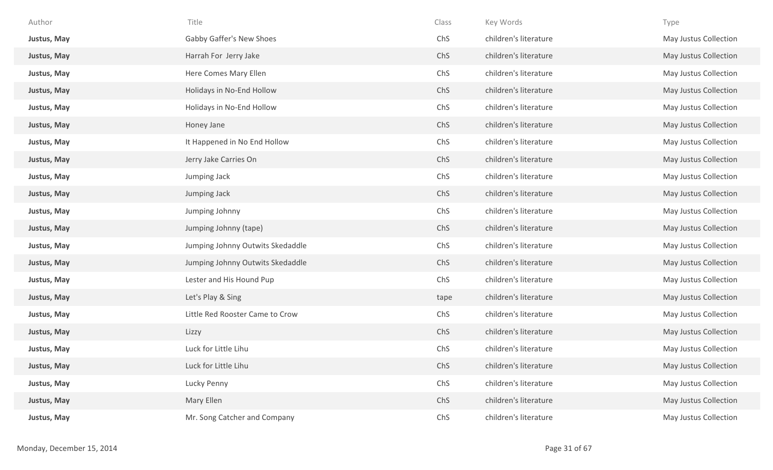| Author      | Title                            | Class | Key Words             | Type                  |
|-------------|----------------------------------|-------|-----------------------|-----------------------|
| Justus, May | Gabby Gaffer's New Shoes         | ChS   | children's literature | May Justus Collection |
| Justus, May | Harrah For Jerry Jake            | ChS   | children's literature | May Justus Collection |
| Justus, May | Here Comes Mary Ellen            | ChS   | children's literature | May Justus Collection |
| Justus, May | Holidays in No-End Hollow        | ChS   | children's literature | May Justus Collection |
| Justus, May | Holidays in No-End Hollow        | ChS   | children's literature | May Justus Collection |
| Justus, May | Honey Jane                       | ChS   | children's literature | May Justus Collection |
| Justus, May | It Happened in No End Hollow     | ChS   | children's literature | May Justus Collection |
| Justus, May | Jerry Jake Carries On            | ChS   | children's literature | May Justus Collection |
| Justus, May | Jumping Jack                     | ChS   | children's literature | May Justus Collection |
| Justus, May | Jumping Jack                     | ChS   | children's literature | May Justus Collection |
| Justus, May | Jumping Johnny                   | ChS   | children's literature | May Justus Collection |
| Justus, May | Jumping Johnny (tape)            | ChS   | children's literature | May Justus Collection |
| Justus, May | Jumping Johnny Outwits Skedaddle | ChS   | children's literature | May Justus Collection |
| Justus, May | Jumping Johnny Outwits Skedaddle | ChS   | children's literature | May Justus Collection |
| Justus, May | Lester and His Hound Pup         | ChS   | children's literature | May Justus Collection |
| Justus, May | Let's Play & Sing                | tape  | children's literature | May Justus Collection |
| Justus, May | Little Red Rooster Came to Crow  | ChS   | children's literature | May Justus Collection |
| Justus, May | Lizzy                            | ChS   | children's literature | May Justus Collection |
| Justus, May | Luck for Little Lihu             | ChS   | children's literature | May Justus Collection |
| Justus, May | Luck for Little Lihu             | ChS   | children's literature | May Justus Collection |
| Justus, May | Lucky Penny                      | ChS   | children's literature | May Justus Collection |
| Justus, May | Mary Ellen                       | ChS   | children's literature | May Justus Collection |
| Justus, May | Mr. Song Catcher and Company     | ChS   | children's literature | May Justus Collection |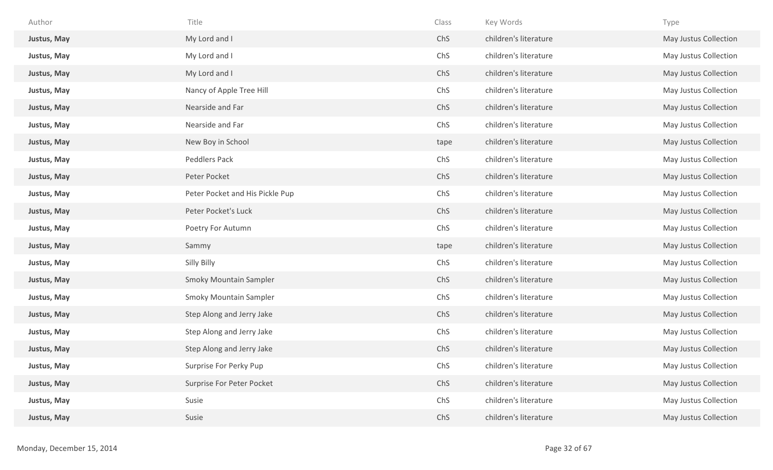| Author      | Title                           | Class | Key Words             | Type                  |
|-------------|---------------------------------|-------|-----------------------|-----------------------|
| Justus, May | My Lord and I                   | ChS   | children's literature | May Justus Collection |
| Justus, May | My Lord and I                   | ChS   | children's literature | May Justus Collection |
| Justus, May | My Lord and I                   | ChS   | children's literature | May Justus Collection |
| Justus, May | Nancy of Apple Tree Hill        | ChS   | children's literature | May Justus Collection |
| Justus, May | Nearside and Far                | ChS   | children's literature | May Justus Collection |
| Justus, May | Nearside and Far                | ChS   | children's literature | May Justus Collection |
| Justus, May | New Boy in School               | tape  | children's literature | May Justus Collection |
| Justus, May | <b>Peddlers Pack</b>            | ChS   | children's literature | May Justus Collection |
| Justus, May | Peter Pocket                    | ChS   | children's literature | May Justus Collection |
| Justus, May | Peter Pocket and His Pickle Pup | ChS   | children's literature | May Justus Collection |
| Justus, May | Peter Pocket's Luck             | ChS   | children's literature | May Justus Collection |
| Justus, May | Poetry For Autumn               | ChS   | children's literature | May Justus Collection |
| Justus, May | Sammy                           | tape  | children's literature | May Justus Collection |
| Justus, May | Silly Billy                     | ChS   | children's literature | May Justus Collection |
| Justus, May | <b>Smoky Mountain Sampler</b>   | ChS   | children's literature | May Justus Collection |
| Justus, May | <b>Smoky Mountain Sampler</b>   | ChS   | children's literature | May Justus Collection |
| Justus, May | Step Along and Jerry Jake       | ChS   | children's literature | May Justus Collection |
| Justus, May | Step Along and Jerry Jake       | ChS   | children's literature | May Justus Collection |
| Justus, May | Step Along and Jerry Jake       | ChS   | children's literature | May Justus Collection |
| Justus, May | Surprise For Perky Pup          | ChS   | children's literature | May Justus Collection |
| Justus, May | Surprise For Peter Pocket       | ChS   | children's literature | May Justus Collection |
| Justus, May | Susie                           | ChS   | children's literature | May Justus Collection |
| Justus, May | Susie                           | ChS   | children's literature | May Justus Collection |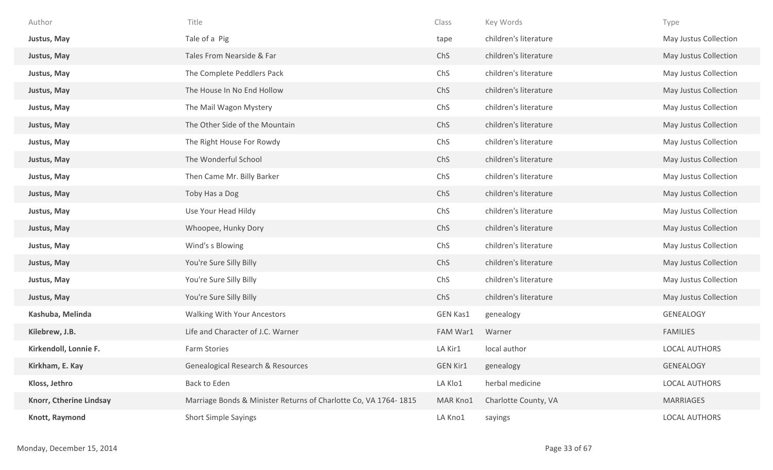| Author                  | Title                                                           | Class           | Key Words             | Type                  |
|-------------------------|-----------------------------------------------------------------|-----------------|-----------------------|-----------------------|
| Justus, May             | Tale of a Pig                                                   | tape            | children's literature | May Justus Collection |
| Justus, May             | Tales From Nearside & Far                                       | ChS             | children's literature | May Justus Collection |
| Justus, May             | The Complete Peddlers Pack                                      | ChS             | children's literature | May Justus Collection |
| Justus, May             | The House In No End Hollow                                      | ChS             | children's literature | May Justus Collection |
| Justus, May             | The Mail Wagon Mystery                                          | ChS             | children's literature | May Justus Collection |
| Justus, May             | The Other Side of the Mountain                                  | ChS             | children's literature | May Justus Collection |
| Justus, May             | The Right House For Rowdy                                       | ChS             | children's literature | May Justus Collection |
| Justus, May             | The Wonderful School                                            | ChS             | children's literature | May Justus Collection |
| Justus, May             | Then Came Mr. Billy Barker                                      | ChS             | children's literature | May Justus Collection |
| Justus, May             | Toby Has a Dog                                                  | ChS             | children's literature | May Justus Collection |
| Justus, May             | Use Your Head Hildy                                             | ChS             | children's literature | May Justus Collection |
| Justus, May             | Whoopee, Hunky Dory                                             | ChS             | children's literature | May Justus Collection |
| Justus, May             | Wind's s Blowing                                                | ChS             | children's literature | May Justus Collection |
| Justus, May             | You're Sure Silly Billy                                         | ChS             | children's literature | May Justus Collection |
| Justus, May             | You're Sure Silly Billy                                         | ChS             | children's literature | May Justus Collection |
| Justus, May             | You're Sure Silly Billy                                         | ChS             | children's literature | May Justus Collection |
| Kashuba, Melinda        | Walking With Your Ancestors                                     | <b>GEN Kas1</b> | genealogy             | GENEALOGY             |
| Kilebrew, J.B.          | Life and Character of J.C. Warner                               | FAM War1        | Warner                | <b>FAMILIES</b>       |
| Kirkendoll, Lonnie F.   | Farm Stories                                                    | LA Kir1         | local author          | <b>LOCAL AUTHORS</b>  |
| Kirkham, E. Kay         | Genealogical Research & Resources                               | <b>GEN Kir1</b> | genealogy             | GENEALOGY             |
| Kloss, Jethro           | Back to Eden                                                    | LA Klo1         | herbal medicine       | <b>LOCAL AUTHORS</b>  |
| Knorr, Ctherine Lindsay | Marriage Bonds & Minister Returns of Charlotte Co, VA 1764-1815 | MAR Kno1        | Charlotte County, VA  | MARRIAGES             |
| Knott, Raymond          | <b>Short Simple Sayings</b>                                     | LA Kno1         | sayings               | LOCAL AUTHORS         |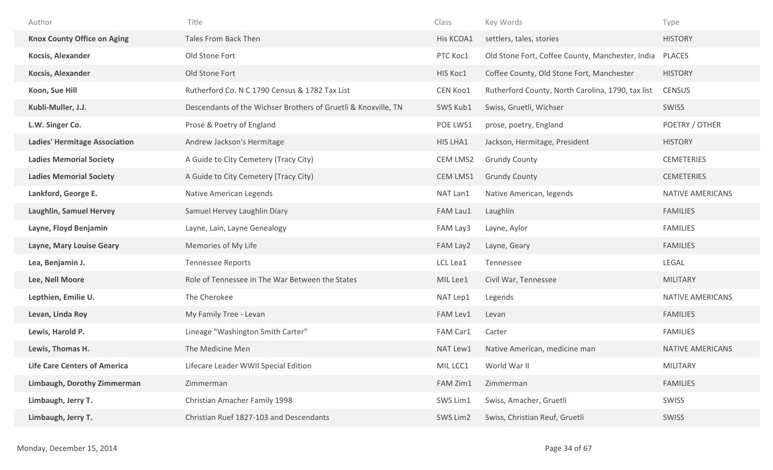| Author                               | Title                                                          | Class     | Key Words                                         | Type              |
|--------------------------------------|----------------------------------------------------------------|-----------|---------------------------------------------------|-------------------|
| <b>Knox County Office on Aging</b>   | <b>Tales From Back Then</b>                                    | His KCOA1 | settlers, tales, stories                          | <b>HISTORY</b>    |
| Kocsis, Alexander                    | Old Stone Fort                                                 | PTC Koc1  | Old Stone Fort, Coffee County, Manchester, India  | <b>PLACES</b>     |
| Kocsis, Alexander                    | Old Stone Fort                                                 | HIS Koc1  | Coffee County, Old Stone Fort, Manchester         | <b>HISTORY</b>    |
| Koon, Sue Hill                       | Rutherford Co. N C 1790 Census & 1782 Tax List                 | CEN Koo1  | Rutherford County, North Carolina, 1790, tax list | <b>CENSUS</b>     |
| Kubli-Muller, J.J.                   | Descendants of the Wichser Brothers of Gruetli & Knoxville, TN | SWS Kub1  | Swiss, Gruetli, Wichser                           | SWISS             |
| L.W. Singer Co.                      | Prose & Poetry of England                                      | POE LWS1  | prose, poetry, England                            | POETRY / OTHER    |
| <b>Ladies' Hermitage Association</b> | Andrew Jackson's Hermitage                                     | HIS LHA1  | Jackson, Hermitage, President                     | <b>HISTORY</b>    |
| <b>Ladies Memorial Society</b>       | A Guide to City Cemetery (Tracy City)                          | CEM LMS2  | <b>Grundy County</b>                              | <b>CEMETERIES</b> |
| <b>Ladies Memorial Society</b>       | A Guide to City Cemetery (Tracy City)                          | CEM LMS1  | <b>Grundy County</b>                              | <b>CEMETERIES</b> |
| Lankford, George E.                  | Native American Legends                                        | NAT Lan1  | Native American, legends                          | NATIVE AMERICANS  |
| <b>Laughlin, Samuel Hervey</b>       | Samuel Hervey Laughlin Diary                                   | FAM Lau1  | Laughlin                                          | <b>FAMILIES</b>   |
| Layne, Floyd Benjamin                | Layne, Lain, Layne Genealogy                                   | FAM Lay3  | Layne, Aylor                                      | <b>FAMILIES</b>   |
| Layne, Mary Louise Geary             | Memories of My Life                                            | FAM Lay2  | Layne, Geary                                      | <b>FAMILIES</b>   |
| Lea, Benjamin J.                     | <b>Tennessee Reports</b>                                       | LCL Lea1  | Tennessee                                         | <b>LEGAL</b>      |
| Lee, Nell Moore                      | Role of Tennessee in The War Between the States                | MIL Lee1  | Civil War, Tennessee                              | <b>MILITARY</b>   |
| Lepthien, Emilie U.                  | The Cherokee                                                   | NAT Lep1  | Legends                                           | NATIVE AMERICANS  |
| Levan, Linda Roy                     | My Family Tree - Levan                                         | FAM Lev1  | Levan                                             | <b>FAMILIES</b>   |
| Lewis, Harold P.                     | Lineage "Washington Smith Carter"                              | FAM Car1  | Carter                                            | <b>FAMILIES</b>   |
| Lewis, Thomas H.                     | The Medicine Men                                               | NAT Lew1  | Native American, medicine man                     | NATIVE AMERICANS  |
| <b>Life Care Centers of America</b>  | Lifecare Leader WWII Special Edition                           | MIL LCC1  | World War II                                      | <b>MILITARY</b>   |
| Limbaugh, Dorothy Zimmerman          | Zimmerman                                                      | FAM Zim1  | Zimmerman                                         | <b>FAMILIES</b>   |
| Limbaugh, Jerry T.                   | Christian Amacher Family 1998                                  | SWS Lim1  | Swiss, Amacher, Gruetli                           | SWISS             |
| Limbaugh, Jerry T.                   | Christian Ruef 1827-103 and Descendants                        | SWS Lim2  | Swiss, Christian Reuf, Gruetli                    | SWISS             |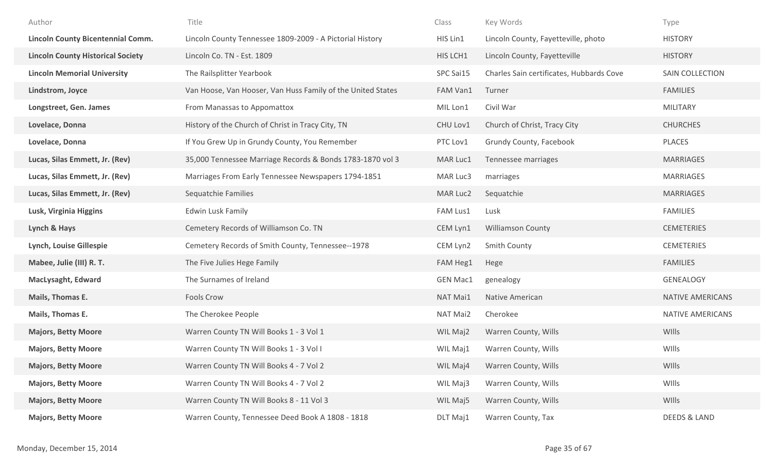| Author                                   | Title                                                       | Class           | Key Words                                | Type                    |
|------------------------------------------|-------------------------------------------------------------|-----------------|------------------------------------------|-------------------------|
| <b>Lincoln County Bicentennial Comm.</b> | Lincoln County Tennessee 1809-2009 - A Pictorial History    | HIS Lin1        | Lincoln County, Fayetteville, photo      | <b>HISTORY</b>          |
| <b>Lincoln County Historical Society</b> | Lincoln Co. TN - Est. 1809                                  | HIS LCH1        | Lincoln County, Fayetteville             | <b>HISTORY</b>          |
| <b>Lincoln Memorial University</b>       | The Railsplitter Yearbook                                   | SPC Sai15       | Charles Sain certificates, Hubbards Cove | SAIN COLLECTION         |
| Lindstrom, Joyce                         | Van Hoose, Van Hooser, Van Huss Family of the United States | FAM Van1        | Turner                                   | <b>FAMILIES</b>         |
| Longstreet, Gen. James                   | From Manassas to Appomattox                                 | MIL Lon1        | Civil War                                | <b>MILITARY</b>         |
| Lovelace, Donna                          | History of the Church of Christ in Tracy City, TN           | CHU Lov1        | Church of Christ, Tracy City             | <b>CHURCHES</b>         |
| Lovelace, Donna                          | If You Grew Up in Grundy County, You Remember               | PTC Lov1        | Grundy County, Facebook                  | PLACES                  |
| Lucas, Silas Emmett, Jr. (Rev)           | 35,000 Tennessee Marriage Records & Bonds 1783-1870 vol 3   | MAR Luc1        | Tennessee marriages                      | <b>MARRIAGES</b>        |
| Lucas, Silas Emmett, Jr. (Rev)           | Marriages From Early Tennessee Newspapers 1794-1851         | MAR Luc3        | marriages                                | <b>MARRIAGES</b>        |
| Lucas, Silas Emmett, Jr. (Rev)           | Sequatchie Families                                         | MAR Luc2        | Sequatchie                               | <b>MARRIAGES</b>        |
| Lusk, Virginia Higgins                   | <b>Edwin Lusk Family</b>                                    | FAM Lus1        | Lusk                                     | <b>FAMILIES</b>         |
| Lynch & Hays                             | Cemetery Records of Williamson Co. TN                       | CEM Lyn1        | <b>Williamson County</b>                 | <b>CEMETERIES</b>       |
| Lynch, Louise Gillespie                  | Cemetery Records of Smith County, Tennessee--1978           | CEM Lyn2        | <b>Smith County</b>                      | <b>CEMETERIES</b>       |
| Mabee, Julie (III) R. T.                 | The Five Julies Hege Family                                 | FAM Heg1        | Hege                                     | <b>FAMILIES</b>         |
| <b>MacLysaght, Edward</b>                | The Surnames of Ireland                                     | <b>GEN Mac1</b> | genealogy                                | GENEALOGY               |
| Mails, Thomas E.                         | <b>Fools Crow</b>                                           | NAT Mai1        | Native American                          | NATIVE AMERICANS        |
| Mails, Thomas E.                         | The Cherokee People                                         | NAT Mai2        | Cherokee                                 | NATIVE AMERICANS        |
| <b>Majors, Betty Moore</b>               | Warren County TN Will Books 1 - 3 Vol 1                     | WIL Maj2        | Warren County, Wills                     | WIlls                   |
| <b>Majors, Betty Moore</b>               | Warren County TN Will Books 1 - 3 Vol I                     | WIL Maj1        | Warren County, Wills                     | WIlls                   |
| <b>Majors, Betty Moore</b>               | Warren County TN Will Books 4 - 7 Vol 2                     | WIL Maj4        | Warren County, Wills                     | WIlls                   |
| <b>Majors, Betty Moore</b>               | Warren County TN Will Books 4 - 7 Vol 2                     | WIL Maj3        | Warren County, Wills                     | WIlls                   |
| <b>Majors, Betty Moore</b>               | Warren County TN Will Books 8 - 11 Vol 3                    | WIL Maj5        | Warren County, Wills                     | WIlls                   |
| <b>Majors, Betty Moore</b>               | Warren County, Tennessee Deed Book A 1808 - 1818            | DLT Maj1        | Warren County, Tax                       | <b>DEEDS &amp; LAND</b> |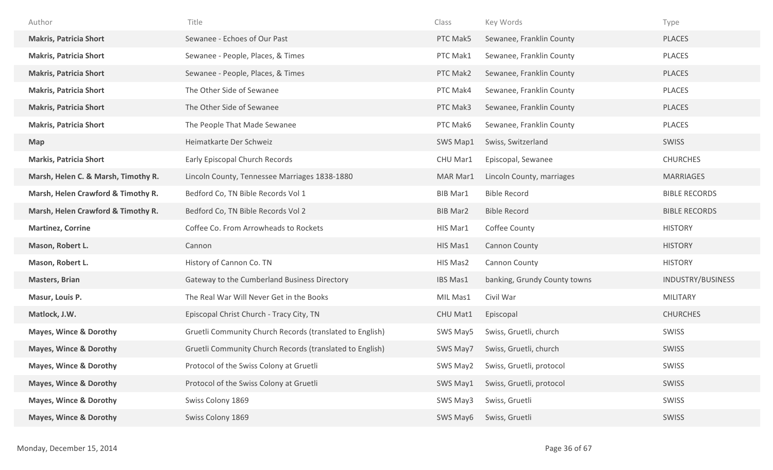| Author                              | Title                                                    | Class           | Key Words                    | Type                 |
|-------------------------------------|----------------------------------------------------------|-----------------|------------------------------|----------------------|
| <b>Makris, Patricia Short</b>       | Sewanee - Echoes of Our Past                             | PTC Mak5        | Sewanee, Franklin County     | <b>PLACES</b>        |
| <b>Makris, Patricia Short</b>       | Sewanee - People, Places, & Times                        | PTC Mak1        | Sewanee, Franklin County     | PLACES               |
| <b>Makris, Patricia Short</b>       | Sewanee - People, Places, & Times                        | PTC Mak2        | Sewanee, Franklin County     | <b>PLACES</b>        |
| <b>Makris, Patricia Short</b>       | The Other Side of Sewanee                                | PTC Mak4        | Sewanee, Franklin County     | <b>PLACES</b>        |
| <b>Makris, Patricia Short</b>       | The Other Side of Sewanee                                | PTC Mak3        | Sewanee, Franklin County     | <b>PLACES</b>        |
| <b>Makris, Patricia Short</b>       | The People That Made Sewanee                             | PTC Mak6        | Sewanee, Franklin County     | <b>PLACES</b>        |
| <b>Map</b>                          | Heimatkarte Der Schweiz                                  | SWS Map1        | Swiss, Switzerland           | <b>SWISS</b>         |
| <b>Markis, Patricia Short</b>       | Early Episcopal Church Records                           | CHU Mar1        | Episcopal, Sewanee           | <b>CHURCHES</b>      |
| Marsh, Helen C. & Marsh, Timothy R. | Lincoln County, Tennessee Marriages 1838-1880            | MAR Mar1        | Lincoln County, marriages    | <b>MARRIAGES</b>     |
| Marsh, Helen Crawford & Timothy R.  | Bedford Co, TN Bible Records Vol 1                       | <b>BIB Mar1</b> | <b>Bible Record</b>          | <b>BIBLE RECORDS</b> |
| Marsh, Helen Crawford & Timothy R.  | Bedford Co, TN Bible Records Vol 2                       | <b>BIB Mar2</b> | <b>Bible Record</b>          | <b>BIBLE RECORDS</b> |
|                                     |                                                          |                 |                              |                      |
| <b>Martinez, Corrine</b>            | Coffee Co. From Arrowheads to Rockets                    | HIS Mar1        | Coffee County                | <b>HISTORY</b>       |
| Mason, Robert L.                    | Cannon                                                   | HIS Mas1        | <b>Cannon County</b>         | <b>HISTORY</b>       |
| Mason, Robert L.                    | History of Cannon Co. TN                                 | HIS Mas2        | Cannon County                | <b>HISTORY</b>       |
| <b>Masters, Brian</b>               | Gateway to the Cumberland Business Directory             | IBS Mas1        | banking, Grundy County towns | INDUSTRY/BUSINESS    |
| Masur, Louis P.                     | The Real War Will Never Get in the Books                 | MIL Mas1        | Civil War                    | MILITARY             |
| Matlock, J.W.                       | Episcopal Christ Church - Tracy City, TN                 | CHU Mat1        | Episcopal                    | <b>CHURCHES</b>      |
| Mayes, Wince & Dorothy              | Gruetli Community Church Records (translated to English) | SWS May5        | Swiss, Gruetli, church       | SWISS                |
| <b>Mayes, Wince &amp; Dorothy</b>   | Gruetli Community Church Records (translated to English) | SWS May7        | Swiss, Gruetli, church       | <b>SWISS</b>         |
| <b>Mayes, Wince &amp; Dorothy</b>   | Protocol of the Swiss Colony at Gruetli                  | SWS May2        | Swiss, Gruetli, protocol     | SWISS                |
| <b>Mayes, Wince &amp; Dorothy</b>   | Protocol of the Swiss Colony at Gruetli                  | SWS May1        | Swiss, Gruetli, protocol     | SWISS                |
| <b>Mayes, Wince &amp; Dorothy</b>   | Swiss Colony 1869                                        | SWS May3        | Swiss, Gruetli               | SWISS                |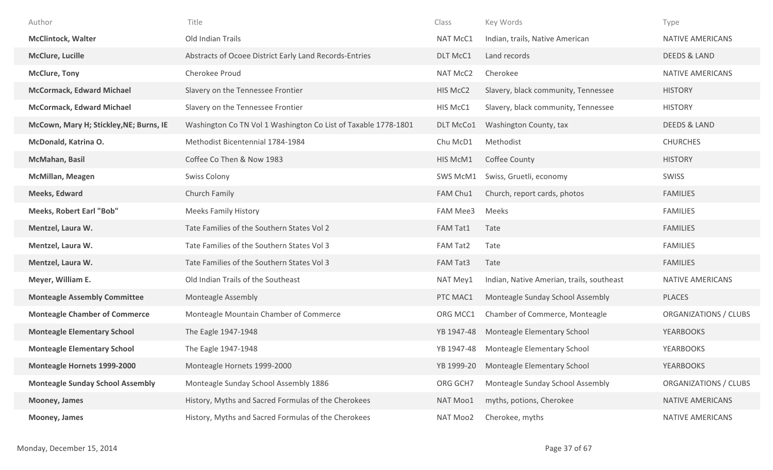| Author                                  | Title                                                          | Class           | Key Words                                 | Type                    |
|-----------------------------------------|----------------------------------------------------------------|-----------------|-------------------------------------------|-------------------------|
| <b>McClintock, Walter</b>               | Old Indian Trails                                              | <b>NAT McC1</b> | Indian, trails, Native American           | NATIVE AMERICANS        |
| <b>McClure, Lucille</b>                 | Abstracts of Ocoee District Early Land Records-Entries         | DLT McC1        | Land records                              | <b>DEEDS &amp; LAND</b> |
| <b>McClure, Tony</b>                    | Cherokee Proud                                                 | NAT McC2        | Cherokee                                  | <b>NATIVE AMERICANS</b> |
| <b>McCormack, Edward Michael</b>        | Slavery on the Tennessee Frontier                              | HIS McC2        | Slavery, black community, Tennessee       | <b>HISTORY</b>          |
| <b>McCormack, Edward Michael</b>        | Slavery on the Tennessee Frontier                              | HIS McC1        | Slavery, black community, Tennessee       | <b>HISTORY</b>          |
| McCown, Mary H; Stickley, NE; Burns, IE | Washington Co TN Vol 1 Washington Co List of Taxable 1778-1801 | DLT McCo1       | Washington County, tax                    | <b>DEEDS &amp; LAND</b> |
| McDonald, Katrina O.                    | Methodist Bicentennial 1784-1984                               | Chu McD1        | Methodist                                 | <b>CHURCHES</b>         |
| McMahan, Basil                          | Coffee Co Then & Now 1983                                      | HIS McM1        | Coffee County                             | <b>HISTORY</b>          |
| <b>McMillan, Meagen</b>                 | <b>Swiss Colony</b>                                            | SWS McM1        | Swiss, Gruetli, economy                   | SWISS                   |
| <b>Meeks, Edward</b>                    | Church Family                                                  | FAM Chu1        | Church, report cards, photos              | <b>FAMILIES</b>         |
| <b>Meeks, Robert Earl "Bob"</b>         | <b>Meeks Family History</b>                                    | <b>FAM Mee3</b> | Meeks                                     | <b>FAMILIES</b>         |
| Mentzel, Laura W.                       | Tate Families of the Southern States Vol 2                     | FAM Tat1        | Tate                                      | <b>FAMILIES</b>         |
| Mentzel, Laura W.                       | Tate Families of the Southern States Vol 3                     | FAM Tat2        | Tate                                      | <b>FAMILIES</b>         |
| Mentzel, Laura W.                       | Tate Families of the Southern States Vol 3                     | FAM Tat3        | Tate                                      | <b>FAMILIES</b>         |
| Meyer, William E.                       | Old Indian Trails of the Southeast                             | NAT Mey1        | Indian, Native Amerian, trails, southeast | NATIVE AMERICANS        |
| <b>Monteagle Assembly Committee</b>     | Monteagle Assembly                                             | PTC MAC1        | Monteagle Sunday School Assembly          | <b>PLACES</b>           |
| <b>Monteagle Chamber of Commerce</b>    | Monteagle Mountain Chamber of Commerce                         | ORG MCC1        | Chamber of Commerce, Monteagle            | ORGANIZATIONS / CLUBS   |
| <b>Monteagle Elementary School</b>      | The Eagle 1947-1948                                            | YB 1947-48      | Monteagle Elementary School               | <b>YEARBOOKS</b>        |
| <b>Monteagle Elementary School</b>      | The Eagle 1947-1948                                            | YB 1947-48      | Monteagle Elementary School               | <b>YEARBOOKS</b>        |
| Monteagle Hornets 1999-2000             | Monteagle Hornets 1999-2000                                    | YB 1999-20      | Monteagle Elementary School               | <b>YEARBOOKS</b>        |
| <b>Monteagle Sunday School Assembly</b> | Monteagle Sunday School Assembly 1886                          | ORG GCH7        | Monteagle Sunday School Assembly          | ORGANIZATIONS / CLUBS   |
| Mooney, James                           | History, Myths and Sacred Formulas of the Cherokees            | NAT Moo1        | myths, potions, Cherokee                  | NATIVE AMERICANS        |
| Mooney, James                           | History, Myths and Sacred Formulas of the Cherokees            | NAT Moo2        | Cherokee, myths                           | NATIVE AMERICANS        |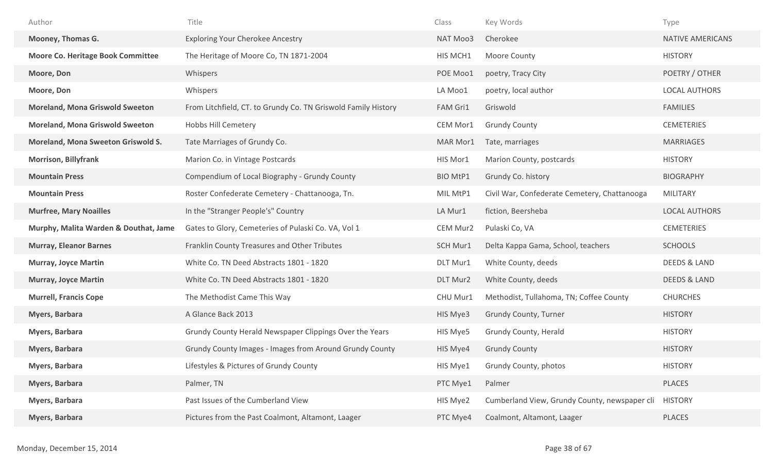| Author                                   | Title                                                         | Class           | Key Words                                     | Type                    |
|------------------------------------------|---------------------------------------------------------------|-----------------|-----------------------------------------------|-------------------------|
| Mooney, Thomas G.                        | <b>Exploring Your Cherokee Ancestry</b>                       | NAT Moo3        | Cherokee                                      | NATIVE AMERICANS        |
| <b>Moore Co. Heritage Book Committee</b> | The Heritage of Moore Co, TN 1871-2004                        | HIS MCH1        | Moore County                                  | <b>HISTORY</b>          |
| Moore, Don                               | Whispers                                                      | POE Moo1        | poetry, Tracy City                            | POETRY / OTHER          |
| Moore, Don                               | Whispers                                                      | LA Moo1         | poetry, local author                          | <b>LOCAL AUTHORS</b>    |
| <b>Moreland, Mona Griswold Sweeton</b>   | From Litchfield, CT. to Grundy Co. TN Griswold Family History | FAM Gri1        | Griswold                                      | <b>FAMILIES</b>         |
| <b>Moreland, Mona Griswold Sweeton</b>   | <b>Hobbs Hill Cemetery</b>                                    | CEM Mor1        | <b>Grundy County</b>                          | <b>CEMETERIES</b>       |
| Moreland, Mona Sweeton Griswold S.       | Tate Marriages of Grundy Co.                                  | MAR Mor1        | Tate, marriages                               | <b>MARRIAGES</b>        |
| <b>Morrison, Billyfrank</b>              | Marion Co. in Vintage Postcards                               | HIS Mor1        | Marion County, postcards                      | <b>HISTORY</b>          |
| <b>Mountain Press</b>                    | Compendium of Local Biography - Grundy County                 | <b>BIO MtP1</b> | Grundy Co. history                            | <b>BIOGRAPHY</b>        |
| <b>Mountain Press</b>                    | Roster Confederate Cemetery - Chattanooga, Tn.                | MIL MtP1        | Civil War, Confederate Cemetery, Chattanooga  | <b>MILITARY</b>         |
| <b>Murfree, Mary Noailles</b>            | In the "Stranger People's" Country                            | LA Mur1         | fiction, Beersheba                            | <b>LOCAL AUTHORS</b>    |
| Murphy, Malita Warden & Douthat, Jame    | Gates to Glory, Cemeteries of Pulaski Co. VA, Vol 1           | CEM Mur2        | Pulaski Co, VA                                | <b>CEMETERIES</b>       |
| <b>Murray, Eleanor Barnes</b>            | Franklin County Treasures and Other Tributes                  | SCH Mur1        | Delta Kappa Gama, School, teachers            | <b>SCHOOLS</b>          |
| <b>Murray, Joyce Martin</b>              | White Co. TN Deed Abstracts 1801 - 1820                       | DLT Mur1        | White County, deeds                           | <b>DEEDS &amp; LAND</b> |
| <b>Murray, Joyce Martin</b>              | White Co. TN Deed Abstracts 1801 - 1820                       | DLT Mur2        | White County, deeds                           | <b>DEEDS &amp; LAND</b> |
| <b>Murrell, Francis Cope</b>             | The Methodist Came This Way                                   | CHU Mur1        | Methodist, Tullahoma, TN; Coffee County       | <b>CHURCHES</b>         |
| <b>Myers, Barbara</b>                    | A Glance Back 2013                                            | HIS Mye3        | Grundy County, Turner                         | <b>HISTORY</b>          |
| Myers, Barbara                           | Grundy County Herald Newspaper Clippings Over the Years       | HIS Mye5        | Grundy County, Herald                         | <b>HISTORY</b>          |
| Myers, Barbara                           | Grundy County Images - Images from Around Grundy County       | HIS Mye4        | <b>Grundy County</b>                          | <b>HISTORY</b>          |
| Myers, Barbara                           | Lifestyles & Pictures of Grundy County                        | HIS Mye1        | Grundy County, photos                         | <b>HISTORY</b>          |
| Myers, Barbara                           | Palmer, TN                                                    | PTC Mye1        | Palmer                                        | PLACES                  |
| Myers, Barbara                           | Past Issues of the Cumberland View                            | HIS Mye2        | Cumberland View, Grundy County, newspaper cli | <b>HISTORY</b>          |
| Myers, Barbara                           | Pictures from the Past Coalmont, Altamont, Laager             | PTC Mye4        | Coalmont, Altamont, Laager                    | PLACES                  |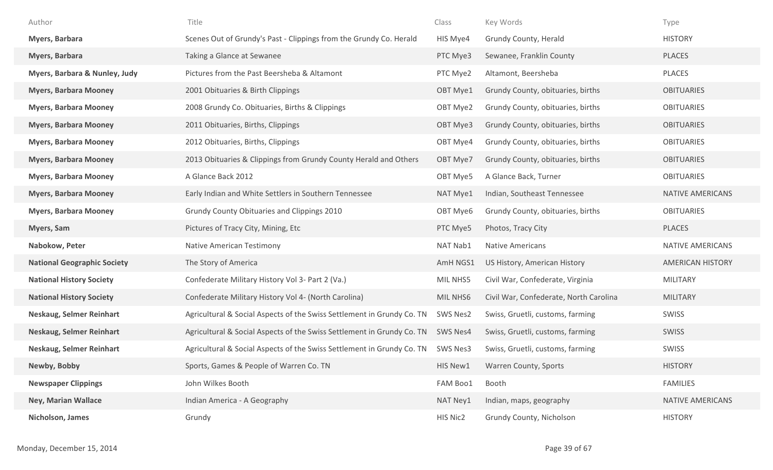| Author                             | Title                                                                  | Class    | Key Words                              | Type                    |
|------------------------------------|------------------------------------------------------------------------|----------|----------------------------------------|-------------------------|
| Myers, Barbara                     | Scenes Out of Grundy's Past - Clippings from the Grundy Co. Herald     | HIS Mye4 | Grundy County, Herald                  | <b>HISTORY</b>          |
| <b>Myers, Barbara</b>              | Taking a Glance at Sewanee                                             | PTC Mye3 | Sewanee, Franklin County               | <b>PLACES</b>           |
| Myers, Barbara & Nunley, Judy      | Pictures from the Past Beersheba & Altamont                            | PTC Mye2 | Altamont, Beersheba                    | PLACES                  |
| <b>Myers, Barbara Mooney</b>       | 2001 Obituaries & Birth Clippings                                      | OBT Mye1 | Grundy County, obituaries, births      | <b>OBITUARIES</b>       |
| <b>Myers, Barbara Mooney</b>       | 2008 Grundy Co. Obituaries, Births & Clippings                         | OBT Mye2 | Grundy County, obituaries, births      | <b>OBITUARIES</b>       |
| <b>Myers, Barbara Mooney</b>       | 2011 Obituaries, Births, Clippings                                     | OBT Mye3 | Grundy County, obituaries, births      | <b>OBITUARIES</b>       |
| <b>Myers, Barbara Mooney</b>       | 2012 Obituaries, Births, Clippings                                     | OBT Mye4 | Grundy County, obituaries, births      | <b>OBITUARIES</b>       |
| <b>Myers, Barbara Mooney</b>       | 2013 Obituaries & Clippings from Grundy County Herald and Others       | OBT Mye7 | Grundy County, obituaries, births      | <b>OBITUARIES</b>       |
| <b>Myers, Barbara Mooney</b>       | A Glance Back 2012                                                     | OBT Mye5 | A Glance Back, Turner                  | <b>OBITUARIES</b>       |
| <b>Myers, Barbara Mooney</b>       | Early Indian and White Settlers in Southern Tennessee                  | NAT Mye1 | Indian, Southeast Tennessee            | NATIVE AMERICANS        |
| <b>Myers, Barbara Mooney</b>       | Grundy County Obituaries and Clippings 2010                            | OBT Mye6 | Grundy County, obituaries, births      | <b>OBITUARIES</b>       |
| <b>Myers, Sam</b>                  | Pictures of Tracy City, Mining, Etc                                    | PTC Mye5 | Photos, Tracy City                     | <b>PLACES</b>           |
| Nabokow, Peter                     | Native American Testimony                                              | NAT Nab1 | <b>Native Americans</b>                | NATIVE AMERICANS        |
| <b>National Geographic Society</b> | The Story of America                                                   | AmH NGS1 | US History, American History           | <b>AMERICAN HISTORY</b> |
| <b>National History Society</b>    | Confederate Military History Vol 3- Part 2 (Va.)                       | MIL NHS5 | Civil War, Confederate, Virginia       | <b>MILITARY</b>         |
| <b>National History Society</b>    | Confederate Military History Vol 4- (North Carolina)                   | MIL NHS6 | Civil War, Confederate, North Carolina | <b>MILITARY</b>         |
| Neskaug, Selmer Reinhart           | Agricultural & Social Aspects of the Swiss Settlement in Grundy Co. TN | SWS Nes2 | Swiss, Gruetli, customs, farming       | SWISS                   |
| Neskaug, Selmer Reinhart           | Agricultural & Social Aspects of the Swiss Settlement in Grundy Co. TN | SWS Nes4 | Swiss, Gruetli, customs, farming       | SWISS                   |
| <b>Neskaug, Selmer Reinhart</b>    | Agricultural & Social Aspects of the Swiss Settlement in Grundy Co. TN | SWS Nes3 | Swiss, Gruetli, customs, farming       | <b>SWISS</b>            |
| Newby, Bobby                       | Sports, Games & People of Warren Co. TN                                | HIS New1 | Warren County, Sports                  | <b>HISTORY</b>          |
| <b>Newspaper Clippings</b>         | John Wilkes Booth                                                      | FAM Boo1 | Booth                                  | <b>FAMILIES</b>         |
| <b>Ney, Marian Wallace</b>         | Indian America - A Geography                                           | NAT Ney1 | Indian, maps, geography                | <b>NATIVE AMERICANS</b> |
| Nicholson, James                   | Grundy                                                                 | HIS Nic2 | Grundy County, Nicholson               | <b>HISTORY</b>          |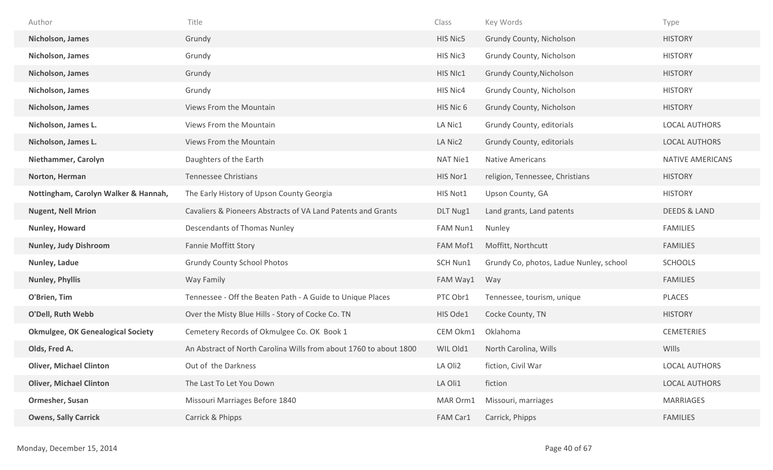| Author                                   | Title                                                             | Class           | Key Words                               | Type                    |
|------------------------------------------|-------------------------------------------------------------------|-----------------|-----------------------------------------|-------------------------|
| Nicholson, James                         | Grundy                                                            | HIS Nic5        | Grundy County, Nicholson                | <b>HISTORY</b>          |
| Nicholson, James                         | Grundy                                                            | HIS Nic3        | Grundy County, Nicholson                | <b>HISTORY</b>          |
| Nicholson, James                         | Grundy                                                            | HIS NIc1        | <b>Grundy County, Nicholson</b>         | <b>HISTORY</b>          |
| Nicholson, James                         | Grundy                                                            | HIS Nic4        | Grundy County, Nicholson                | <b>HISTORY</b>          |
| Nicholson, James                         | Views From the Mountain                                           | HIS Nic 6       | Grundy County, Nicholson                | <b>HISTORY</b>          |
| Nicholson, James L.                      | Views From the Mountain                                           | LA Nic1         | Grundy County, editorials               | LOCAL AUTHORS           |
| Nicholson, James L.                      | Views From the Mountain                                           | LA Nic2         | Grundy County, editorials               | LOCAL AUTHORS           |
| Niethammer, Carolyn                      | Daughters of the Earth                                            | <b>NAT Nie1</b> | <b>Native Americans</b>                 | <b>NATIVE AMERICANS</b> |
| Norton, Herman                           | <b>Tennessee Christians</b>                                       | HIS Nor1        | religion, Tennessee, Christians         | <b>HISTORY</b>          |
| Nottingham, Carolyn Walker & Hannah,     | The Early History of Upson County Georgia                         | HIS Not1        | Upson County, GA                        | <b>HISTORY</b>          |
| <b>Nugent, Nell Mrion</b>                | Cavaliers & Pioneers Abstracts of VA Land Patents and Grants      | DLT Nug1        | Land grants, Land patents               | DEEDS & LAND            |
| Nunley, Howard                           | Descendants of Thomas Nunley                                      | FAM Nun1        | Nunley                                  | <b>FAMILIES</b>         |
| <b>Nunley, Judy Dishroom</b>             | <b>Fannie Moffitt Story</b>                                       | FAM Mof1        | Moffitt, Northcutt                      | <b>FAMILIES</b>         |
| Nunley, Ladue                            | <b>Grundy County School Photos</b>                                | SCH Nun1        | Grundy Co, photos, Ladue Nunley, school | <b>SCHOOLS</b>          |
| <b>Nunley, Phyllis</b>                   | Way Family                                                        | FAM Way1        | Way                                     | <b>FAMILIES</b>         |
| O'Brien, Tim                             | Tennessee - Off the Beaten Path - A Guide to Unique Places        | PTC Obr1        | Tennessee, tourism, unique              | PLACES                  |
| O'Dell, Ruth Webb                        | Over the Misty Blue Hills - Story of Cocke Co. TN                 | HIS Ode1        | Cocke County, TN                        | <b>HISTORY</b>          |
| <b>Okmulgee, OK Genealogical Society</b> | Cemetery Records of Okmulgee Co. OK Book 1                        | CEM Okm1        | Oklahoma                                | <b>CEMETERIES</b>       |
| Olds, Fred A.                            | An Abstract of North Carolina Wills from about 1760 to about 1800 | WIL Old1        | North Carolina, Wills                   | WIlls                   |
| <b>Oliver, Michael Clinton</b>           | Out of the Darkness                                               | LA Oli2         | fiction, Civil War                      | <b>LOCAL AUTHORS</b>    |
| <b>Oliver, Michael Clinton</b>           | The Last To Let You Down                                          | LA Oli1         | fiction                                 | <b>LOCAL AUTHORS</b>    |
| Ormesher, Susan                          | Missouri Marriages Before 1840                                    | MAR Orm1        | Missouri, marriages                     | <b>MARRIAGES</b>        |
| <b>Owens, Sally Carrick</b>              | Carrick & Phipps                                                  | FAM Car1        | Carrick, Phipps                         | <b>FAMILIES</b>         |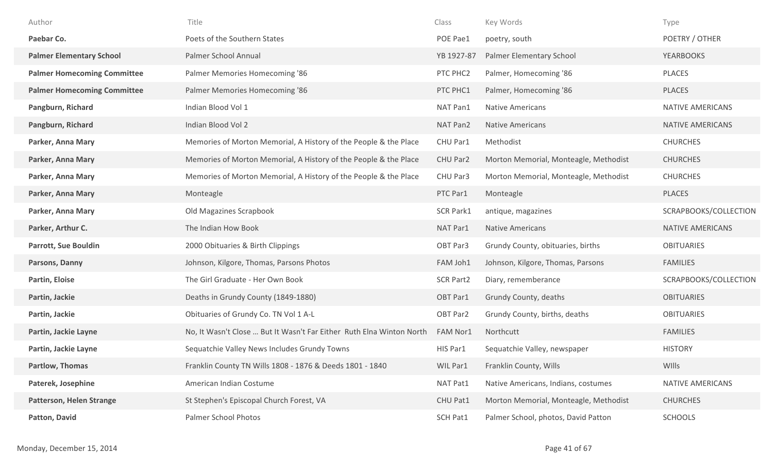| Author                             | Title                                                                | Class            | Key Words                             | Type                    |
|------------------------------------|----------------------------------------------------------------------|------------------|---------------------------------------|-------------------------|
| Paebar Co.                         | Poets of the Southern States                                         | POE Pae1         | poetry, south                         | POETRY / OTHER          |
| <b>Palmer Elementary School</b>    | Palmer School Annual                                                 | YB 1927-87       | Palmer Elementary School              | <b>YEARBOOKS</b>        |
| <b>Palmer Homecoming Committee</b> | Palmer Memories Homecoming '86                                       | PTC PHC2         | Palmer, Homecoming '86                | <b>PLACES</b>           |
| <b>Palmer Homecoming Committee</b> | Palmer Memories Homecoming '86                                       | PTC PHC1         | Palmer, Homecoming '86                | <b>PLACES</b>           |
| Pangburn, Richard                  | Indian Blood Vol 1                                                   | NAT Pan1         | <b>Native Americans</b>               | <b>NATIVE AMERICANS</b> |
| Pangburn, Richard                  | Indian Blood Vol 2                                                   | NAT Pan2         | <b>Native Americans</b>               | <b>NATIVE AMERICANS</b> |
| Parker, Anna Mary                  | Memories of Morton Memorial, A History of the People & the Place     | CHU Par1         | Methodist                             | <b>CHURCHES</b>         |
| Parker, Anna Mary                  | Memories of Morton Memorial, A History of the People & the Place     | CHU Par2         | Morton Memorial, Monteagle, Methodist | <b>CHURCHES</b>         |
| Parker, Anna Mary                  | Memories of Morton Memorial, A History of the People & the Place     | CHU Par3         | Morton Memorial, Monteagle, Methodist | <b>CHURCHES</b>         |
| Parker, Anna Mary                  | Monteagle                                                            | PTC Par1         | Monteagle                             | <b>PLACES</b>           |
| Parker, Anna Mary                  | Old Magazines Scrapbook                                              | <b>SCR Park1</b> | antique, magazines                    | SCRAPBOOKS/COLLECTION   |
| Parker, Arthur C.                  | The Indian How Book                                                  | NAT Par1         | <b>Native Americans</b>               | <b>NATIVE AMERICANS</b> |
| <b>Parrott, Sue Bouldin</b>        | 2000 Obituaries & Birth Clippings                                    | OBT Par3         | Grundy County, obituaries, births     | <b>OBITUARIES</b>       |
| Parsons, Danny                     | Johnson, Kilgore, Thomas, Parsons Photos                             | FAM Joh1         | Johnson, Kilgore, Thomas, Parsons     | <b>FAMILIES</b>         |
| Partin, Eloise                     | The Girl Graduate - Her Own Book                                     | <b>SCR Part2</b> | Diary, rememberance                   | SCRAPBOOKS/COLLECTION   |
| Partin, Jackie                     | Deaths in Grundy County (1849-1880)                                  | OBT Par1         | Grundy County, deaths                 | <b>OBITUARIES</b>       |
| Partin, Jackie                     | Obituaries of Grundy Co. TN Vol 1 A-L                                | OBT Par2         | Grundy County, births, deaths         | <b>OBITUARIES</b>       |
| Partin, Jackie Layne               | No, It Wasn't Close  But It Wasn't Far Either Ruth Elna Winton North | FAM Nor1         | Northcutt                             | <b>FAMILIES</b>         |
| Partin, Jackie Layne               | Sequatchie Valley News Includes Grundy Towns                         | HIS Par1         | Sequatchie Valley, newspaper          | <b>HISTORY</b>          |
| <b>Partlow, Thomas</b>             | Franklin County TN Wills 1808 - 1876 & Deeds 1801 - 1840             | WIL Par1         | Franklin County, Wills                | WIlls                   |
| Paterek, Josephine                 | American Indian Costume                                              | NAT Pat1         | Native Americans, Indians, costumes   | NATIVE AMERICANS        |
| <b>Patterson, Helen Strange</b>    | St Stephen's Episcopal Church Forest, VA                             | CHU Pat1         | Morton Memorial, Monteagle, Methodist | <b>CHURCHES</b>         |
| Patton, David                      | Palmer School Photos                                                 | SCH Pat1         | Palmer School, photos, David Patton   | <b>SCHOOLS</b>          |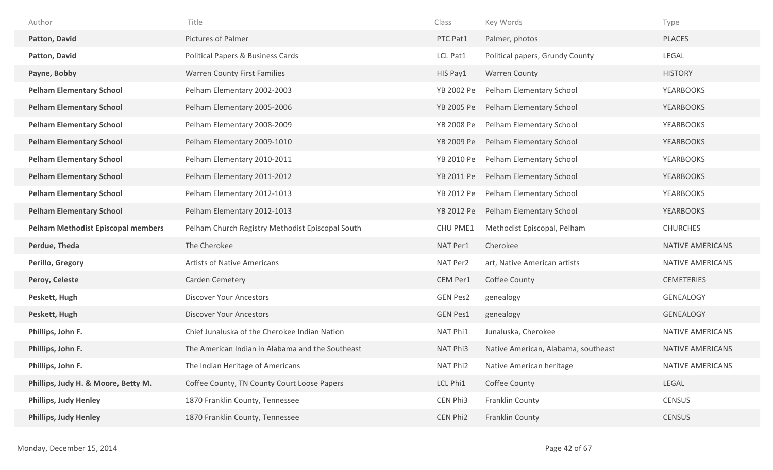| Author                                    | Title                                            | Class           | Key Words                           | Type                    |
|-------------------------------------------|--------------------------------------------------|-----------------|-------------------------------------|-------------------------|
| Patton, David                             | Pictures of Palmer                               | PTC Pat1        | Palmer, photos                      | <b>PLACES</b>           |
| Patton, David                             | Political Papers & Business Cards                | LCL Pat1        | Political papers, Grundy County     | LEGAL                   |
| Payne, Bobby                              | <b>Warren County First Families</b>              | HIS Pay1        | <b>Warren County</b>                | <b>HISTORY</b>          |
| <b>Pelham Elementary School</b>           | Pelham Elementary 2002-2003                      | YB 2002 Pe      | Pelham Elementary School            | <b>YEARBOOKS</b>        |
| <b>Pelham Elementary School</b>           | Pelham Elementary 2005-2006                      | YB 2005 Pe      | Pelham Elementary School            | <b>YEARBOOKS</b>        |
| <b>Pelham Elementary School</b>           | Pelham Elementary 2008-2009                      | YB 2008 Pe      | Pelham Elementary School            | <b>YEARBOOKS</b>        |
| <b>Pelham Elementary School</b>           | Pelham Elementary 2009-1010                      | YB 2009 Pe      | Pelham Elementary School            | <b>YEARBOOKS</b>        |
| <b>Pelham Elementary School</b>           | Pelham Elementary 2010-2011                      | YB 2010 Pe      | Pelham Elementary School            | YEARBOOKS               |
| <b>Pelham Elementary School</b>           | Pelham Elementary 2011-2012                      | YB 2011 Pe      | Pelham Elementary School            | <b>YEARBOOKS</b>        |
| <b>Pelham Elementary School</b>           | Pelham Elementary 2012-1013                      | YB 2012 Pe      | Pelham Elementary School            | <b>YEARBOOKS</b>        |
| <b>Pelham Elementary School</b>           | Pelham Elementary 2012-1013                      | YB 2012 Pe      | Pelham Elementary School            | <b>YEARBOOKS</b>        |
| <b>Pelham Methodist Episcopal members</b> | Pelham Church Registry Methodist Episcopal South | CHU PME1        | Methodist Episcopal, Pelham         | <b>CHURCHES</b>         |
| Perdue, Theda                             | The Cherokee                                     | NAT Per1        | Cherokee                            | <b>NATIVE AMERICANS</b> |
| Perillo, Gregory                          | <b>Artists of Native Americans</b>               | NAT Per2        | art, Native American artists        | <b>NATIVE AMERICANS</b> |
| Peroy, Celeste                            | Carden Cemetery                                  | CEM Per1        | Coffee County                       | <b>CEMETERIES</b>       |
| Peskett, Hugh                             | <b>Discover Your Ancestors</b>                   | <b>GEN Pes2</b> | genealogy                           | <b>GENEALOGY</b>        |
| Peskett, Hugh                             | <b>Discover Your Ancestors</b>                   | <b>GEN Pes1</b> | genealogy                           | <b>GENEALOGY</b>        |
| Phillips, John F.                         | Chief Junaluska of the Cherokee Indian Nation    | NAT Phi1        | Junaluska, Cherokee                 | NATIVE AMERICANS        |
| Phillips, John F.                         | The American Indian in Alabama and the Southeast | NAT Phi3        | Native American, Alabama, southeast | <b>NATIVE AMERICANS</b> |
| Phillips, John F.                         | The Indian Heritage of Americans                 | NAT Phi2        | Native American heritage            | <b>NATIVE AMERICANS</b> |
| Phillips, Judy H. & Moore, Betty M.       | Coffee County, TN County Court Loose Papers      | LCL Phi1        | Coffee County                       | LEGAL                   |
| <b>Phillips, Judy Henley</b>              | 1870 Franklin County, Tennessee                  | CEN Phi3        | Franklin County                     | <b>CENSUS</b>           |
| <b>Phillips, Judy Henley</b>              | 1870 Franklin County, Tennessee                  | CEN Phi2        | Franklin County                     | <b>CENSUS</b>           |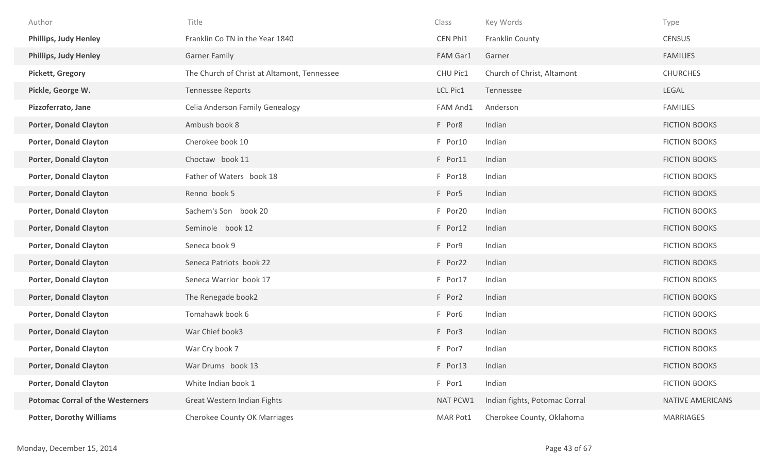| Author                                  | Title                                       | Class    | Key Words                     | Type                    |
|-----------------------------------------|---------------------------------------------|----------|-------------------------------|-------------------------|
| <b>Phillips, Judy Henley</b>            | Franklin Co TN in the Year 1840             | CEN Phi1 | Franklin County               | <b>CENSUS</b>           |
| <b>Phillips, Judy Henley</b>            | <b>Garner Family</b>                        | FAM Gar1 | Garner                        | <b>FAMILIES</b>         |
| <b>Pickett, Gregory</b>                 | The Church of Christ at Altamont, Tennessee | CHU Pic1 | Church of Christ, Altamont    | <b>CHURCHES</b>         |
| Pickle, George W.                       | <b>Tennessee Reports</b>                    | LCL Pic1 | Tennessee                     | LEGAL                   |
| Pizzoferrato, Jane                      | Celia Anderson Family Genealogy             | FAM And1 | Anderson                      | <b>FAMILIES</b>         |
| <b>Porter, Donald Clayton</b>           | Ambush book 8                               | F Por8   | Indian                        | <b>FICTION BOOKS</b>    |
| <b>Porter, Donald Clayton</b>           | Cherokee book 10                            | F Por10  | Indian                        | <b>FICTION BOOKS</b>    |
| <b>Porter, Donald Clayton</b>           | Choctaw book 11                             | F Por11  | Indian                        | <b>FICTION BOOKS</b>    |
| <b>Porter, Donald Clayton</b>           | Father of Waters book 18                    | F Por18  | Indian                        | <b>FICTION BOOKS</b>    |
| <b>Porter, Donald Clayton</b>           | Renno book 5                                | F Por5   | Indian                        | <b>FICTION BOOKS</b>    |
| <b>Porter, Donald Clayton</b>           | Sachem's Son book 20                        | F Por20  | Indian                        | <b>FICTION BOOKS</b>    |
| <b>Porter, Donald Clayton</b>           | Seminole book 12                            | F Por12  | Indian                        | <b>FICTION BOOKS</b>    |
| <b>Porter, Donald Clayton</b>           | Seneca book 9                               | F Por9   | Indian                        | <b>FICTION BOOKS</b>    |
| <b>Porter, Donald Clayton</b>           | Seneca Patriots book 22                     | F Por22  | Indian                        | <b>FICTION BOOKS</b>    |
| <b>Porter, Donald Clayton</b>           | Seneca Warrior book 17                      | F Por17  | Indian                        | <b>FICTION BOOKS</b>    |
| <b>Porter, Donald Clayton</b>           | The Renegade book2                          | F Por2   | Indian                        | <b>FICTION BOOKS</b>    |
| <b>Porter, Donald Clayton</b>           | Tomahawk book 6                             | F Por6   | Indian                        | <b>FICTION BOOKS</b>    |
| <b>Porter, Donald Clayton</b>           | War Chief book3                             | F Por3   | Indian                        | <b>FICTION BOOKS</b>    |
| <b>Porter, Donald Clayton</b>           | War Cry book 7                              | F Por7   | Indian                        | <b>FICTION BOOKS</b>    |
| <b>Porter, Donald Clayton</b>           | War Drums book 13                           | F Por13  | Indian                        | FICTION BOOKS           |
| <b>Porter, Donald Clayton</b>           | White Indian book 1                         | F Por1   | Indian                        | <b>FICTION BOOKS</b>    |
| <b>Potomac Corral of the Westerners</b> | Great Western Indian Fights                 | NAT PCW1 | Indian fights, Potomac Corral | <b>NATIVE AMERICANS</b> |
| <b>Potter, Dorothy Williams</b>         | <b>Cherokee County OK Marriages</b>         | MAR Pot1 | Cherokee County, Oklahoma     | MARRIAGES               |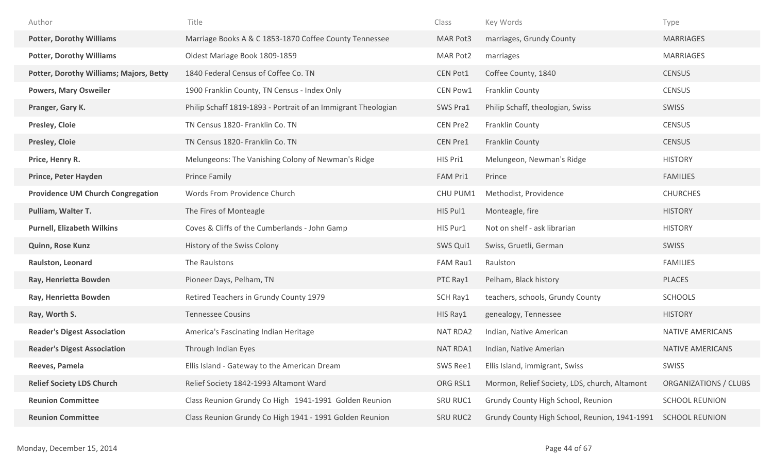| Author                                         | Title                                                         | Class           | Key Words                                     | Type                    |
|------------------------------------------------|---------------------------------------------------------------|-----------------|-----------------------------------------------|-------------------------|
| <b>Potter, Dorothy Williams</b>                | Marriage Books A & C 1853-1870 Coffee County Tennessee        | MAR Pot3        | marriages, Grundy County                      | <b>MARRIAGES</b>        |
| <b>Potter, Dorothy Williams</b>                | Oldest Mariage Book 1809-1859                                 | MAR Pot2        | marriages                                     | <b>MARRIAGES</b>        |
| <b>Potter, Dorothy Williams; Majors, Betty</b> | 1840 Federal Census of Coffee Co. TN                          | <b>CEN Pot1</b> | Coffee County, 1840                           | <b>CENSUS</b>           |
| <b>Powers, Mary Osweiler</b>                   | 1900 Franklin County, TN Census - Index Only                  | CEN Pow1        | Franklin County                               | <b>CENSUS</b>           |
| Pranger, Gary K.                               | Philip Schaff 1819-1893 - Portrait of an Immigrant Theologian | SWS Pra1        | Philip Schaff, theologian, Swiss              | <b>SWISS</b>            |
| <b>Presley, Cloie</b>                          | TN Census 1820- Franklin Co. TN                               | CEN Pre2        | Franklin County                               | <b>CENSUS</b>           |
| <b>Presley, Cloie</b>                          | TN Census 1820- Franklin Co. TN                               | <b>CEN Pre1</b> | Franklin County                               | <b>CENSUS</b>           |
| Price, Henry R.                                | Melungeons: The Vanishing Colony of Newman's Ridge            | HIS Pri1        | Melungeon, Newman's Ridge                     | <b>HISTORY</b>          |
| <b>Prince, Peter Hayden</b>                    | Prince Family                                                 | FAM Pri1        | Prince                                        | <b>FAMILIES</b>         |
| <b>Providence UM Church Congregation</b>       | Words From Providence Church                                  | CHU PUM1        | Methodist, Providence                         | <b>CHURCHES</b>         |
| Pulliam, Walter T.                             | The Fires of Monteagle                                        | HIS Pul1        | Monteagle, fire                               | <b>HISTORY</b>          |
| <b>Purnell, Elizabeth Wilkins</b>              | Coves & Cliffs of the Cumberlands - John Gamp                 | HIS Pur1        | Not on shelf - ask librarian                  | <b>HISTORY</b>          |
| Quinn, Rose Kunz                               | History of the Swiss Colony                                   | SWS Qui1        | Swiss, Gruetli, German                        | SWISS                   |
| Raulston, Leonard                              | The Raulstons                                                 | FAM Rau1        | Raulston                                      | <b>FAMILIES</b>         |
| Ray, Henrietta Bowden                          | Pioneer Days, Pelham, TN                                      | PTC Ray1        | Pelham, Black history                         | <b>PLACES</b>           |
| Ray, Henrietta Bowden                          | Retired Teachers in Grundy County 1979                        | SCH Ray1        | teachers, schools, Grundy County              | <b>SCHOOLS</b>          |
| Ray, Worth S.                                  | <b>Tennessee Cousins</b>                                      | HIS Ray1        | genealogy, Tennessee                          | <b>HISTORY</b>          |
| <b>Reader's Digest Association</b>             | America's Fascinating Indian Heritage                         | NAT RDA2        | Indian, Native American                       | NATIVE AMERICANS        |
| <b>Reader's Digest Association</b>             | Through Indian Eyes                                           | <b>NAT RDA1</b> | Indian, Native Amerian                        | <b>NATIVE AMERICANS</b> |
| Reeves, Pamela                                 | Ellis Island - Gateway to the American Dream                  | SWS Ree1        | Ellis Island, immigrant, Swiss                | <b>SWISS</b>            |
| <b>Relief Society LDS Church</b>               | Relief Society 1842-1993 Altamont Ward                        | ORG RSL1        | Mormon, Relief Society, LDS, church, Altamont | ORGANIZATIONS / CLUBS   |
| <b>Reunion Committee</b>                       | Class Reunion Grundy Co High 1941-1991 Golden Reunion         | SRU RUC1        | Grundy County High School, Reunion            | <b>SCHOOL REUNION</b>   |
| <b>Reunion Committee</b>                       | Class Reunion Grundy Co High 1941 - 1991 Golden Reunion       | <b>SRU RUC2</b> | Grundy County High School, Reunion, 1941-1991 | <b>SCHOOL REUNION</b>   |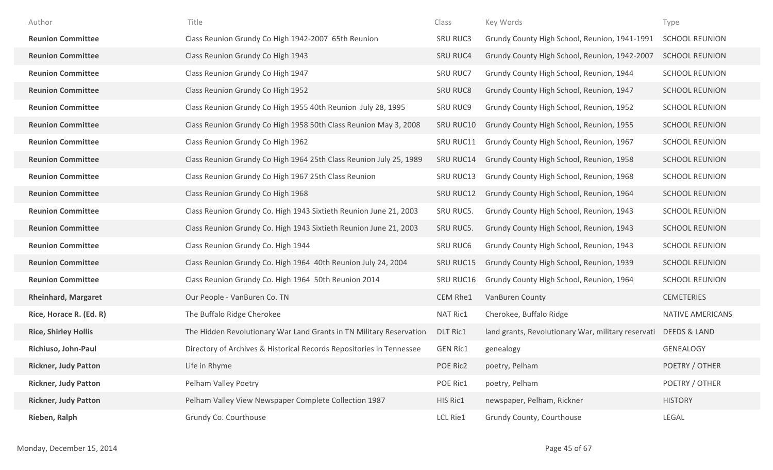| Author                      | Title                                                                | Class           | Key Words                                          | Type                    |
|-----------------------------|----------------------------------------------------------------------|-----------------|----------------------------------------------------|-------------------------|
| <b>Reunion Committee</b>    | Class Reunion Grundy Co High 1942-2007 65th Reunion                  | <b>SRU RUC3</b> | Grundy County High School, Reunion, 1941-1991      | <b>SCHOOL REUNION</b>   |
| <b>Reunion Committee</b>    | Class Reunion Grundy Co High 1943                                    | <b>SRU RUC4</b> | Grundy County High School, Reunion, 1942-2007      | <b>SCHOOL REUNION</b>   |
| <b>Reunion Committee</b>    | Class Reunion Grundy Co High 1947                                    | <b>SRU RUC7</b> | Grundy County High School, Reunion, 1944           | <b>SCHOOL REUNION</b>   |
| <b>Reunion Committee</b>    | Class Reunion Grundy Co High 1952                                    | <b>SRU RUC8</b> | Grundy County High School, Reunion, 1947           | <b>SCHOOL REUNION</b>   |
| <b>Reunion Committee</b>    | Class Reunion Grundy Co High 1955 40th Reunion July 28, 1995         | <b>SRU RUC9</b> | Grundy County High School, Reunion, 1952           | <b>SCHOOL REUNION</b>   |
| <b>Reunion Committee</b>    | Class Reunion Grundy Co High 1958 50th Class Reunion May 3, 2008     | SRU RUC10       | Grundy County High School, Reunion, 1955           | <b>SCHOOL REUNION</b>   |
| <b>Reunion Committee</b>    | Class Reunion Grundy Co High 1962                                    | SRU RUC11       | Grundy County High School, Reunion, 1967           | <b>SCHOOL REUNION</b>   |
| <b>Reunion Committee</b>    | Class Reunion Grundy Co High 1964 25th Class Reunion July 25, 1989   | SRU RUC14       | Grundy County High School, Reunion, 1958           | <b>SCHOOL REUNION</b>   |
| <b>Reunion Committee</b>    | Class Reunion Grundy Co High 1967 25th Class Reunion                 | SRU RUC13       | Grundy County High School, Reunion, 1968           | <b>SCHOOL REUNION</b>   |
| <b>Reunion Committee</b>    | Class Reunion Grundy Co High 1968                                    | SRU RUC12       | Grundy County High School, Reunion, 1964           | <b>SCHOOL REUNION</b>   |
| <b>Reunion Committee</b>    | Class Reunion Grundy Co. High 1943 Sixtieth Reunion June 21, 2003    | SRU RUC5.       | Grundy County High School, Reunion, 1943           | <b>SCHOOL REUNION</b>   |
| <b>Reunion Committee</b>    | Class Reunion Grundy Co. High 1943 Sixtieth Reunion June 21, 2003    | SRU RUC5.       | Grundy County High School, Reunion, 1943           | <b>SCHOOL REUNION</b>   |
| <b>Reunion Committee</b>    | Class Reunion Grundy Co. High 1944                                   | <b>SRU RUC6</b> | Grundy County High School, Reunion, 1943           | <b>SCHOOL REUNION</b>   |
| <b>Reunion Committee</b>    | Class Reunion Grundy Co. High 1964 40th Reunion July 24, 2004        | SRU RUC15       | Grundy County High School, Reunion, 1939           | <b>SCHOOL REUNION</b>   |
| <b>Reunion Committee</b>    | Class Reunion Grundy Co. High 1964 50th Reunion 2014                 | SRU RUC16       | Grundy County High School, Reunion, 1964           | <b>SCHOOL REUNION</b>   |
| <b>Rheinhard, Margaret</b>  | Our People - VanBuren Co. TN                                         | CEM Rhe1        | VanBuren County                                    | <b>CEMETERIES</b>       |
| Rice, Horace R. (Ed. R)     | The Buffalo Ridge Cherokee                                           | NAT Ric1        | Cherokee, Buffalo Ridge                            | <b>NATIVE AMERICANS</b> |
| <b>Rice, Shirley Hollis</b> | The Hidden Revolutionary War Land Grants in TN Military Reservation  | <b>DLT Ric1</b> | land grants, Revolutionary War, military reservati | <b>DEEDS &amp; LAND</b> |
| Richiuso, John-Paul         | Directory of Archives & Historical Records Repositories in Tennessee | <b>GEN Ric1</b> | genealogy                                          | <b>GENEALOGY</b>        |
| <b>Rickner, Judy Patton</b> | Life in Rhyme                                                        | POE Ric2        | poetry, Pelham                                     | POETRY / OTHER          |
| <b>Rickner, Judy Patton</b> | Pelham Valley Poetry                                                 | POE Ric1        | poetry, Pelham                                     | POETRY / OTHER          |
| <b>Rickner, Judy Patton</b> | Pelham Valley View Newspaper Complete Collection 1987                | HIS Ric1        | newspaper, Pelham, Rickner                         | <b>HISTORY</b>          |
| Rieben, Ralph               | Grundy Co. Courthouse                                                | LCL Rie1        | Grundy County, Courthouse                          | LEGAL                   |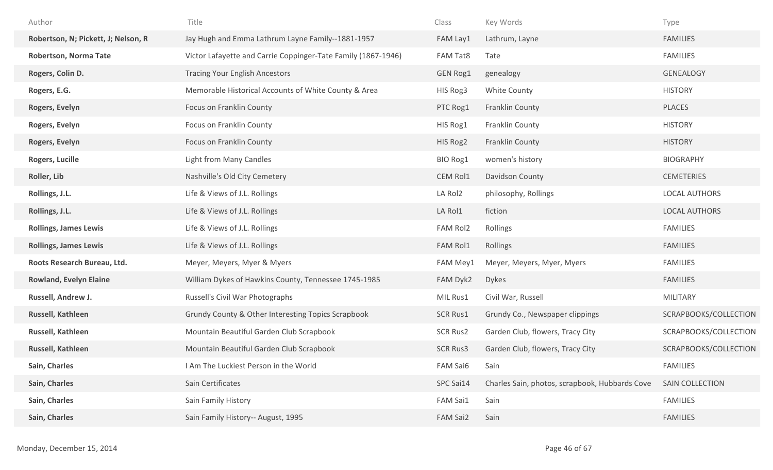| Author                              | Title                                                         | Class           | Key Words                                      | Type                   |
|-------------------------------------|---------------------------------------------------------------|-----------------|------------------------------------------------|------------------------|
| Robertson, N; Pickett, J; Nelson, R | Jay Hugh and Emma Lathrum Layne Family--1881-1957             | FAM Lay1        | Lathrum, Layne                                 | <b>FAMILIES</b>        |
| Robertson, Norma Tate               | Victor Lafayette and Carrie Coppinger-Tate Family (1867-1946) | FAM Tat8        | Tate                                           | <b>FAMILIES</b>        |
| Rogers, Colin D.                    | <b>Tracing Your English Ancestors</b>                         | GEN Rog1        | genealogy                                      | <b>GENEALOGY</b>       |
| Rogers, E.G.                        | Memorable Historical Accounts of White County & Area          | HIS Rog3        | White County                                   | <b>HISTORY</b>         |
| Rogers, Evelyn                      | Focus on Franklin County                                      | PTC Rog1        | Franklin County                                | PLACES                 |
| Rogers, Evelyn                      | Focus on Franklin County                                      | HIS Rog1        | Franklin County                                | <b>HISTORY</b>         |
| Rogers, Evelyn                      | Focus on Franklin County                                      | HIS Rog2        | Franklin County                                | <b>HISTORY</b>         |
| Rogers, Lucille                     | <b>Light from Many Candles</b>                                | BIO Rog1        | women's history                                | <b>BIOGRAPHY</b>       |
| Roller, Lib                         | Nashville's Old City Cemetery                                 | CEM Rol1        | Davidson County                                | <b>CEMETERIES</b>      |
| Rollings, J.L.                      | Life & Views of J.L. Rollings                                 | LA Rol2         | philosophy, Rollings                           | <b>LOCAL AUTHORS</b>   |
| Rollings, J.L.                      | Life & Views of J.L. Rollings                                 | LA Rol1         | fiction                                        | <b>LOCAL AUTHORS</b>   |
| <b>Rollings, James Lewis</b>        | Life & Views of J.L. Rollings                                 | FAM Rol2        | Rollings                                       | <b>FAMILIES</b>        |
| <b>Rollings, James Lewis</b>        | Life & Views of J.L. Rollings                                 | <b>FAM Rol1</b> | Rollings                                       | <b>FAMILIES</b>        |
| Roots Research Bureau, Ltd.         | Meyer, Meyers, Myer & Myers                                   | FAM Mey1        | Meyer, Meyers, Myer, Myers                     | <b>FAMILIES</b>        |
| <b>Rowland, Evelyn Elaine</b>       | William Dykes of Hawkins County, Tennessee 1745-1985          | FAM Dyk2        | <b>Dykes</b>                                   | <b>FAMILIES</b>        |
| Russell, Andrew J.                  | Russell's Civil War Photographs                               | MIL Rus1        | Civil War, Russell                             | MILITARY               |
| Russell, Kathleen                   | Grundy County & Other Interesting Topics Scrapbook            | <b>SCR Rus1</b> | Grundy Co., Newspaper clippings                | SCRAPBOOKS/COLLECTION  |
| Russell, Kathleen                   | Mountain Beautiful Garden Club Scrapbook                      | <b>SCR Rus2</b> | Garden Club, flowers, Tracy City               | SCRAPBOOKS/COLLECTION  |
| Russell, Kathleen                   | Mountain Beautiful Garden Club Scrapbook                      | <b>SCR Rus3</b> | Garden Club, flowers, Tracy City               | SCRAPBOOKS/COLLECTION  |
| Sain, Charles                       | I Am The Luckiest Person in the World                         | FAM Sai6        | Sain                                           | <b>FAMILIES</b>        |
| Sain, Charles                       | Sain Certificates                                             | SPC Sai14       | Charles Sain, photos, scrapbook, Hubbards Cove | <b>SAIN COLLECTION</b> |
| Sain, Charles                       | Sain Family History                                           | FAM Sai1        | Sain                                           | <b>FAMILIES</b>        |
| Sain, Charles                       | Sain Family History-- August, 1995                            | FAM Sai2        | Sain                                           | <b>FAMILIES</b>        |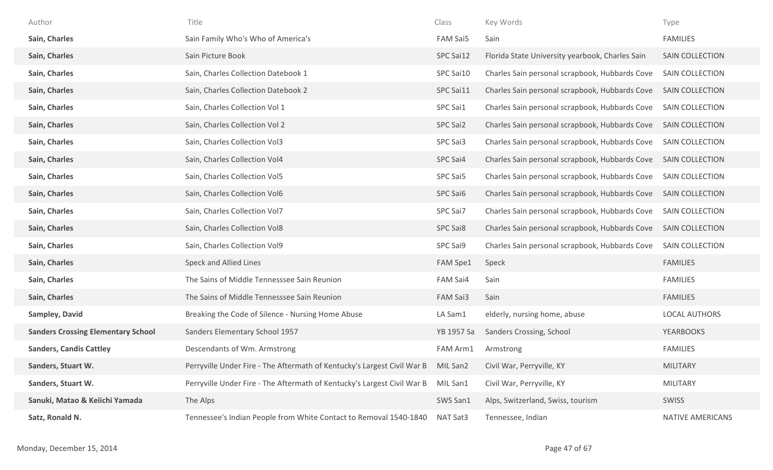| Author                                    | Title                                                                   | Class      | Key Words                                       | Type                    |
|-------------------------------------------|-------------------------------------------------------------------------|------------|-------------------------------------------------|-------------------------|
| Sain, Charles                             | Sain Family Who's Who of America's                                      | FAM Sai5   | Sain                                            | <b>FAMILIES</b>         |
| Sain, Charles                             | Sain Picture Book                                                       | SPC Sai12  | Florida State University yearbook, Charles Sain | SAIN COLLECTION         |
| Sain, Charles                             | Sain, Charles Collection Datebook 1                                     | SPC Sai10  | Charles Sain personal scrapbook, Hubbards Cove  | SAIN COLLECTION         |
| Sain, Charles                             | Sain, Charles Collection Datebook 2                                     | SPC Sai11  | Charles Sain personal scrapbook, Hubbards Cove  | <b>SAIN COLLECTION</b>  |
| Sain, Charles                             | Sain, Charles Collection Vol 1                                          | SPC Sai1   | Charles Sain personal scrapbook, Hubbards Cove  | SAIN COLLECTION         |
| Sain, Charles                             | Sain, Charles Collection Vol 2                                          | SPC Sai2   | Charles Sain personal scrapbook, Hubbards Cove  | SAIN COLLECTION         |
| Sain, Charles                             | Sain, Charles Collection Vol3                                           | SPC Sai3   | Charles Sain personal scrapbook, Hubbards Cove  | SAIN COLLECTION         |
| Sain, Charles                             | Sain, Charles Collection Vol4                                           | SPC Sai4   | Charles Sain personal scrapbook, Hubbards Cove  | <b>SAIN COLLECTION</b>  |
| Sain, Charles                             | Sain, Charles Collection Vol5                                           | SPC Sai5   | Charles Sain personal scrapbook, Hubbards Cove  | SAIN COLLECTION         |
| Sain, Charles                             | Sain, Charles Collection Vol6                                           | SPC Sai6   | Charles Sain personal scrapbook, Hubbards Cove  | SAIN COLLECTION         |
| Sain, Charles                             | Sain, Charles Collection Vol7                                           | SPC Sai7   | Charles Sain personal scrapbook, Hubbards Cove  | SAIN COLLECTION         |
| Sain, Charles                             | Sain, Charles Collection Vol8                                           | SPC Sai8   | Charles Sain personal scrapbook, Hubbards Cove  | <b>SAIN COLLECTION</b>  |
| Sain, Charles                             | Sain, Charles Collection Vol9                                           | SPC Sai9   | Charles Sain personal scrapbook, Hubbards Cove  | SAIN COLLECTION         |
| Sain, Charles                             | Speck and Allied Lines                                                  | FAM Spe1   | Speck                                           | <b>FAMILIES</b>         |
| Sain, Charles                             | The Sains of Middle Tennesssee Sain Reunion                             | FAM Sai4   | Sain                                            | <b>FAMILIES</b>         |
| Sain, Charles                             | The Sains of Middle Tennesssee Sain Reunion                             | FAM Sai3   | Sain                                            | <b>FAMILIES</b>         |
| Sampley, David                            | Breaking the Code of Silence - Nursing Home Abuse                       | LA Sam1    | elderly, nursing home, abuse                    | <b>LOCAL AUTHORS</b>    |
| <b>Sanders Crossing Elementary School</b> | Sanders Elementary School 1957                                          | YB 1957 Sa | Sanders Crossing, School                        | <b>YEARBOOKS</b>        |
| <b>Sanders, Candis Cattley</b>            | Descendants of Wm. Armstrong                                            | FAM Arm1   | Armstrong                                       | <b>FAMILIES</b>         |
| Sanders, Stuart W.                        | Perryville Under Fire - The Aftermath of Kentucky's Largest Civil War B | MIL San2   | Civil War, Perryville, KY                       | <b>MILITARY</b>         |
| Sanders, Stuart W.                        | Perryville Under Fire - The Aftermath of Kentucky's Largest Civil War B | MIL San1   | Civil War, Perryville, KY                       | MILITARY                |
| Sanuki, Matao & Keiichi Yamada            | The Alps                                                                | SWS San1   | Alps, Switzerland, Swiss, tourism               | <b>SWISS</b>            |
| Satz, Ronald N.                           | Tennessee's Indian People from White Contact to Removal 1540-1840       | NAT Sat3   | Tennessee, Indian                               | <b>NATIVE AMERICANS</b> |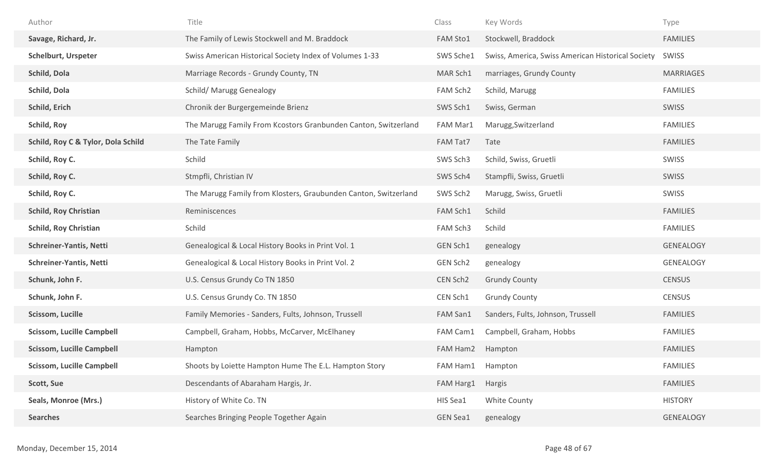| Author                             | Title                                                           | Class           | Key Words                                         | Type             |
|------------------------------------|-----------------------------------------------------------------|-----------------|---------------------------------------------------|------------------|
| Savage, Richard, Jr.               | The Family of Lewis Stockwell and M. Braddock                   | <b>FAM Sto1</b> | Stockwell, Braddock                               | <b>FAMILIES</b>  |
| <b>Schelburt, Urspeter</b>         | Swiss American Historical Society Index of Volumes 1-33         | SWS Sche1       | Swiss, America, Swiss American Historical Society | SWISS            |
| Schild, Dola                       | Marriage Records - Grundy County, TN                            | MAR Sch1        | marriages, Grundy County                          | <b>MARRIAGES</b> |
| Schild, Dola                       | <b>Schild/ Marugg Genealogy</b>                                 | FAM Sch2        | Schild, Marugg                                    | <b>FAMILIES</b>  |
| Schild, Erich                      | Chronik der Burgergemeinde Brienz                               | SWS Sch1        | Swiss, German                                     | SWISS            |
| Schild, Roy                        | The Marugg Family From Kcostors Granbunden Canton, Switzerland  | FAM Mar1        | Marugg, Switzerland                               | <b>FAMILIES</b>  |
| Schild, Roy C & Tylor, Dola Schild | The Tate Family                                                 | FAM Tat7        | Tate                                              | <b>FAMILIES</b>  |
| Schild, Roy C.                     | Schild                                                          | SWS Sch3        | Schild, Swiss, Gruetli                            | SWISS            |
| Schild, Roy C.                     | Stmpfli, Christian IV                                           | SWS Sch4        | Stampfli, Swiss, Gruetli                          | SWISS            |
| Schild, Roy C.                     | The Marugg Family from Klosters, Graubunden Canton, Switzerland | SWS Sch2        | Marugg, Swiss, Gruetli                            | <b>SWISS</b>     |
| <b>Schild, Roy Christian</b>       | Reminiscences                                                   | FAM Sch1        | Schild                                            | <b>FAMILIES</b>  |
| <b>Schild, Roy Christian</b>       | Schild                                                          | FAM Sch3        | Schild                                            | <b>FAMILIES</b>  |
| <b>Schreiner-Yantis, Netti</b>     | Genealogical & Local History Books in Print Vol. 1              | GEN Sch1        | genealogy                                         | <b>GENEALOGY</b> |
| <b>Schreiner-Yantis, Netti</b>     | Genealogical & Local History Books in Print Vol. 2              | GEN Sch2        | genealogy                                         | <b>GENEALOGY</b> |
| Schunk, John F.                    | U.S. Census Grundy Co TN 1850                                   | CEN Sch2        | <b>Grundy County</b>                              | <b>CENSUS</b>    |
| Schunk, John F.                    | U.S. Census Grundy Co. TN 1850                                  | CEN Sch1        | <b>Grundy County</b>                              | <b>CENSUS</b>    |
| <b>Scissom, Lucille</b>            | Family Memories - Sanders, Fults, Johnson, Trussell             | FAM San1        | Sanders, Fults, Johnson, Trussell                 | <b>FAMILIES</b>  |
| <b>Scissom, Lucille Campbell</b>   | Campbell, Graham, Hobbs, McCarver, McElhaney                    | FAM Cam1        | Campbell, Graham, Hobbs                           | <b>FAMILIES</b>  |
| <b>Scissom, Lucille Campbell</b>   | Hampton                                                         | FAM Ham2        | Hampton                                           | <b>FAMILIES</b>  |
| <b>Scissom, Lucille Campbell</b>   | Shoots by Loiette Hampton Hume The E.L. Hampton Story           | FAM Ham1        | Hampton                                           | <b>FAMILIES</b>  |
| Scott, Sue                         | Descendants of Abaraham Hargis, Jr.                             | FAM Harg1       | Hargis                                            | <b>FAMILIES</b>  |
| Seals, Monroe (Mrs.)               | History of White Co. TN                                         | HIS Sea1        | White County                                      | <b>HISTORY</b>   |
| <b>Searches</b>                    | Searches Bringing People Together Again                         | <b>GEN Sea1</b> | genealogy                                         | GENEALOGY        |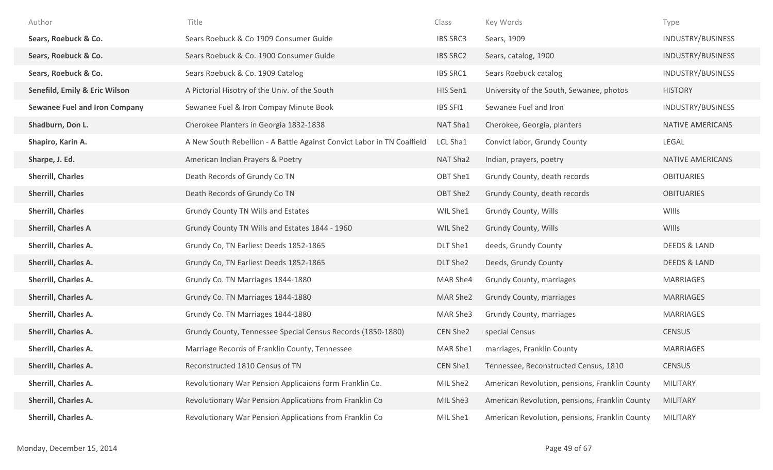| Author                               | Title                                                                  | Class           | Key Words                                      | Type                     |
|--------------------------------------|------------------------------------------------------------------------|-----------------|------------------------------------------------|--------------------------|
| Sears, Roebuck & Co.                 | Sears Roebuck & Co 1909 Consumer Guide                                 | <b>IBS SRC3</b> | Sears, 1909                                    | INDUSTRY/BUSINESS        |
| Sears, Roebuck & Co.                 | Sears Roebuck & Co. 1900 Consumer Guide                                | <b>IBS SRC2</b> | Sears, catalog, 1900                           | INDUSTRY/BUSINESS        |
| Sears, Roebuck & Co.                 | Sears Roebuck & Co. 1909 Catalog                                       | <b>IBS SRC1</b> | Sears Roebuck catalog                          | INDUSTRY/BUSINESS        |
| Senefild, Emily & Eric Wilson        | A Pictorial Hisotry of the Univ. of the South                          | HIS Sen1        | University of the South, Sewanee, photos       | <b>HISTORY</b>           |
| <b>Sewanee Fuel and Iron Company</b> | Sewanee Fuel & Iron Compay Minute Book                                 | IBS SFI1        | Sewanee Fuel and Iron                          | <b>INDUSTRY/BUSINESS</b> |
| Shadburn, Don L.                     | Cherokee Planters in Georgia 1832-1838                                 | NAT Sha1        | Cherokee, Georgia, planters                    | NATIVE AMERICANS         |
| Shapiro, Karin A.                    | A New South Rebellion - A Battle Against Convict Labor in TN Coalfield | LCL Sha1        | Convict labor, Grundy County                   | LEGAL                    |
| Sharpe, J. Ed.                       | American Indian Prayers & Poetry                                       | NAT Sha2        | Indian, prayers, poetry                        | <b>NATIVE AMERICANS</b>  |
| <b>Sherrill, Charles</b>             | Death Records of Grundy Co TN                                          | OBT She1        | Grundy County, death records                   | <b>OBITUARIES</b>        |
| <b>Sherrill, Charles</b>             | Death Records of Grundy Co TN                                          | OBT She2        | Grundy County, death records                   | <b>OBITUARIES</b>        |
| <b>Sherrill, Charles</b>             | Grundy County TN Wills and Estates                                     | WIL She1        | <b>Grundy County, Wills</b>                    | WIlls                    |
| <b>Sherrill, Charles A</b>           | Grundy County TN Wills and Estates 1844 - 1960                         | WIL She2        | Grundy County, Wills                           | WIlls                    |
| Sherrill, Charles A.                 | Grundy Co, TN Earliest Deeds 1852-1865                                 | DLT She1        | deeds, Grundy County                           | <b>DEEDS &amp; LAND</b>  |
| <b>Sherrill, Charles A.</b>          | Grundy Co, TN Earliest Deeds 1852-1865                                 | DLT She2        | Deeds, Grundy County                           | <b>DEEDS &amp; LAND</b>  |
| <b>Sherrill, Charles A.</b>          | Grundy Co. TN Marriages 1844-1880                                      | MAR She4        | Grundy County, marriages                       | MARRIAGES                |
| <b>Sherrill, Charles A.</b>          | Grundy Co. TN Marriages 1844-1880                                      | MAR She2        | Grundy County, marriages                       | <b>MARRIAGES</b>         |
| Sherrill, Charles A.                 | Grundy Co. TN Marriages 1844-1880                                      | MAR She3        | Grundy County, marriages                       | <b>MARRIAGES</b>         |
| <b>Sherrill, Charles A.</b>          | Grundy County, Tennessee Special Census Records (1850-1880)            | CEN She2        | special Census                                 | <b>CENSUS</b>            |
| <b>Sherrill, Charles A.</b>          | Marriage Records of Franklin County, Tennessee                         | MAR She1        | marriages, Franklin County                     | MARRIAGES                |
| Sherrill, Charles A.                 | Reconstructed 1810 Census of TN                                        | CEN She1        | Tennessee, Reconstructed Census, 1810          | <b>CENSUS</b>            |
| Sherrill, Charles A.                 | Revolutionary War Pension Applicaions form Franklin Co.                | MIL She2        | American Revolution, pensions, Franklin County | <b>MILITARY</b>          |
| Sherrill, Charles A.                 | Revolutionary War Pension Applications from Franklin Co                | MIL She3        | American Revolution, pensions, Franklin County | <b>MILITARY</b>          |
| Sherrill, Charles A.                 | Revolutionary War Pension Applications from Franklin Co                | MIL She1        | American Revolution, pensions, Franklin County | <b>MILITARY</b>          |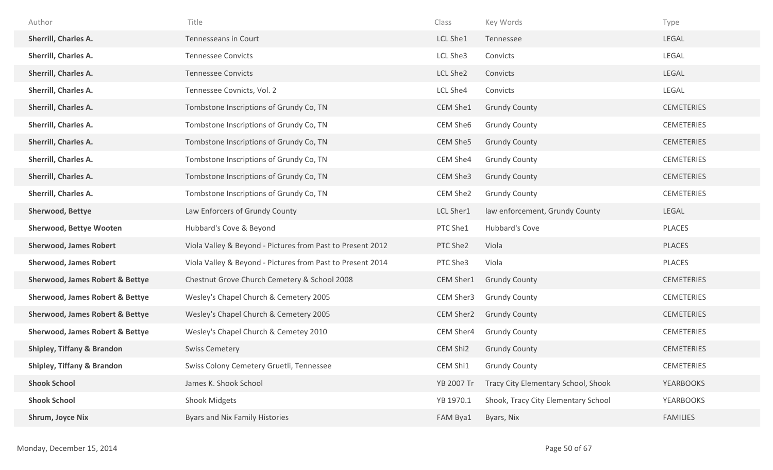| Author                                     | Title                                                      | Class      | Key Words                           | Type              |
|--------------------------------------------|------------------------------------------------------------|------------|-------------------------------------|-------------------|
| Sherrill, Charles A.                       | Tennesseans in Court                                       | LCL She1   | Tennessee                           | LEGAL             |
| Sherrill, Charles A.                       | <b>Tennessee Convicts</b>                                  | LCL She3   | Convicts                            | LEGAL             |
| <b>Sherrill, Charles A.</b>                | <b>Tennessee Convicts</b>                                  | LCL She2   | Convicts                            | LEGAL             |
| Sherrill, Charles A.                       | Tennessee Covnicts, Vol. 2                                 | LCL She4   | Convicts                            | LEGAL             |
| Sherrill, Charles A.                       | Tombstone Inscriptions of Grundy Co, TN                    | CEM She1   | <b>Grundy County</b>                | <b>CEMETERIES</b> |
| Sherrill, Charles A.                       | Tombstone Inscriptions of Grundy Co, TN                    | CEM She6   | <b>Grundy County</b>                | <b>CEMETERIES</b> |
| <b>Sherrill, Charles A.</b>                | Tombstone Inscriptions of Grundy Co, TN                    | CEM She5   | <b>Grundy County</b>                | <b>CEMETERIES</b> |
| Sherrill, Charles A.                       | Tombstone Inscriptions of Grundy Co, TN                    | CEM She4   | <b>Grundy County</b>                | <b>CEMETERIES</b> |
| <b>Sherrill, Charles A.</b>                | Tombstone Inscriptions of Grundy Co, TN                    | CEM She3   | <b>Grundy County</b>                | <b>CEMETERIES</b> |
| <b>Sherrill, Charles A.</b>                | Tombstone Inscriptions of Grundy Co, TN                    | CEM She2   | <b>Grundy County</b>                | <b>CEMETERIES</b> |
| Sherwood, Bettye                           | Law Enforcers of Grundy County                             | LCL Sher1  | law enforcement, Grundy County      | LEGAL             |
| <b>Sherwood, Bettye Wooten</b>             | Hubbard's Cove & Beyond                                    | PTC She1   | Hubbard's Cove                      | PLACES            |
| <b>Sherwood, James Robert</b>              | Viola Valley & Beyond - Pictures from Past to Present 2012 | PTC She2   | Viola                               | PLACES            |
| <b>Sherwood, James Robert</b>              | Viola Valley & Beyond - Pictures from Past to Present 2014 | PTC She3   | Viola                               | PLACES            |
| <b>Sherwood, James Robert &amp; Bettye</b> | Chestnut Grove Church Cemetery & School 2008               | CEM Sher1  | <b>Grundy County</b>                | <b>CEMETERIES</b> |
| <b>Sherwood, James Robert &amp; Bettye</b> | Wesley's Chapel Church & Cemetery 2005                     | CEM Sher3  | <b>Grundy County</b>                | <b>CEMETERIES</b> |
| <b>Sherwood, James Robert &amp; Bettye</b> | Wesley's Chapel Church & Cemetery 2005                     | CEM Sher2  | <b>Grundy County</b>                | <b>CEMETERIES</b> |
| <b>Sherwood, James Robert &amp; Bettye</b> | Wesley's Chapel Church & Cemetey 2010                      | CEM Sher4  | <b>Grundy County</b>                | <b>CEMETERIES</b> |
| <b>Shipley, Tiffany &amp; Brandon</b>      | <b>Swiss Cemetery</b>                                      | CEM Shi2   | <b>Grundy County</b>                | <b>CEMETERIES</b> |
| <b>Shipley, Tiffany &amp; Brandon</b>      | Swiss Colony Cemetery Gruetli, Tennessee                   | CEM Shi1   | <b>Grundy County</b>                | <b>CEMETERIES</b> |
| <b>Shook School</b>                        | James K. Shook School                                      | YB 2007 Tr | Tracy City Elementary School, Shook | <b>YEARBOOKS</b>  |
| <b>Shook School</b>                        | <b>Shook Midgets</b>                                       | YB 1970.1  | Shook, Tracy City Elementary School | <b>YEARBOOKS</b>  |
| Shrum, Joyce Nix                           | Byars and Nix Family Histories                             | FAM Bya1   | Byars, Nix                          | <b>FAMILIES</b>   |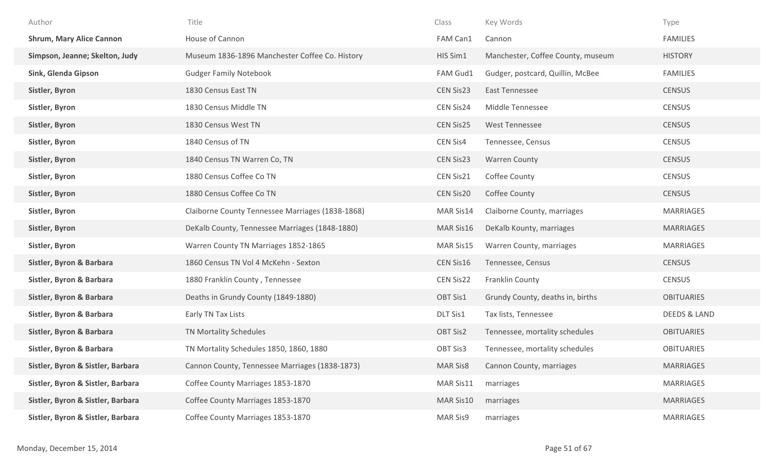| Author                            | Title                                            | Class            | Key Words                         | Type                    |
|-----------------------------------|--------------------------------------------------|------------------|-----------------------------------|-------------------------|
| <b>Shrum, Mary Alice Cannon</b>   | House of Cannon                                  | FAM Can1         | Cannon                            | <b>FAMILIES</b>         |
| Simpson, Jeanne; Skelton, Judy    | Museum 1836-1896 Manchester Coffee Co. History   | HIS Sim1         | Manchester, Coffee County, museum | <b>HISTORY</b>          |
| Sink, Glenda Gipson               | <b>Gudger Family Notebook</b>                    | FAM Gud1         | Gudger, postcard, Quillin, McBee  | <b>FAMILIES</b>         |
| Sistler, Byron                    | 1830 Census East TN                              | CEN Sis23        | East Tennessee                    | <b>CENSUS</b>           |
| Sistler, Byron                    | 1830 Census Middle TN                            | CEN Sis24        | Middle Tennessee                  | <b>CENSUS</b>           |
| Sistler, Byron                    | 1830 Census West TN                              | CEN Sis25        | <b>West Tennessee</b>             | <b>CENSUS</b>           |
| Sistler, Byron                    | 1840 Census of TN                                | CEN Sis4         | Tennessee, Census                 | <b>CENSUS</b>           |
| Sistler, Byron                    | 1840 Census TN Warren Co, TN                     | CEN Sis23        | <b>Warren County</b>              | <b>CENSUS</b>           |
| Sistler, Byron                    | 1880 Census Coffee Co TN                         | CEN Sis21        | Coffee County                     | CENSUS                  |
| Sistler, Byron                    | 1880 Census Coffee Co TN                         | <b>CEN Sis20</b> | Coffee County                     | <b>CENSUS</b>           |
| Sistler, Byron                    | Claiborne County Tennessee Marriages (1838-1868) | MAR Sis14        | Claiborne County, marriages       | <b>MARRIAGES</b>        |
| Sistler, Byron                    | DeKalb County, Tennessee Marriages (1848-1880)   | MAR Sis16        | DeKalb Kounty, marriages          | <b>MARRIAGES</b>        |
| Sistler, Byron                    | Warren County TN Marriages 1852-1865             | MAR Sis15        | Warren County, marriages          | <b>MARRIAGES</b>        |
| Sistler, Byron & Barbara          | 1860 Census TN Vol 4 McKehn - Sexton             | CEN Sis16        | Tennessee, Census                 | <b>CENSUS</b>           |
| Sistler, Byron & Barbara          | 1880 Franklin County, Tennessee                  | CEN Sis22        | Franklin County                   | CENSUS                  |
| Sistler, Byron & Barbara          | Deaths in Grundy County (1849-1880)              | OBT Sis1         | Grundy County, deaths in, births  | <b>OBITUARIES</b>       |
| Sistler, Byron & Barbara          | Early TN Tax Lists                               | DLT Sis1         | Tax lists, Tennessee              | <b>DEEDS &amp; LAND</b> |
| Sistler, Byron & Barbara          | TN Mortality Schedules                           | OBT Sis2         | Tennessee, mortality schedules    | <b>OBITUARIES</b>       |
| Sistler, Byron & Barbara          | TN Mortality Schedules 1850, 1860, 1880          | OBT Sis3         | Tennessee, mortality schedules    | <b>OBITUARIES</b>       |
| Sistler, Byron & Sistler, Barbara | Cannon County, Tennessee Marriages (1838-1873)   | <b>MAR Sis8</b>  | Cannon County, marriages          | <b>MARRIAGES</b>        |
| Sistler, Byron & Sistler, Barbara | Coffee County Marriages 1853-1870                | MAR Sis11        | marriages                         | <b>MARRIAGES</b>        |
| Sistler, Byron & Sistler, Barbara | Coffee County Marriages 1853-1870                | MAR Sis10        | marriages                         | <b>MARRIAGES</b>        |
| Sistler, Byron & Sistler, Barbara | Coffee County Marriages 1853-1870                | <b>MAR Sis9</b>  | marriages                         | <b>MARRIAGES</b>        |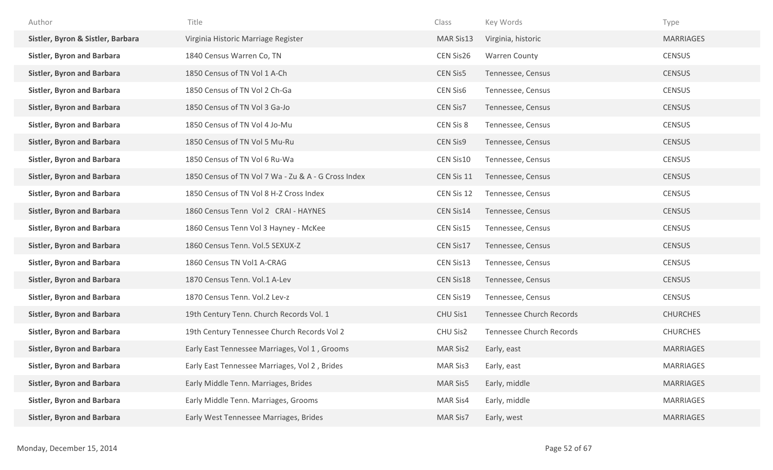| Author                            | Title                                               | Class           | Key Words                | Type             |
|-----------------------------------|-----------------------------------------------------|-----------------|--------------------------|------------------|
| Sistler, Byron & Sistler, Barbara | Virginia Historic Marriage Register                 | MAR Sis13       | Virginia, historic       | <b>MARRIAGES</b> |
| <b>Sistler, Byron and Barbara</b> | 1840 Census Warren Co, TN                           | CEN Sis26       | <b>Warren County</b>     | <b>CENSUS</b>    |
| <b>Sistler, Byron and Barbara</b> | 1850 Census of TN Vol 1 A-Ch                        | <b>CEN Sis5</b> | Tennessee, Census        | <b>CENSUS</b>    |
| <b>Sistler, Byron and Barbara</b> | 1850 Census of TN Vol 2 Ch-Ga                       | <b>CEN Sis6</b> | Tennessee, Census        | <b>CENSUS</b>    |
| <b>Sistler, Byron and Barbara</b> | 1850 Census of TN Vol 3 Ga-Jo                       | CEN Sis7        | Tennessee, Census        | <b>CENSUS</b>    |
| <b>Sistler, Byron and Barbara</b> | 1850 Census of TN Vol 4 Jo-Mu                       | CEN Sis 8       | Tennessee, Census        | <b>CENSUS</b>    |
| <b>Sistler, Byron and Barbara</b> | 1850 Census of TN Vol 5 Mu-Ru                       | <b>CEN Sis9</b> | Tennessee, Census        | <b>CENSUS</b>    |
| <b>Sistler, Byron and Barbara</b> | 1850 Census of TN Vol 6 Ru-Wa                       | CEN Sis10       | Tennessee, Census        | <b>CENSUS</b>    |
| <b>Sistler, Byron and Barbara</b> | 1850 Census of TN Vol 7 Wa - Zu & A - G Cross Index | CEN Sis 11      | Tennessee, Census        | <b>CENSUS</b>    |
| <b>Sistler, Byron and Barbara</b> | 1850 Census of TN Vol 8 H-Z Cross Index             | CEN Sis 12      | Tennessee, Census        | <b>CENSUS</b>    |
| <b>Sistler, Byron and Barbara</b> | 1860 Census Tenn Vol 2 CRAI - HAYNES                | CEN Sis14       | Tennessee, Census        | <b>CENSUS</b>    |
| <b>Sistler, Byron and Barbara</b> | 1860 Census Tenn Vol 3 Hayney - McKee               | CEN Sis15       | Tennessee, Census        | <b>CENSUS</b>    |
| <b>Sistler, Byron and Barbara</b> | 1860 Census Tenn. Vol.5 SEXUX-Z                     | CEN Sis17       | Tennessee, Census        | <b>CENSUS</b>    |
| <b>Sistler, Byron and Barbara</b> | 1860 Census TN Vol1 A-CRAG                          | CEN Sis13       | Tennessee, Census        | <b>CENSUS</b>    |
| <b>Sistler, Byron and Barbara</b> | 1870 Census Tenn. Vol.1 A-Lev                       | CEN Sis18       | Tennessee, Census        | <b>CENSUS</b>    |
| <b>Sistler, Byron and Barbara</b> | 1870 Census Tenn. Vol.2 Lev-z                       | CEN Sis19       | Tennessee, Census        | <b>CENSUS</b>    |
| <b>Sistler, Byron and Barbara</b> | 19th Century Tenn. Church Records Vol. 1            | CHU Sis1        | Tennessee Church Records | <b>CHURCHES</b>  |
| <b>Sistler, Byron and Barbara</b> | 19th Century Tennessee Church Records Vol 2         | CHU Sis2        | Tennessee Church Records | <b>CHURCHES</b>  |
| <b>Sistler, Byron and Barbara</b> | Early East Tennessee Marriages, Vol 1, Grooms       | <b>MAR Sis2</b> | Early, east              | <b>MARRIAGES</b> |
| <b>Sistler, Byron and Barbara</b> | Early East Tennessee Marriages, Vol 2, Brides       | MAR Sis3        | Early, east              | <b>MARRIAGES</b> |
| <b>Sistler, Byron and Barbara</b> | Early Middle Tenn. Marriages, Brides                | <b>MAR Sis5</b> | Early, middle            | <b>MARRIAGES</b> |
| <b>Sistler, Byron and Barbara</b> | Early Middle Tenn. Marriages, Grooms                | MAR Sis4        | Early, middle            | <b>MARRIAGES</b> |
| <b>Sistler, Byron and Barbara</b> | Early West Tennessee Marriages, Brides              | MAR Sis7        | Early, west              | <b>MARRIAGES</b> |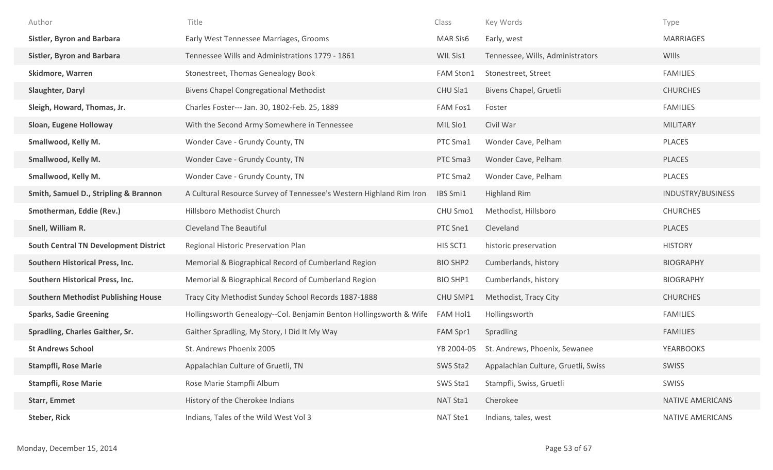| Author                                       | Title                                                               | Class            | Key Words                           | Type              |
|----------------------------------------------|---------------------------------------------------------------------|------------------|-------------------------------------|-------------------|
| <b>Sistler, Byron and Barbara</b>            | Early West Tennessee Marriages, Grooms                              | <b>MAR Sis6</b>  | Early, west                         | <b>MARRIAGES</b>  |
| <b>Sistler, Byron and Barbara</b>            | Tennessee Wills and Administrations 1779 - 1861                     | WIL Sis1         | Tennessee, Wills, Administrators    | <b>WIlls</b>      |
| <b>Skidmore, Warren</b>                      | Stonestreet, Thomas Genealogy Book                                  | <b>FAM Ston1</b> | Stonestreet, Street                 | <b>FAMILIES</b>   |
| Slaughter, Daryl                             | <b>Bivens Chapel Congregational Methodist</b>                       | CHU Sla1         | Bivens Chapel, Gruetli              | <b>CHURCHES</b>   |
| Sleigh, Howard, Thomas, Jr.                  | Charles Foster--- Jan. 30, 1802-Feb. 25, 1889                       | FAM Fos1         | Foster                              | <b>FAMILIES</b>   |
| Sloan, Eugene Holloway                       | With the Second Army Somewhere in Tennessee                         | MIL Slo1         | Civil War                           | <b>MILITARY</b>   |
| Smallwood, Kelly M.                          | Wonder Cave - Grundy County, TN                                     | PTC Sma1         | Wonder Cave, Pelham                 | PLACES            |
| Smallwood, Kelly M.                          | Wonder Cave - Grundy County, TN                                     | PTC Sma3         | Wonder Cave, Pelham                 | PLACES            |
| Smallwood, Kelly M.                          | Wonder Cave - Grundy County, TN                                     | PTC Sma2         | Wonder Cave, Pelham                 | PLACES            |
| Smith, Samuel D., Stripling & Brannon        | A Cultural Resource Survey of Tennessee's Western Highland Rim Iron | IBS Smi1         | <b>Highland Rim</b>                 | INDUSTRY/BUSINESS |
| Smotherman, Eddie (Rev.)                     | Hillsboro Methodist Church                                          | CHU Smo1         | Methodist, Hillsboro                | <b>CHURCHES</b>   |
| Snell, William R.                            | <b>Cleveland The Beautiful</b>                                      | PTC Sne1         | Cleveland                           | PLACES            |
| <b>South Central TN Development District</b> | Regional Historic Preservation Plan                                 | HIS SCT1         | historic preservation               | <b>HISTORY</b>    |
| Southern Historical Press, Inc.              | Memorial & Biographical Record of Cumberland Region                 | <b>BIO SHP2</b>  | Cumberlands, history                | <b>BIOGRAPHY</b>  |
| Southern Historical Press, Inc.              | Memorial & Biographical Record of Cumberland Region                 | <b>BIO SHP1</b>  | Cumberlands, history                | <b>BIOGRAPHY</b>  |
| <b>Southern Methodist Publishing House</b>   | Tracy City Methodist Sunday School Records 1887-1888                | CHU SMP1         | Methodist, Tracy City               | <b>CHURCHES</b>   |
| <b>Sparks, Sadie Greening</b>                | Hollingsworth Genealogy--Col. Benjamin Benton Hollingsworth & Wife  | FAM Hol1         | Hollingsworth                       | <b>FAMILIES</b>   |
| <b>Spradling, Charles Gaither, Sr.</b>       | Gaither Spradling, My Story, I Did It My Way                        | FAM Spr1         | Spradling                           | <b>FAMILIES</b>   |
| <b>St Andrews School</b>                     | St. Andrews Phoenix 2005                                            | YB 2004-05       | St. Andrews, Phoenix, Sewanee       | <b>YEARBOOKS</b>  |
| <b>Stampfli, Rose Marie</b>                  | Appalachian Culture of Gruetli, TN                                  | SWS Sta2         | Appalachian Culture, Gruetli, Swiss | SWISS             |
| <b>Stampfli, Rose Marie</b>                  | Rose Marie Stampfli Album                                           | SWS Sta1         | Stampfli, Swiss, Gruetli            | SWISS             |
| <b>Starr, Emmet</b>                          | History of the Cherokee Indians                                     | NAT Sta1         | Cherokee                            | NATIVE AMERICANS  |
| <b>Steber, Rick</b>                          | Indians, Tales of the Wild West Vol 3                               | NAT Ste1         | Indians, tales, west                | NATIVE AMERICANS  |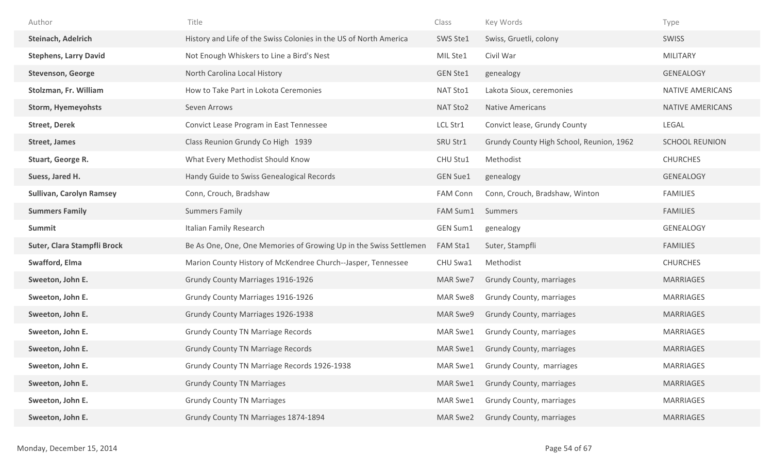| Author                          | Title                                                             | Class           | Key Words                                | Type                    |
|---------------------------------|-------------------------------------------------------------------|-----------------|------------------------------------------|-------------------------|
| <b>Steinach, Adelrich</b>       | History and Life of the Swiss Colonies in the US of North America | SWS Ste1        | Swiss, Gruetli, colony                   | <b>SWISS</b>            |
| <b>Stephens, Larry David</b>    | Not Enough Whiskers to Line a Bird's Nest                         | MIL Ste1        | Civil War                                | <b>MILITARY</b>         |
| <b>Stevenson, George</b>        | North Carolina Local History                                      | <b>GEN Ste1</b> | genealogy                                | GENEALOGY               |
| Stolzman, Fr. William           | How to Take Part in Lokota Ceremonies                             | NAT Sto1        | Lakota Sioux, ceremonies                 | NATIVE AMERICANS        |
| <b>Storm, Hyemeyohsts</b>       | Seven Arrows                                                      | NAT Sto2        | <b>Native Americans</b>                  | <b>NATIVE AMERICANS</b> |
| <b>Street, Derek</b>            | Convict Lease Program in East Tennessee                           | LCL Str1        | Convict lease, Grundy County             | LEGAL                   |
| <b>Street, James</b>            | Class Reunion Grundy Co High 1939                                 | SRU Str1        | Grundy County High School, Reunion, 1962 | <b>SCHOOL REUNION</b>   |
| Stuart, George R.               | What Every Methodist Should Know                                  | CHU Stu1        | Methodist                                | <b>CHURCHES</b>         |
| Suess, Jared H.                 | Handy Guide to Swiss Genealogical Records                         | <b>GEN Sue1</b> | genealogy                                | <b>GENEALOGY</b>        |
| <b>Sullivan, Carolyn Ramsey</b> | Conn, Crouch, Bradshaw                                            | <b>FAM Conn</b> | Conn, Crouch, Bradshaw, Winton           | <b>FAMILIES</b>         |
| <b>Summers Family</b>           | <b>Summers Family</b>                                             | FAM Sum1        | Summers                                  | <b>FAMILIES</b>         |
|                                 |                                                                   |                 |                                          |                         |
| Summit                          | Italian Family Research                                           | GEN Sum1        | genealogy                                | GENEALOGY               |
| Suter, Clara Stampfli Brock     | Be As One, One, One Memories of Growing Up in the Swiss Settlemen | <b>FAM Sta1</b> | Suter, Stampfli                          | <b>FAMILIES</b>         |
| Swafford, Elma                  | Marion County History of McKendree Church--Jasper, Tennessee      | CHU Swa1        | Methodist                                | <b>CHURCHES</b>         |
| Sweeton, John E.                | Grundy County Marriages 1916-1926                                 | MAR Swe7        | Grundy County, marriages                 | <b>MARRIAGES</b>        |
| Sweeton, John E.                | <b>Grundy County Marriages 1916-1926</b>                          | MAR Swe8        | Grundy County, marriages                 | MARRIAGES               |
| Sweeton, John E.                | <b>Grundy County Marriages 1926-1938</b>                          | MAR Swe9        | Grundy County, marriages                 | <b>MARRIAGES</b>        |
| Sweeton, John E.                | <b>Grundy County TN Marriage Records</b>                          | MAR Swe1        | Grundy County, marriages                 | <b>MARRIAGES</b>        |
| Sweeton, John E.                | <b>Grundy County TN Marriage Records</b>                          | MAR Swe1        | <b>Grundy County, marriages</b>          | <b>MARRIAGES</b>        |
| Sweeton, John E.                | Grundy County TN Marriage Records 1926-1938                       | MAR Swe1        | Grundy County, marriages                 | <b>MARRIAGES</b>        |
| Sweeton, John E.                | <b>Grundy County TN Marriages</b>                                 | MAR Swe1        | <b>Grundy County, marriages</b>          | MARRIAGES               |
| Sweeton, John E.                | <b>Grundy County TN Marriages</b>                                 | MAR Swe1        | Grundy County, marriages                 | <b>MARRIAGES</b>        |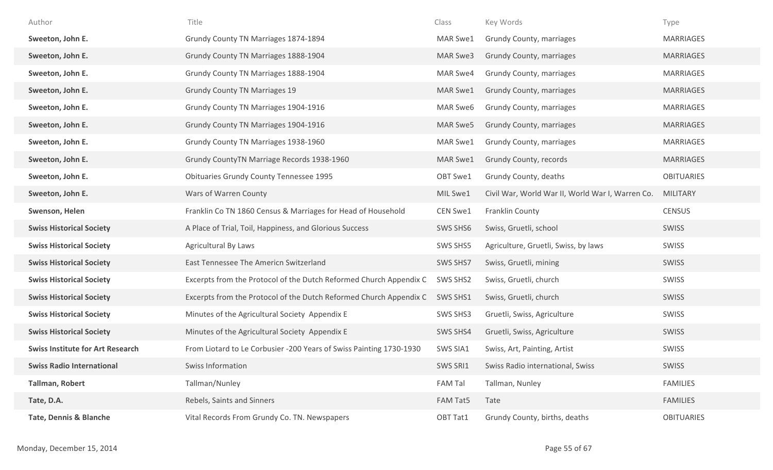| Author                                  | Title                                                               | Class          | Key Words                                        | Type              |
|-----------------------------------------|---------------------------------------------------------------------|----------------|--------------------------------------------------|-------------------|
| Sweeton, John E.                        | Grundy County TN Marriages 1874-1894                                | MAR Swe1       | Grundy County, marriages                         | <b>MARRIAGES</b>  |
| Sweeton, John E.                        | Grundy County TN Marriages 1888-1904                                | MAR Swe3       | Grundy County, marriages                         | <b>MARRIAGES</b>  |
| Sweeton, John E.                        | Grundy County TN Marriages 1888-1904                                | MAR Swe4       | Grundy County, marriages                         | <b>MARRIAGES</b>  |
| Sweeton, John E.                        | <b>Grundy County TN Marriages 19</b>                                | MAR Swe1       | Grundy County, marriages                         | <b>MARRIAGES</b>  |
| Sweeton, John E.                        | Grundy County TN Marriages 1904-1916                                | MAR Swe6       | Grundy County, marriages                         | <b>MARRIAGES</b>  |
| Sweeton, John E.                        | Grundy County TN Marriages 1904-1916                                | MAR Swe5       | Grundy County, marriages                         | <b>MARRIAGES</b>  |
| Sweeton, John E.                        | Grundy County TN Marriages 1938-1960                                | MAR Swe1       | Grundy County, marriages                         | <b>MARRIAGES</b>  |
| Sweeton, John E.                        | Grundy CountyTN Marriage Records 1938-1960                          | MAR Swe1       | Grundy County, records                           | <b>MARRIAGES</b>  |
| Sweeton, John E.                        | <b>Obituaries Grundy County Tennessee 1995</b>                      | OBT Swe1       | Grundy County, deaths                            | <b>OBITUARIES</b> |
| Sweeton, John E.                        | Wars of Warren County                                               | MIL Swe1       | Civil War, World War II, World War I, Warren Co. | <b>MILITARY</b>   |
| Swenson, Helen                          | Franklin Co TN 1860 Census & Marriages for Head of Household        | CEN Swe1       | Franklin County                                  | <b>CENSUS</b>     |
| <b>Swiss Historical Society</b>         | A Place of Trial, Toil, Happiness, and Glorious Success             | SWS SHS6       | Swiss, Gruetli, school                           | SWISS             |
| <b>Swiss Historical Society</b>         | Agricultural By Laws                                                | SWS SHS5       | Agriculture, Gruetli, Swiss, by laws             | SWISS             |
| <b>Swiss Historical Society</b>         | East Tennessee The Americn Switzerland                              | SWS SHS7       | Swiss, Gruetli, mining                           | SWISS             |
| <b>Swiss Historical Society</b>         | Excerpts from the Protocol of the Dutch Reformed Church Appendix C  | SWS SHS2       | Swiss, Gruetli, church                           | SWISS             |
| <b>Swiss Historical Society</b>         | Excerpts from the Protocol of the Dutch Reformed Church Appendix C  | SWS SHS1       | Swiss, Gruetli, church                           | <b>SWISS</b>      |
| <b>Swiss Historical Society</b>         | Minutes of the Agricultural Society Appendix E                      | SWS SHS3       | Gruetli, Swiss, Agriculture                      | SWISS             |
| <b>Swiss Historical Society</b>         | Minutes of the Agricultural Society Appendix E                      | SWS SHS4       | Gruetli, Swiss, Agriculture                      | SWISS             |
| <b>Swiss Institute for Art Research</b> | From Liotard to Le Corbusier -200 Years of Swiss Painting 1730-1930 | SWS SIA1       | Swiss, Art, Painting, Artist                     | <b>SWISS</b>      |
| <b>Swiss Radio International</b>        | Swiss Information                                                   | SWS SRI1       | Swiss Radio international, Swiss                 | SWISS             |
| <b>Tallman, Robert</b>                  | Tallman/Nunley                                                      | <b>FAM Tal</b> | Tallman, Nunley                                  | <b>FAMILIES</b>   |
| Tate, D.A.                              | Rebels, Saints and Sinners                                          | FAM Tat5       | Tate                                             | <b>FAMILIES</b>   |
| <b>Tate, Dennis &amp; Blanche</b>       | Vital Records From Grundy Co. TN. Newspapers                        | OBT Tat1       | Grundy County, births, deaths                    | <b>OBITUARIES</b> |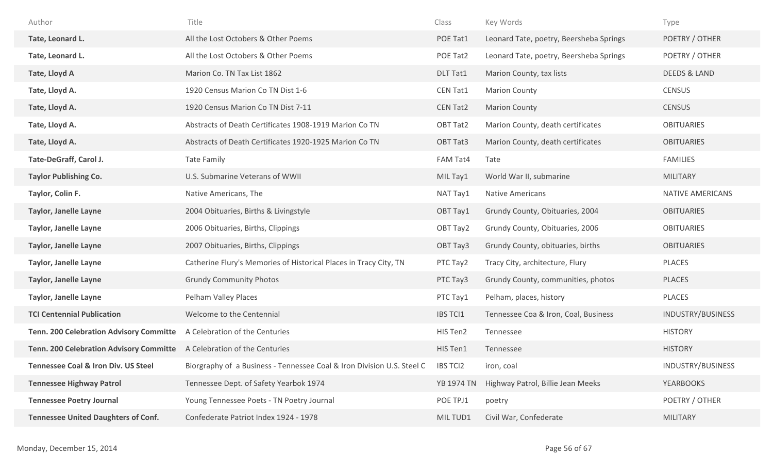| Author                                         | Title                                                                  | Class             | Key Words                               | Type                     |
|------------------------------------------------|------------------------------------------------------------------------|-------------------|-----------------------------------------|--------------------------|
| Tate, Leonard L.                               | All the Lost Octobers & Other Poems                                    | POE Tat1          | Leonard Tate, poetry, Beersheba Springs | POETRY / OTHER           |
| Tate, Leonard L.                               | All the Lost Octobers & Other Poems                                    | POE Tat2          | Leonard Tate, poetry, Beersheba Springs | POETRY / OTHER           |
| Tate, Lloyd A                                  | Marion Co. TN Tax List 1862                                            | DLT Tat1          | Marion County, tax lists                | <b>DEEDS &amp; LAND</b>  |
| Tate, Lloyd A.                                 | 1920 Census Marion Co TN Dist 1-6                                      | CEN Tat1          | <b>Marion County</b>                    | <b>CENSUS</b>            |
| Tate, Lloyd A.                                 | 1920 Census Marion Co TN Dist 7-11                                     | <b>CEN Tat2</b>   | <b>Marion County</b>                    | <b>CENSUS</b>            |
| Tate, Lloyd A.                                 | Abstracts of Death Certificates 1908-1919 Marion Co TN                 | OBT Tat2          | Marion County, death certificates       | <b>OBITUARIES</b>        |
| Tate, Lloyd A.                                 | Abstracts of Death Certificates 1920-1925 Marion Co TN                 | OBT Tat3          | Marion County, death certificates       | <b>OBITUARIES</b>        |
| Tate-DeGraff, Carol J.                         | Tate Family                                                            | FAM Tat4          | Tate                                    | <b>FAMILIES</b>          |
| <b>Taylor Publishing Co.</b>                   | U.S. Submarine Veterans of WWII                                        | MIL Tay1          | World War II, submarine                 | <b>MILITARY</b>          |
| Taylor, Colin F.                               | Native Americans, The                                                  | NAT Tay1          | <b>Native Americans</b>                 | NATIVE AMERICANS         |
| <b>Taylor, Janelle Layne</b>                   | 2004 Obituaries, Births & Livingstyle                                  | OBT Tay1          | Grundy County, Obituaries, 2004         | <b>OBITUARIES</b>        |
| <b>Taylor, Janelle Layne</b>                   | 2006 Obituaries, Births, Clippings                                     | OBT Tay2          | Grundy County, Obituaries, 2006         | <b>OBITUARIES</b>        |
| <b>Taylor, Janelle Layne</b>                   | 2007 Obituaries, Births, Clippings                                     | OBT Tay3          | Grundy County, obituaries, births       | <b>OBITUARIES</b>        |
| <b>Taylor, Janelle Layne</b>                   | Catherine Flury's Memories of Historical Places in Tracy City, TN      | PTC Tay2          | Tracy City, architecture, Flury         | <b>PLACES</b>            |
| <b>Taylor, Janelle Layne</b>                   | <b>Grundy Community Photos</b>                                         | PTC Tay3          | Grundy County, communities, photos      | <b>PLACES</b>            |
| <b>Taylor, Janelle Layne</b>                   | Pelham Valley Places                                                   | PTC Tay1          | Pelham, places, history                 | PLACES                   |
| <b>TCI Centennial Publication</b>              | Welcome to the Centennial                                              | <b>IBS TCI1</b>   | Tennessee Coa & Iron, Coal, Business    | INDUSTRY/BUSINESS        |
| <b>Tenn. 200 Celebration Advisory Committe</b> | A Celebration of the Centuries                                         | HIS Ten2          | Tennessee                               | <b>HISTORY</b>           |
| <b>Tenn. 200 Celebration Advisory Committe</b> | A Celebration of the Centuries                                         | HIS Ten1          | Tennessee                               | <b>HISTORY</b>           |
| <b>Tennessee Coal &amp; Iron Div. US Steel</b> | Biorgraphy of a Business - Tennessee Coal & Iron Division U.S. Steel C | <b>IBS TCI2</b>   | iron, coal                              | <b>INDUSTRY/BUSINESS</b> |
| <b>Tennessee Highway Patrol</b>                | Tennessee Dept. of Safety Yearbok 1974                                 | <b>YB 1974 TN</b> | Highway Patrol, Billie Jean Meeks       | <b>YEARBOOKS</b>         |
| <b>Tennessee Poetry Journal</b>                | Young Tennessee Poets - TN Poetry Journal                              | POE TPJ1          | poetry                                  | POETRY / OTHER           |
| <b>Tennessee United Daughters of Conf.</b>     | Confederate Patriot Index 1924 - 1978                                  | MIL TUD1          | Civil War, Confederate                  | MILITARY                 |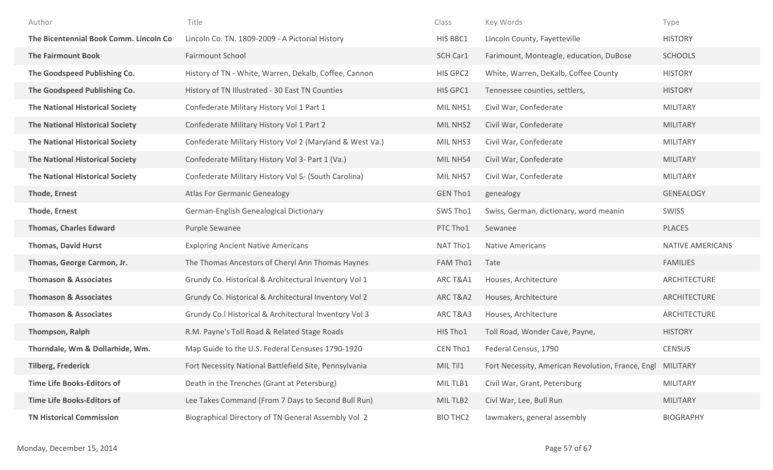| Author                                  | Title                                                    | Class           | Key Words                                                  | Type                    |
|-----------------------------------------|----------------------------------------------------------|-----------------|------------------------------------------------------------|-------------------------|
| The Bicentennial Book Comm. Lincoln Co. | Lincoln Co. TN. 1809-2009 - A Pictorial History          | HIS BBC1        | Lincoln County, Fayetteville                               | <b>HISTORY</b>          |
| <b>The Fairmount Book</b>               | <b>Fairmount School</b>                                  | SCH Car1        | Farimount, Monteagle, education, DuBose                    | <b>SCHOOLS</b>          |
| The Goodspeed Publishing Co.            | History of TN - White, Warren, Dekalb, Coffee, Cannon    | HIS GPC2        | White, Warren, DeKalb, Coffee County                       | <b>HISTORY</b>          |
| The Goodspeed Publishing Co.            | History of TN Illustrated - 30 East TN Counties          | HIS GPC1        | Tennessee counties, settlers,                              | <b>HISTORY</b>          |
| <b>The National Historical Society</b>  | Confederate Military History Vol 1 Part 1                | MIL NHS1        | Civil War, Confederate                                     | <b>MILITARY</b>         |
| <b>The National Historical Society</b>  | Confederate Military History Vol 1 Part 2                | MIL NHS2        | Civil War, Confederate                                     | <b>MILITARY</b>         |
| <b>The National Historical Society</b>  | Confederate Military History Vol 2 (Maryland & West Va.) | MIL NHS3        | Civil War, Confederate                                     | <b>MILITARY</b>         |
| <b>The National Historical Society</b>  | Confederate Military History Vol 3- Part 1 (Va.)         | MIL NHS4        | Civil War, Confederate                                     | <b>MILITARY</b>         |
| <b>The National Historical Society</b>  | Confederate Military History Vol 5- (South Carolina)     | MIL NHS7        | Civil War, Confederate                                     | MILITARY                |
| <b>Thode, Ernest</b>                    | <b>Atlas For Germanic Genealogy</b>                      | <b>GEN Tho1</b> | genealogy                                                  | <b>GENEALOGY</b>        |
| <b>Thode, Ernest</b>                    | German-English Genealogical Dictionary                   | SWS Tho1        | Swiss, German, dictionary, word meanin                     | <b>SWISS</b>            |
| <b>Thomas, Charles Edward</b>           | Purple Sewanee                                           | PTC Tho1        | Sewanee                                                    | PLACES                  |
| <b>Thomas, David Hurst</b>              | <b>Exploring Ancient Native Americans</b>                | NAT Tho1        | <b>Native Americans</b>                                    | <b>NATIVE AMERICANS</b> |
| Thomas, George Carmon, Jr.              | The Thomas Ancestors of Cheryl Ann Thomas Haynes         | FAM Tho1        | Tate                                                       | <b>FAMILIES</b>         |
| <b>Thomason &amp; Associates</b>        | Grundy Co. Historical & Architectural Inventory Vol 1    | ARC T&A1        | Houses, Architecture                                       | ARCHITECTURE            |
| <b>Thomason &amp; Associates</b>        | Grundy Co. Historical & Architectural Inventory Vol 2    | ARC T&A2        | Houses, Architecture                                       | ARCHITECTURE            |
| <b>Thomason &amp; Associates</b>        | Grundy Co.l Historical & Architectural Inventory Vol 3   | ARC T&A3        | Houses, Architecture                                       | ARCHITECTURE            |
| Thompson, Ralph                         | R.M. Payne's Toll Road & Related Stage Roads             | HIS Tho1        | Toll Road, Wonder Cave, Payne,                             | <b>HISTORY</b>          |
| Thorndale, Wm & Dollarhide, Wm.         | Map Guide to the U.S. Federal Censuses 1790-1920         | CEN Tho1        | Federal Census, 1790                                       | <b>CENSUS</b>           |
| <b>Tilberg, Frederick</b>               | Fort Necessity National Battlefield Site, Pennsylvania   | MIL Til1        | Fort Necessity, American Revolution, France, Engl MILITARY |                         |
| <b>Time Life Books-Editors of</b>       | Death in the Trenches (Grant at Petersburg)              | MIL TLB1        | Civil War, Grant, Petersburg                               | MILITARY                |
| <b>Time Life Books-Editors of</b>       | Lee Takes Command (From 7 Days to Second Bull Run)       | MIL TLB2        | Civl War, Lee, Bull Run                                    | <b>MILITARY</b>         |
| <b>TN Historical Commission</b>         | Biographical Directory of TN General Assembly Vol 2      | <b>BIO THC2</b> | lawmakers, general assembly                                | <b>BIOGRAPHY</b>        |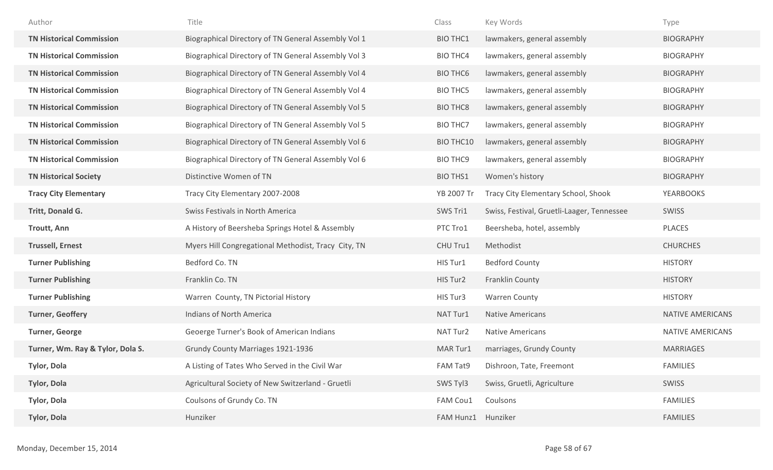| Author                           | Title                                               | Class              | Key Words                                  | Type                    |
|----------------------------------|-----------------------------------------------------|--------------------|--------------------------------------------|-------------------------|
| <b>TN Historical Commission</b>  | Biographical Directory of TN General Assembly Vol 1 | <b>BIO THC1</b>    | lawmakers, general assembly                | <b>BIOGRAPHY</b>        |
| <b>TN Historical Commission</b>  | Biographical Directory of TN General Assembly Vol 3 | <b>BIO THC4</b>    | lawmakers, general assembly                | <b>BIOGRAPHY</b>        |
| <b>TN Historical Commission</b>  | Biographical Directory of TN General Assembly Vol 4 | <b>BIO THC6</b>    | lawmakers, general assembly                | <b>BIOGRAPHY</b>        |
| <b>TN Historical Commission</b>  | Biographical Directory of TN General Assembly Vol 4 | <b>BIO THC5</b>    | lawmakers, general assembly                | <b>BIOGRAPHY</b>        |
| <b>TN Historical Commission</b>  | Biographical Directory of TN General Assembly Vol 5 | <b>BIO THC8</b>    | lawmakers, general assembly                | <b>BIOGRAPHY</b>        |
| <b>TN Historical Commission</b>  | Biographical Directory of TN General Assembly Vol 5 | <b>BIO THC7</b>    | lawmakers, general assembly                | <b>BIOGRAPHY</b>        |
| <b>TN Historical Commission</b>  | Biographical Directory of TN General Assembly Vol 6 | <b>BIO THC10</b>   | lawmakers, general assembly                | <b>BIOGRAPHY</b>        |
| <b>TN Historical Commission</b>  | Biographical Directory of TN General Assembly Vol 6 | <b>BIO THC9</b>    | lawmakers, general assembly                | <b>BIOGRAPHY</b>        |
| <b>TN Historical Society</b>     | Distinctive Women of TN                             | <b>BIO THS1</b>    | Women's history                            | <b>BIOGRAPHY</b>        |
| <b>Tracy City Elementary</b>     | Tracy City Elementary 2007-2008                     | YB 2007 Tr         | Tracy City Elementary School, Shook        | <b>YEARBOOKS</b>        |
| Tritt, Donald G.                 | Swiss Festivals in North America                    | SWS Tri1           | Swiss, Festival, Gruetli-Laager, Tennessee | SWISS                   |
| <b>Troutt, Ann</b>               | A History of Beersheba Springs Hotel & Assembly     | PTC Tro1           | Beersheba, hotel, assembly                 | PLACES                  |
| <b>Trussell, Ernest</b>          | Myers Hill Congregational Methodist, Tracy City, TN | CHU Tru1           | Methodist                                  | <b>CHURCHES</b>         |
| <b>Turner Publishing</b>         | Bedford Co. TN                                      | HIS Tur1           | <b>Bedford County</b>                      | <b>HISTORY</b>          |
| <b>Turner Publishing</b>         | Franklin Co. TN                                     | HIS Tur2           | Franklin County                            | <b>HISTORY</b>          |
| <b>Turner Publishing</b>         | Warren County, TN Pictorial History                 | HIS Tur3           | <b>Warren County</b>                       | <b>HISTORY</b>          |
| <b>Turner, Geoffery</b>          | Indians of North America                            | NAT Tur1           | <b>Native Americans</b>                    | <b>NATIVE AMERICANS</b> |
| <b>Turner, George</b>            | Geoerge Turner's Book of American Indians           | NAT Tur2           | Native Americans                           | NATIVE AMERICANS        |
| Turner, Wm. Ray & Tylor, Dola S. | Grundy County Marriages 1921-1936                   | MAR Tur1           | marriages, Grundy County                   | <b>MARRIAGES</b>        |
| <b>Tylor, Dola</b>               | A Listing of Tates Who Served in the Civil War      | FAM Tat9           | Dishroon, Tate, Freemont                   | <b>FAMILIES</b>         |
| Tylor, Dola                      | Agricultural Society of New Switzerland - Gruetli   | SWS Tyl3           | Swiss, Gruetli, Agriculture                | SWISS                   |
| Tylor, Dola                      | Coulsons of Grundy Co. TN                           | FAM Cou1           | Coulsons                                   | <b>FAMILIES</b>         |
| <b>Tylor, Dola</b>               | Hunziker                                            | FAM Hunz1 Hunziker |                                            | <b>FAMILIES</b>         |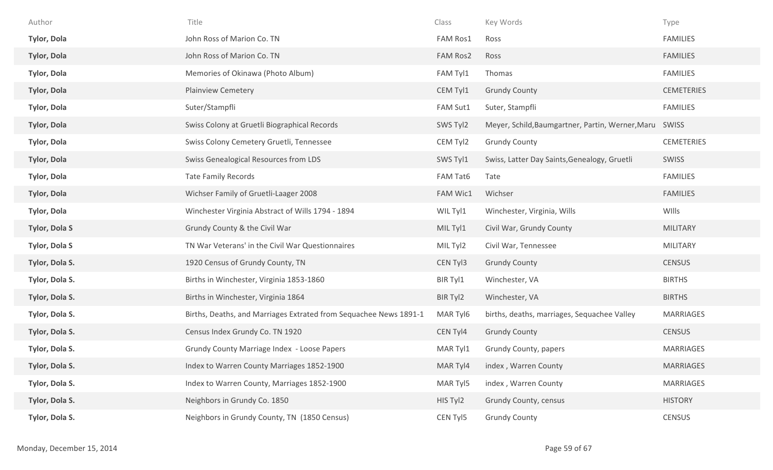| Author               | Title                                                             | Class           | Key Words                                              | Type              |
|----------------------|-------------------------------------------------------------------|-----------------|--------------------------------------------------------|-------------------|
| <b>Tylor, Dola</b>   | John Ross of Marion Co. TN                                        | <b>FAM Ros1</b> | Ross                                                   | <b>FAMILIES</b>   |
| <b>Tylor, Dola</b>   | John Ross of Marion Co. TN                                        | <b>FAM Ros2</b> | Ross                                                   | <b>FAMILIES</b>   |
| <b>Tylor, Dola</b>   | Memories of Okinawa (Photo Album)                                 | FAM Tyl1        | Thomas                                                 | <b>FAMILIES</b>   |
| <b>Tylor, Dola</b>   | <b>Plainview Cemetery</b>                                         | CEM Tyl1        | <b>Grundy County</b>                                   | <b>CEMETERIES</b> |
| <b>Tylor, Dola</b>   | Suter/Stampfli                                                    | FAM Sut1        | Suter, Stampfli                                        | <b>FAMILIES</b>   |
| <b>Tylor, Dola</b>   | Swiss Colony at Gruetli Biographical Records                      | SWS Tyl2        | Meyer, Schild, Baumgartner, Partin, Werner, Maru SWISS |                   |
| <b>Tylor, Dola</b>   | Swiss Colony Cemetery Gruetli, Tennessee                          | CEM Tyl2        | <b>Grundy County</b>                                   | <b>CEMETERIES</b> |
| <b>Tylor, Dola</b>   | Swiss Genealogical Resources from LDS                             | SWS Tyl1        | Swiss, Latter Day Saints, Genealogy, Gruetli           | SWISS             |
| <b>Tylor, Dola</b>   | <b>Tate Family Records</b>                                        | FAM Tat6        | Tate                                                   | <b>FAMILIES</b>   |
| <b>Tylor, Dola</b>   | Wichser Family of Gruetli-Laager 2008                             | <b>FAM Wic1</b> | Wichser                                                | <b>FAMILIES</b>   |
| <b>Tylor, Dola</b>   | Winchester Virginia Abstract of Wills 1794 - 1894                 | WIL Tyl1        | Winchester, Virginia, Wills                            | WIlls             |
| <b>Tylor, Dola S</b> | Grundy County & the Civil War                                     | MIL Tyl1        | Civil War, Grundy County                               | MILITARY          |
| <b>Tylor, Dola S</b> | TN War Veterans' in the Civil War Questionnaires                  | MIL Tyl2        | Civil War, Tennessee                                   | <b>MILITARY</b>   |
| Tylor, Dola S.       | 1920 Census of Grundy County, TN                                  | CEN Tyl3        | <b>Grundy County</b>                                   | <b>CENSUS</b>     |
| Tylor, Dola S.       | Births in Winchester, Virginia 1853-1860                          | BIR Tyl1        | Winchester, VA                                         | <b>BIRTHS</b>     |
| Tylor, Dola S.       | Births in Winchester, Virginia 1864                               | BIR Tyl2        | Winchester, VA                                         | <b>BIRTHS</b>     |
| Tylor, Dola S.       | Births, Deaths, and Marriages Extrated from Sequachee News 1891-1 | MAR Tyl6        | births, deaths, marriages, Sequachee Valley            | <b>MARRIAGES</b>  |
| Tylor, Dola S.       | Census Index Grundy Co. TN 1920                                   | CEN Tyl4        | <b>Grundy County</b>                                   | <b>CENSUS</b>     |
| Tylor, Dola S.       | Grundy County Marriage Index - Loose Papers                       | MAR Tyl1        | Grundy County, papers                                  | <b>MARRIAGES</b>  |
| Tylor, Dola S.       | Index to Warren County Marriages 1852-1900                        | MAR Tyl4        | index, Warren County                                   | <b>MARRIAGES</b>  |
| Tylor, Dola S.       | Index to Warren County, Marriages 1852-1900                       | MAR Tyl5        | index, Warren County                                   | <b>MARRIAGES</b>  |
| Tylor, Dola S.       | Neighbors in Grundy Co. 1850                                      | HIS Tyl2        | Grundy County, census                                  | <b>HISTORY</b>    |
| Tylor, Dola S.       | Neighbors in Grundy County, TN (1850 Census)                      | CEN Tyl5        | <b>Grundy County</b>                                   | CENSUS            |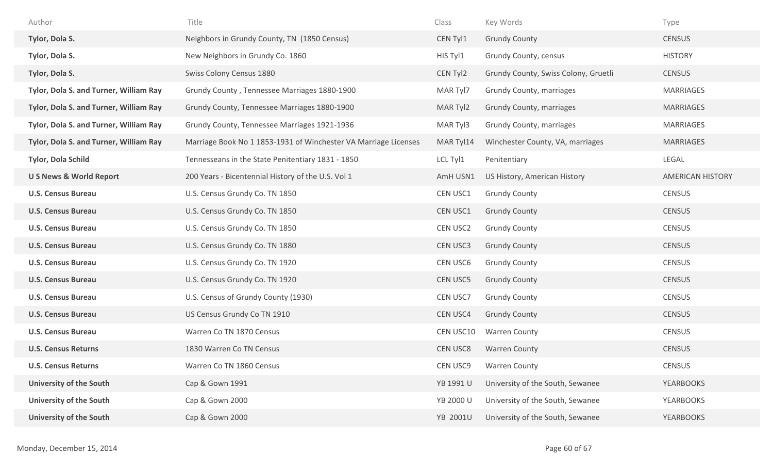| Author                                 | Title                                                           | Class           | Key Words                            | Type                    |
|----------------------------------------|-----------------------------------------------------------------|-----------------|--------------------------------------|-------------------------|
| Tylor, Dola S.                         | Neighbors in Grundy County, TN (1850 Census)                    | CEN Tyl1        | <b>Grundy County</b>                 | <b>CENSUS</b>           |
| Tylor, Dola S.                         | New Neighbors in Grundy Co. 1860                                | HIS Tyl1        | Grundy County, census                | <b>HISTORY</b>          |
| Tylor, Dola S.                         | Swiss Colony Census 1880                                        | CEN Tyl2        | Grundy County, Swiss Colony, Gruetli | <b>CENSUS</b>           |
| Tylor, Dola S. and Turner, William Ray | Grundy County, Tennessee Marriages 1880-1900                    | MAR Tyl7        | Grundy County, marriages             | MARRIAGES               |
| Tylor, Dola S. and Turner, William Ray | Grundy County, Tennessee Marriages 1880-1900                    | MAR Tyl2        | Grundy County, marriages             | <b>MARRIAGES</b>        |
| Tylor, Dola S. and Turner, William Ray | Grundy County, Tennessee Marriages 1921-1936                    | MAR Tyl3        | Grundy County, marriages             | <b>MARRIAGES</b>        |
| Tylor, Dola S. and Turner, William Ray | Marriage Book No 1 1853-1931 of Winchester VA Marriage Licenses | MAR Tyl14       | Winchester County, VA, marriages     | <b>MARRIAGES</b>        |
| Tylor, Dola Schild                     | Tennesseans in the State Penitentiary 1831 - 1850               | LCL Tyl1        | Penitentiary                         | LEGAL                   |
| <b>U S News &amp; World Report</b>     | 200 Years - Bicentennial History of the U.S. Vol 1              | AmH USN1        | US History, American History         | <b>AMERICAN HISTORY</b> |
| <b>U.S. Census Bureau</b>              | U.S. Census Grundy Co. TN 1850                                  | CEN USC1        | <b>Grundy County</b>                 | <b>CENSUS</b>           |
| <b>U.S. Census Bureau</b>              | U.S. Census Grundy Co. TN 1850                                  | CEN USC1        | <b>Grundy County</b>                 | <b>CENSUS</b>           |
| <b>U.S. Census Bureau</b>              | U.S. Census Grundy Co. TN 1850                                  | CEN USC2        | <b>Grundy County</b>                 | <b>CENSUS</b>           |
| <b>U.S. Census Bureau</b>              | U.S. Census Grundy Co. TN 1880                                  | CEN USC3        | <b>Grundy County</b>                 | <b>CENSUS</b>           |
| <b>U.S. Census Bureau</b>              | U.S. Census Grundy Co. TN 1920                                  | CEN USC6        | <b>Grundy County</b>                 | <b>CENSUS</b>           |
| <b>U.S. Census Bureau</b>              | U.S. Census Grundy Co. TN 1920                                  | <b>CEN USC5</b> | <b>Grundy County</b>                 | <b>CENSUS</b>           |
| <b>U.S. Census Bureau</b>              | U.S. Census of Grundy County (1930)                             | CEN USC7        | <b>Grundy County</b>                 | <b>CENSUS</b>           |
| <b>U.S. Census Bureau</b>              | US Census Grundy Co TN 1910                                     | <b>CEN USC4</b> | <b>Grundy County</b>                 | <b>CENSUS</b>           |
| <b>U.S. Census Bureau</b>              | Warren Co TN 1870 Census                                        | CEN USC10       | <b>Warren County</b>                 | <b>CENSUS</b>           |
| <b>U.S. Census Returns</b>             | 1830 Warren Co TN Census                                        | <b>CEN USC8</b> | <b>Warren County</b>                 | <b>CENSUS</b>           |
| <b>U.S. Census Returns</b>             | Warren Co TN 1860 Census                                        | CEN USC9        | <b>Warren County</b>                 | <b>CENSUS</b>           |
| <b>University of the South</b>         | Cap & Gown 1991                                                 | YB 1991 U       | University of the South, Sewanee     | <b>YEARBOOKS</b>        |
| <b>University of the South</b>         | Cap & Gown 2000                                                 | YB 2000 U       | University of the South, Sewanee     | <b>YEARBOOKS</b>        |
| <b>University of the South</b>         | Cap & Gown 2000                                                 | YB 2001U        | University of the South, Sewanee     | <b>YEARBOOKS</b>        |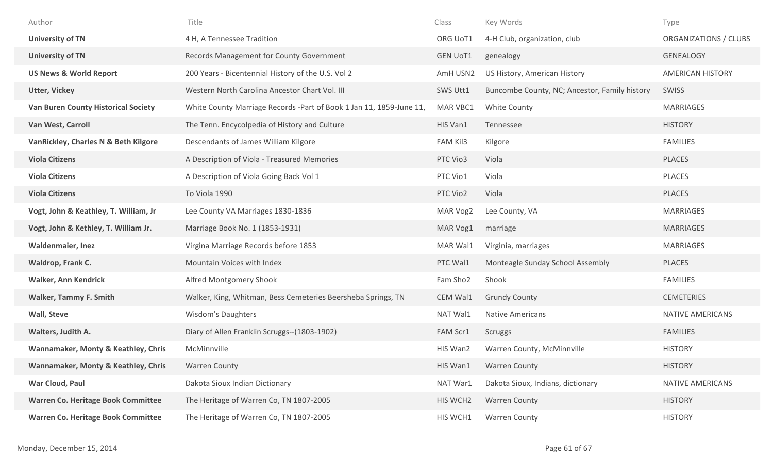| Author                                     | Title                                                                | Class           | Key Words                                     | Type                    |
|--------------------------------------------|----------------------------------------------------------------------|-----------------|-----------------------------------------------|-------------------------|
| <b>University of TN</b>                    | 4 H, A Tennessee Tradition                                           | ORG UoT1        | 4-H Club, organization, club                  | ORGANIZATIONS / CLUBS   |
| <b>University of TN</b>                    | Records Management for County Government                             | <b>GEN UoT1</b> | genealogy                                     | GENEALOGY               |
| <b>US News &amp; World Report</b>          | 200 Years - Bicentennial History of the U.S. Vol 2                   | AmH USN2        | US History, American History                  | <b>AMERICAN HISTORY</b> |
| <b>Utter, Vickey</b>                       | Western North Carolina Ancestor Chart Vol. III                       | SWS Utt1        | Buncombe County, NC; Ancestor, Family history | <b>SWISS</b>            |
| <b>Van Buren County Historical Society</b> | White County Marriage Records - Part of Book 1 Jan 11, 1859-June 11, | MAR VBC1        | White County                                  | <b>MARRIAGES</b>        |
| Van West, Carroll                          | The Tenn. Encycolpedia of History and Culture                        | HIS Van1        | Tennessee                                     | <b>HISTORY</b>          |
| VanRickley, Charles N & Beth Kilgore       | Descendants of James William Kilgore                                 | FAM Kil3        | Kilgore                                       | <b>FAMILIES</b>         |
| <b>Viola Citizens</b>                      | A Description of Viola - Treasured Memories                          | PTC Vio3        | Viola                                         | PLACES                  |
| <b>Viola Citizens</b>                      | A Description of Viola Going Back Vol 1                              | PTC Vio1        | Viola                                         | PLACES                  |
| <b>Viola Citizens</b>                      | To Viola 1990                                                        | PTC Vio2        | Viola                                         | PLACES                  |
| Vogt, John & Keathley, T. William, Jr      | Lee County VA Marriages 1830-1836                                    | MAR Vog2        | Lee County, VA                                | <b>MARRIAGES</b>        |
| Vogt, John & Kethley, T. William Jr.       | Marriage Book No. 1 (1853-1931)                                      | MAR Vog1        | marriage                                      | <b>MARRIAGES</b>        |
| <b>Waldenmaier, Inez</b>                   | Virgina Marriage Records before 1853                                 | MAR Wal1        | Virginia, marriages                           | <b>MARRIAGES</b>        |
| Waldrop, Frank C.                          | Mountain Voices with Index                                           | PTC Wal1        | Monteagle Sunday School Assembly              | PLACES                  |
| <b>Walker, Ann Kendrick</b>                | Alfred Montgomery Shook                                              | Fam Sho2        | Shook                                         | <b>FAMILIES</b>         |
| <b>Walker, Tammy F. Smith</b>              | Walker, King, Whitman, Bess Cemeteries Beersheba Springs, TN         | CEM Wal1        | <b>Grundy County</b>                          | <b>CEMETERIES</b>       |
| Wall, Steve                                | <b>Wisdom's Daughters</b>                                            | NAT Wal1        | <b>Native Americans</b>                       | NATIVE AMERICANS        |
| Walters, Judith A.                         | Diary of Allen Franklin Scruggs--(1803-1902)                         | FAM Scr1        | Scruggs                                       | <b>FAMILIES</b>         |
| Wannamaker, Monty & Keathley, Chris        | McMinnville                                                          | HIS Wan2        | Warren County, McMinnville                    | <b>HISTORY</b>          |
| Wannamaker, Monty & Keathley, Chris        | <b>Warren County</b>                                                 | HIS Wan1        | <b>Warren County</b>                          | <b>HISTORY</b>          |
| War Cloud, Paul                            | Dakota Sioux Indian Dictionary                                       | NAT War1        | Dakota Sioux, Indians, dictionary             | NATIVE AMERICANS        |
| <b>Warren Co. Heritage Book Committee</b>  | The Heritage of Warren Co, TN 1807-2005                              | HIS WCH2        | <b>Warren County</b>                          | <b>HISTORY</b>          |
| Warren Co. Heritage Book Committee         | The Heritage of Warren Co, TN 1807-2005                              | HIS WCH1        | <b>Warren County</b>                          | <b>HISTORY</b>          |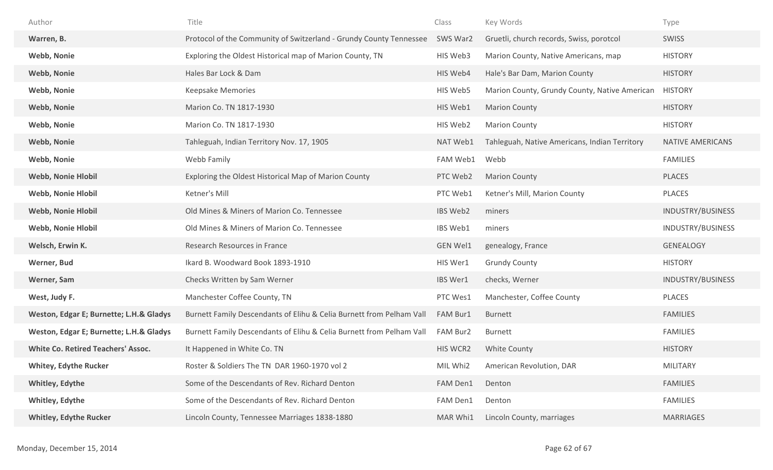| Author                                    | Title                                                                | Class           | Key Words                                     | Type              |
|-------------------------------------------|----------------------------------------------------------------------|-----------------|-----------------------------------------------|-------------------|
| Warren, B.                                | Protocol of the Community of Switzerland - Grundy County Tennessee   | SWS War2        | Gruetli, church records, Swiss, porotcol      | <b>SWISS</b>      |
| <b>Webb, Nonie</b>                        | Exploring the Oldest Historical map of Marion County, TN             | HIS Web3        | Marion County, Native Americans, map          | <b>HISTORY</b>    |
| <b>Webb, Nonie</b>                        | Hales Bar Lock & Dam                                                 | HIS Web4        | Hale's Bar Dam, Marion County                 | <b>HISTORY</b>    |
| Webb, Nonie                               | <b>Keepsake Memories</b>                                             | HIS Web5        | Marion County, Grundy County, Native American | <b>HISTORY</b>    |
| <b>Webb, Nonie</b>                        | Marion Co. TN 1817-1930                                              | HIS Web1        | <b>Marion County</b>                          | <b>HISTORY</b>    |
| <b>Webb, Nonie</b>                        | Marion Co. TN 1817-1930                                              | HIS Web2        | <b>Marion County</b>                          | <b>HISTORY</b>    |
| <b>Webb, Nonie</b>                        | Tahleguah, Indian Territory Nov. 17, 1905                            | NAT Web1        | Tahleguah, Native Americans, Indian Territory | NATIVE AMERICANS  |
| <b>Webb, Nonie</b>                        | Webb Family                                                          | FAM Web1        | Webb                                          | <b>FAMILIES</b>   |
| <b>Webb, Nonie Hlobil</b>                 | Exploring the Oldest Historical Map of Marion County                 | PTC Web2        | <b>Marion County</b>                          | <b>PLACES</b>     |
| <b>Webb, Nonie Hlobil</b>                 | Ketner's Mill                                                        | PTC Web1        | Ketner's Mill, Marion County                  | <b>PLACES</b>     |
| <b>Webb, Nonie Hlobil</b>                 | Old Mines & Miners of Marion Co. Tennessee                           | IBS Web2        | miners                                        | INDUSTRY/BUSINESS |
| <b>Webb, Nonie Hlobil</b>                 | Old Mines & Miners of Marion Co. Tennessee                           | IBS Web1        | miners                                        | INDUSTRY/BUSINESS |
| Welsch, Erwin K.                          | Research Resources in France                                         | <b>GEN Wel1</b> | genealogy, France                             | <b>GENEALOGY</b>  |
| Werner, Bud                               | Ikard B. Woodward Book 1893-1910                                     | HIS Wer1        | <b>Grundy County</b>                          | <b>HISTORY</b>    |
| Werner, Sam                               | Checks Written by Sam Werner                                         | IBS Wer1        | checks, Werner                                | INDUSTRY/BUSINESS |
| West, Judy F.                             | Manchester Coffee County, TN                                         | PTC Wes1        | Manchester, Coffee County                     | PLACES            |
| Weston, Edgar E; Burnette; L.H.& Gladys   | Burnett Family Descendants of Elihu & Celia Burnett from Pelham Vall | FAM Bur1        | <b>Burnett</b>                                | <b>FAMILIES</b>   |
| Weston, Edgar E; Burnette; L.H.& Gladys   | Burnett Family Descendants of Elihu & Celia Burnett from Pelham Vall | FAM Bur2        | <b>Burnett</b>                                | <b>FAMILIES</b>   |
| <b>White Co. Retired Teachers' Assoc.</b> | It Happened in White Co. TN                                          | HIS WCR2        | <b>White County</b>                           | <b>HISTORY</b>    |
| <b>Whitey, Edythe Rucker</b>              | Roster & Soldiers The TN DAR 1960-1970 vol 2                         | MIL Whi2        | American Revolution, DAR                      | <b>MILITARY</b>   |
| <b>Whitley, Edythe</b>                    | Some of the Descendants of Rev. Richard Denton                       | FAM Den1        | Denton                                        | <b>FAMILIES</b>   |
| <b>Whitley, Edythe</b>                    | Some of the Descendants of Rev. Richard Denton                       | FAM Den1        | Denton                                        | <b>FAMILIES</b>   |
| <b>Whitley, Edythe Rucker</b>             | Lincoln County, Tennessee Marriages 1838-1880                        | MAR Whi1        | Lincoln County, marriages                     | <b>MARRIAGES</b>  |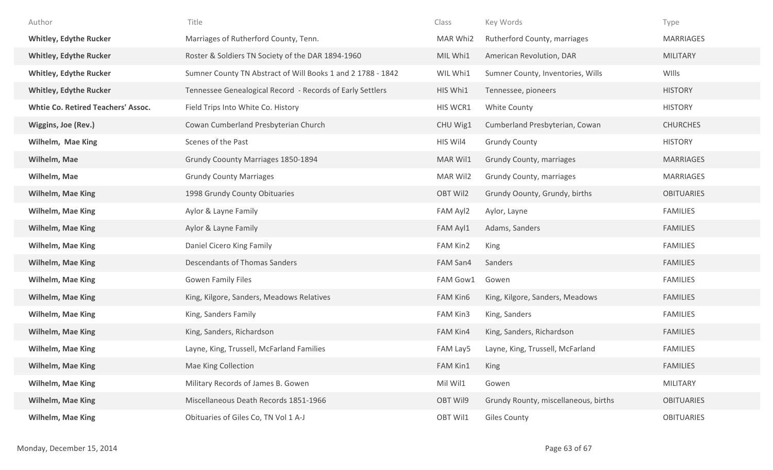| Author                                    | Title                                                       | Class           | Key Words                            | Type              |
|-------------------------------------------|-------------------------------------------------------------|-----------------|--------------------------------------|-------------------|
| <b>Whitley, Edythe Rucker</b>             | Marriages of Rutherford County, Tenn.                       | MAR Whi2        | Rutherford County, marriages         | <b>MARRIAGES</b>  |
| <b>Whitley, Edythe Rucker</b>             | Roster & Soldiers TN Society of the DAR 1894-1960           | MIL Whi1        | American Revolution, DAR             | <b>MILITARY</b>   |
| <b>Whitley, Edythe Rucker</b>             | Sumner County TN Abstract of Will Books 1 and 2 1788 - 1842 | WIL Whi1        | Sumner County, Inventories, Wills    | WIlls             |
| <b>Whitley, Edythe Rucker</b>             | Tennessee Genealogical Record - Records of Early Settlers   | HIS Whi1        | Tennessee, pioneers                  | <b>HISTORY</b>    |
| <b>Whtie Co. Retired Teachers' Assoc.</b> | Field Trips Into White Co. History                          | HIS WCR1        | White County                         | <b>HISTORY</b>    |
| Wiggins, Joe (Rev.)                       | Cowan Cumberland Presbyterian Church                        | CHU Wig1        | Cumberland Presbyterian, Cowan       | <b>CHURCHES</b>   |
| Wilhelm, Mae King                         | Scenes of the Past                                          | HIS Wil4        | <b>Grundy County</b>                 | <b>HISTORY</b>    |
| Wilhelm, Mae                              | <b>Grundy Coounty Marriages 1850-1894</b>                   | MAR Wil1        | <b>Grundy County, marriages</b>      | <b>MARRIAGES</b>  |
| Wilhelm, Mae                              | <b>Grundy County Marriages</b>                              | MAR Wil2        | Grundy County, marriages             | <b>MARRIAGES</b>  |
| <b>Wilhelm, Mae King</b>                  | 1998 Grundy County Obituaries                               | OBT Wil2        | Grundy Oounty, Grundy, births        | <b>OBITUARIES</b> |
| <b>Wilhelm, Mae King</b>                  | Aylor & Layne Family                                        | FAM Ayl2        | Aylor, Layne                         | <b>FAMILIES</b>   |
| <b>Wilhelm, Mae King</b>                  | Aylor & Layne Family                                        | FAM Ayl1        | Adams, Sanders                       | <b>FAMILIES</b>   |
| <b>Wilhelm, Mae King</b>                  | Daniel Cicero King Family                                   | FAM Kin2        | King                                 | <b>FAMILIES</b>   |
| <b>Wilhelm, Mae King</b>                  | <b>Descendants of Thomas Sanders</b>                        | FAM San4        | Sanders                              | <b>FAMILIES</b>   |
| <b>Wilhelm, Mae King</b>                  | <b>Gowen Family Files</b>                                   | FAM Gow1        | Gowen                                | <b>FAMILIES</b>   |
| <b>Wilhelm, Mae King</b>                  | King, Kilgore, Sanders, Meadows Relatives                   | FAM Kin6        | King, Kilgore, Sanders, Meadows      | <b>FAMILIES</b>   |
| <b>Wilhelm, Mae King</b>                  | King, Sanders Family                                        | FAM Kin3        | King, Sanders                        | <b>FAMILIES</b>   |
| <b>Wilhelm, Mae King</b>                  | King, Sanders, Richardson                                   | FAM Kin4        | King, Sanders, Richardson            | <b>FAMILIES</b>   |
| <b>Wilhelm, Mae King</b>                  | Layne, King, Trussell, McFarland Families                   | FAM Lay5        | Layne, King, Trussell, McFarland     | <b>FAMILIES</b>   |
| <b>Wilhelm, Mae King</b>                  | Mae King Collection                                         | <b>FAM Kin1</b> | King                                 | <b>FAMILIES</b>   |
| <b>Wilhelm, Mae King</b>                  | Military Records of James B. Gowen                          | Mil Wil1        | Gowen                                | <b>MILITARY</b>   |
| <b>Wilhelm, Mae King</b>                  | Miscellaneous Death Records 1851-1966                       | OBT Wil9        | Grundy Rounty, miscellaneous, births | <b>OBITUARIES</b> |
| Wilhelm, Mae King                         | Obituaries of Giles Co, TN Vol 1 A-J                        | OBT Wil1        | <b>Giles County</b>                  | <b>OBITUARIES</b> |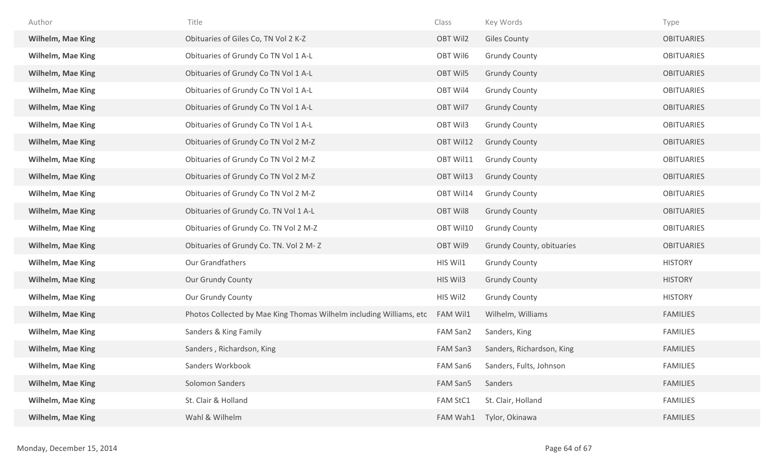| Author                   | Title                                                               | Class           | Key Words                 | Type              |
|--------------------------|---------------------------------------------------------------------|-----------------|---------------------------|-------------------|
| <b>Wilhelm, Mae King</b> | Obituaries of Giles Co, TN Vol 2 K-Z                                | OBT Wil2        | <b>Giles County</b>       | <b>OBITUARIES</b> |
| Wilhelm, Mae King        | Obituaries of Grundy Co TN Vol 1 A-L                                | OBT Wil6        | <b>Grundy County</b>      | <b>OBITUARIES</b> |
| <b>Wilhelm, Mae King</b> | Obituaries of Grundy Co TN Vol 1 A-L                                | OBT Wil5        | <b>Grundy County</b>      | <b>OBITUARIES</b> |
| Wilhelm, Mae King        | Obituaries of Grundy Co TN Vol 1 A-L                                | OBT Wil4        | <b>Grundy County</b>      | <b>OBITUARIES</b> |
| <b>Wilhelm, Mae King</b> | Obituaries of Grundy Co TN Vol 1 A-L                                | OBT Wil7        | <b>Grundy County</b>      | <b>OBITUARIES</b> |
| <b>Wilhelm, Mae King</b> | Obituaries of Grundy Co TN Vol 1 A-L                                | OBT Wil3        | <b>Grundy County</b>      | <b>OBITUARIES</b> |
| Wilhelm, Mae King        | Obituaries of Grundy Co TN Vol 2 M-Z                                | OBT Wil12       | <b>Grundy County</b>      | <b>OBITUARIES</b> |
| <b>Wilhelm, Mae King</b> | Obituaries of Grundy Co TN Vol 2 M-Z                                | OBT Wil11       | <b>Grundy County</b>      | <b>OBITUARIES</b> |
| <b>Wilhelm, Mae King</b> | Obituaries of Grundy Co TN Vol 2 M-Z                                | OBT Wil13       | <b>Grundy County</b>      | <b>OBITUARIES</b> |
| <b>Wilhelm, Mae King</b> | Obituaries of Grundy Co TN Vol 2 M-Z                                | OBT Wil14       | <b>Grundy County</b>      | <b>OBITUARIES</b> |
| Wilhelm, Mae King        | Obituaries of Grundy Co. TN Vol 1 A-L                               | <b>OBT Wil8</b> | <b>Grundy County</b>      | <b>OBITUARIES</b> |
| <b>Wilhelm, Mae King</b> | Obituaries of Grundy Co. TN Vol 2 M-Z                               | OBT Wil10       | <b>Grundy County</b>      | <b>OBITUARIES</b> |
| <b>Wilhelm, Mae King</b> | Obituaries of Grundy Co. TN. Vol 2 M-Z                              | OBT Wil9        | Grundy County, obituaries | <b>OBITUARIES</b> |
| <b>Wilhelm, Mae King</b> | Our Grandfathers                                                    | HIS Wil1        | <b>Grundy County</b>      | <b>HISTORY</b>    |
| Wilhelm, Mae King        | <b>Our Grundy County</b>                                            | HIS Wil3        | <b>Grundy County</b>      | <b>HISTORY</b>    |
| Wilhelm, Mae King        | Our Grundy County                                                   | HIS Wil2        | <b>Grundy County</b>      | <b>HISTORY</b>    |
| <b>Wilhelm, Mae King</b> | Photos Collected by Mae King Thomas Wilhelm including Williams, etc | FAM Wil1        | Wilhelm, Williams         | <b>FAMILIES</b>   |
| <b>Wilhelm, Mae King</b> | Sanders & King Family                                               | FAM San2        | Sanders, King             | <b>FAMILIES</b>   |
| <b>Wilhelm, Mae King</b> | Sanders, Richardson, King                                           | FAM San3        | Sanders, Richardson, King | <b>FAMILIES</b>   |
| Wilhelm, Mae King        | Sanders Workbook                                                    | FAM San6        | Sanders, Fults, Johnson   | <b>FAMILIES</b>   |
| Wilhelm, Mae King        | Solomon Sanders                                                     | FAM San5        | Sanders                   | <b>FAMILIES</b>   |
| Wilhelm, Mae King        | St. Clair & Holland                                                 | <b>FAM StC1</b> | St. Clair, Holland        | <b>FAMILIES</b>   |
| Wilhelm, Mae King        | Wahl & Wilhelm                                                      | FAM Wah1        | Tylor, Okinawa            | <b>FAMILIES</b>   |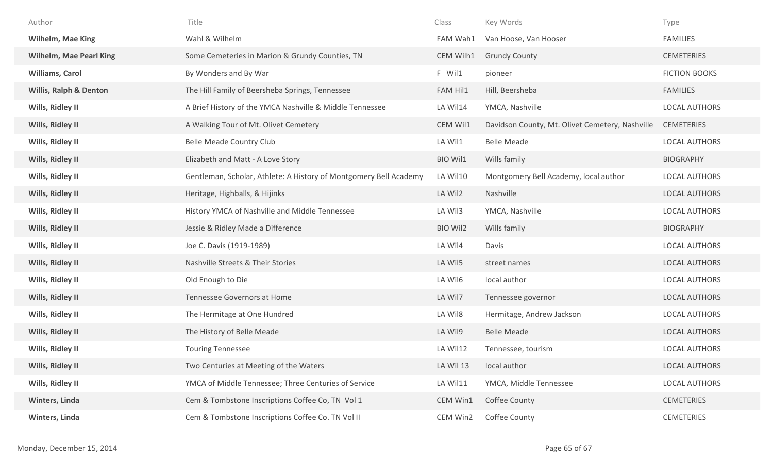| Author                            | Title                                                             | Class           | Key Words                                       | Type                 |
|-----------------------------------|-------------------------------------------------------------------|-----------------|-------------------------------------------------|----------------------|
| <b>Wilhelm, Mae King</b>          | Wahl & Wilhelm                                                    | FAM Wah1        | Van Hoose, Van Hooser                           | <b>FAMILIES</b>      |
| <b>Wilhelm, Mae Pearl King</b>    | Some Cemeteries in Marion & Grundy Counties, TN                   | CEM Wilh1       | <b>Grundy County</b>                            | <b>CEMETERIES</b>    |
| <b>Williams, Carol</b>            | By Wonders and By War                                             | F Wil1          | pioneer                                         | <b>FICTION BOOKS</b> |
| <b>Willis, Ralph &amp; Denton</b> | The Hill Family of Beersheba Springs, Tennessee                   | <b>FAM Hil1</b> | Hill, Beersheba                                 | <b>FAMILIES</b>      |
| Wills, Ridley II                  | A Brief History of the YMCA Nashville & Middle Tennessee          | LA Wil14        | YMCA, Nashville                                 | <b>LOCAL AUTHORS</b> |
| Wills, Ridley II                  | A Walking Tour of Mt. Olivet Cemetery                             | CEM Wil1        | Davidson County, Mt. Olivet Cemetery, Nashville | <b>CEMETERIES</b>    |
| Wills, Ridley II                  | Belle Meade Country Club                                          | LA Wil1         | <b>Belle Meade</b>                              | LOCAL AUTHORS        |
| Wills, Ridley II                  | Elizabeth and Matt - A Love Story                                 | BIO Wil1        | Wills family                                    | <b>BIOGRAPHY</b>     |
| Wills, Ridley II                  | Gentleman, Scholar, Athlete: A History of Montgomery Bell Academy | LA Wil10        | Montgomery Bell Academy, local author           | LOCAL AUTHORS        |
| Wills, Ridley II                  | Heritage, Highballs, & Hijinks                                    | LA Wil2         | Nashville                                       | LOCAL AUTHORS        |
| Wills, Ridley II                  | History YMCA of Nashville and Middle Tennessee                    | LA Wil3         | YMCA, Nashville                                 | LOCAL AUTHORS        |
| Wills, Ridley II                  | Jessie & Ridley Made a Difference                                 | <b>BIO Wil2</b> | Wills family                                    | <b>BIOGRAPHY</b>     |
| Wills, Ridley II                  | Joe C. Davis (1919-1989)                                          | LA Wil4         | Davis                                           | <b>LOCAL AUTHORS</b> |
| Wills, Ridley II                  | Nashville Streets & Their Stories                                 | LA Wil5         | street names                                    | <b>LOCAL AUTHORS</b> |
| Wills, Ridley II                  | Old Enough to Die                                                 | LA Wil6         | local author                                    | LOCAL AUTHORS        |
| Wills, Ridley II                  | Tennessee Governors at Home                                       | LA Wil7         | Tennessee governor                              | LOCAL AUTHORS        |
| Wills, Ridley II                  | The Hermitage at One Hundred                                      | LA Wil8         | Hermitage, Andrew Jackson                       | LOCAL AUTHORS        |
| Wills, Ridley II                  | The History of Belle Meade                                        | LA Wil9         | <b>Belle Meade</b>                              | LOCAL AUTHORS        |
| Wills, Ridley II                  | <b>Touring Tennessee</b>                                          | LA Wil12        | Tennessee, tourism                              | <b>LOCAL AUTHORS</b> |
| Wills, Ridley II                  | Two Centuries at Meeting of the Waters                            | LA Wil 13       | local author                                    | <b>LOCAL AUTHORS</b> |
| Wills, Ridley II                  | YMCA of Middle Tennessee; Three Centuries of Service              | LA Wil11        | YMCA, Middle Tennessee                          | <b>LOCAL AUTHORS</b> |
| Winters, Linda                    | Cem & Tombstone Inscriptions Coffee Co, TN Vol 1                  | CEM Win1        | Coffee County                                   | <b>CEMETERIES</b>    |
| Winters, Linda                    | Cem & Tombstone Inscriptions Coffee Co. TN Vol II                 | CEM Win2        | Coffee County                                   | <b>CEMETERIES</b>    |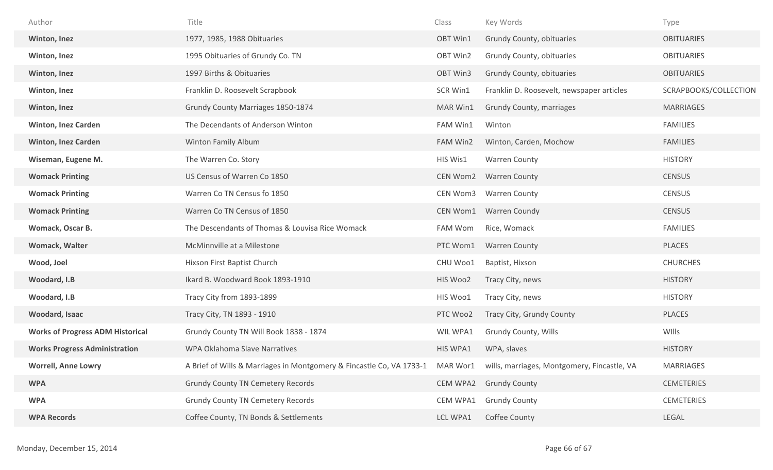| Author                                  | Title                                                                         | Class           | Key Words                                   | Type                  |
|-----------------------------------------|-------------------------------------------------------------------------------|-----------------|---------------------------------------------|-----------------------|
| Winton, Inez                            | 1977, 1985, 1988 Obituaries                                                   | OBT Win1        | Grundy County, obituaries                   | <b>OBITUARIES</b>     |
| Winton, Inez                            | 1995 Obituaries of Grundy Co. TN                                              | OBT Win2        | Grundy County, obituaries                   | <b>OBITUARIES</b>     |
| Winton, Inez                            | 1997 Births & Obituaries                                                      | OBT Win3        | Grundy County, obituaries                   | <b>OBITUARIES</b>     |
| Winton, Inez                            | Franklin D. Roosevelt Scrapbook                                               | SCR Win1        | Franklin D. Roosevelt, newspaper articles   | SCRAPBOOKS/COLLECTION |
| Winton, Inez                            | Grundy County Marriages 1850-1874                                             | MAR Win1        | <b>Grundy County, marriages</b>             | <b>MARRIAGES</b>      |
| <b>Winton, Inez Carden</b>              | The Decendants of Anderson Winton                                             | FAM Win1        | Winton                                      | <b>FAMILIES</b>       |
| <b>Winton, Inez Carden</b>              | Winton Family Album                                                           | FAM Win2        | Winton, Carden, Mochow                      | <b>FAMILIES</b>       |
| Wiseman, Eugene M.                      | The Warren Co. Story                                                          | HIS Wis1        | Warren County                               | <b>HISTORY</b>        |
| <b>Womack Printing</b>                  | US Census of Warren Co 1850                                                   | CEN Wom2        | <b>Warren County</b>                        | <b>CENSUS</b>         |
| <b>Womack Printing</b>                  | Warren Co TN Census fo 1850                                                   | CEN Wom3        | <b>Warren County</b>                        | <b>CENSUS</b>         |
| <b>Womack Printing</b>                  | Warren Co TN Census of 1850                                                   | CEN Wom1        | Warren Coundy                               | <b>CENSUS</b>         |
| Womack, Oscar B.                        | The Descendants of Thomas & Louvisa Rice Womack                               | FAM Wom         | Rice, Womack                                | <b>FAMILIES</b>       |
| Womack, Walter                          | McMinnville at a Milestone                                                    | PTC Wom1        | <b>Warren County</b>                        | <b>PLACES</b>         |
| Wood, Joel                              | Hixson First Baptist Church                                                   | CHU Woo1        | Baptist, Hixson                             | <b>CHURCHES</b>       |
| Woodard, I.B                            | Ikard B. Woodward Book 1893-1910                                              | HIS Woo2        | Tracy City, news                            | <b>HISTORY</b>        |
| Woodard, I.B                            | Tracy City from 1893-1899                                                     | HIS Woo1        | Tracy City, news                            | <b>HISTORY</b>        |
| Woodard, Isaac                          | Tracy City, TN 1893 - 1910                                                    | PTC Woo2        | Tracy City, Grundy County                   | <b>PLACES</b>         |
| <b>Works of Progress ADM Historical</b> | Grundy County TN Will Book 1838 - 1874                                        | WIL WPA1        | Grundy County, Wills                        | WIlls                 |
| <b>Works Progress Administration</b>    | WPA Oklahoma Slave Narratives                                                 | HIS WPA1        | WPA, slaves                                 | <b>HISTORY</b>        |
| <b>Worrell, Anne Lowry</b>              | A Brief of Wills & Marriages in Montgomery & Fincastle Co, VA 1733-1 MAR Wor1 |                 | wills, marriages, Montgomery, Fincastle, VA | <b>MARRIAGES</b>      |
| <b>WPA</b>                              | <b>Grundy County TN Cemetery Records</b>                                      | <b>CEM WPA2</b> | <b>Grundy County</b>                        | <b>CEMETERIES</b>     |
| <b>WPA</b>                              | <b>Grundy County TN Cemetery Records</b>                                      | CEM WPA1        | <b>Grundy County</b>                        | <b>CEMETERIES</b>     |
| <b>WPA Records</b>                      | Coffee County, TN Bonds & Settlements                                         | LCL WPA1        | Coffee County                               | LEGAL                 |